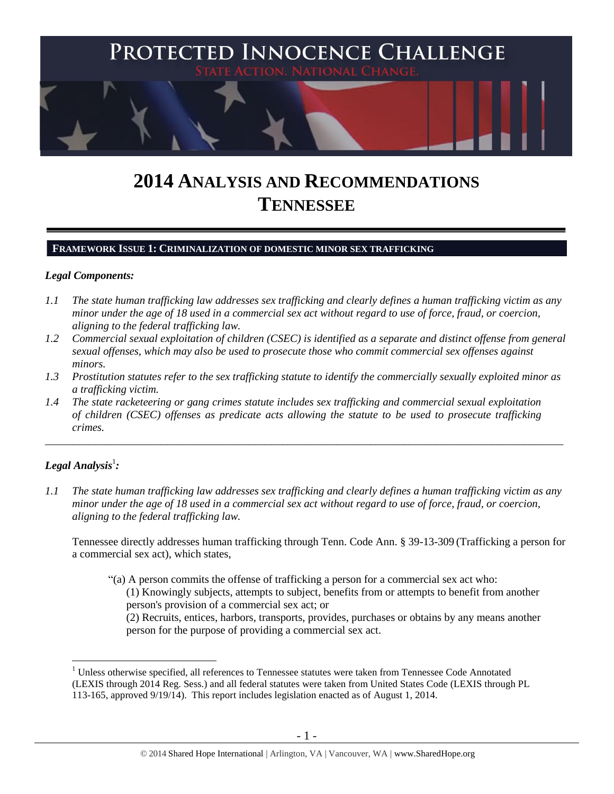

# **2014 ANALYSIS AND RECOMMENDATIONS TENNESSEE**

#### **FRAMEWORK ISSUE 1: CRIMINALIZATION OF DOMESTIC MINOR SEX TRAFFICKING**

#### *Legal Components:*

- *1.1 The state human trafficking law addresses sex trafficking and clearly defines a human trafficking victim as any minor under the age of 18 used in a commercial sex act without regard to use of force, fraud, or coercion, aligning to the federal trafficking law.*
- *1.2 Commercial sexual exploitation of children (CSEC) is identified as a separate and distinct offense from general sexual offenses, which may also be used to prosecute those who commit commercial sex offenses against minors.*
- *1.3 Prostitution statutes refer to the sex trafficking statute to identify the commercially sexually exploited minor as a trafficking victim.*

\_\_\_\_\_\_\_\_\_\_\_\_\_\_\_\_\_\_\_\_\_\_\_\_\_\_\_\_\_\_\_\_\_\_\_\_\_\_\_\_\_\_\_\_\_\_\_\_\_\_\_\_\_\_\_\_\_\_\_\_\_\_\_\_\_\_\_\_\_\_\_\_\_\_\_\_\_\_\_\_\_\_\_\_\_\_\_\_\_\_\_\_\_\_

*1.4 The state racketeering or gang crimes statute includes sex trafficking and commercial sexual exploitation of children (CSEC) offenses as predicate acts allowing the statute to be used to prosecute trafficking crimes.* 

# $\bm{L}$ egal Analysis $^1$ :

 $\overline{a}$ 

*1.1 The state human trafficking law addresses sex trafficking and clearly defines a human trafficking victim as any minor under the age of 18 used in a commercial sex act without regard to use of force, fraud, or coercion, aligning to the federal trafficking law.* 

Tennessee directly addresses human trafficking through Tenn. Code Ann. § 39-13-309 (Trafficking a person for a commercial sex act), which states,

"(a) A person commits the offense of trafficking a person for a commercial sex act who: (1) Knowingly subjects, attempts to subject, benefits from or attempts to benefit from another person's provision of a commercial sex act; or (2) Recruits, entices, harbors, transports, provides, purchases or obtains by any means another person for the purpose of providing a commercial sex act.

<sup>1</sup> Unless otherwise specified, all references to Tennessee statutes were taken from Tennessee Code Annotated (LEXIS through 2014 Reg. Sess.) and all federal statutes were taken from United States Code (LEXIS through PL 113-165, approved 9/19/14). This report includes legislation enacted as of August 1, 2014.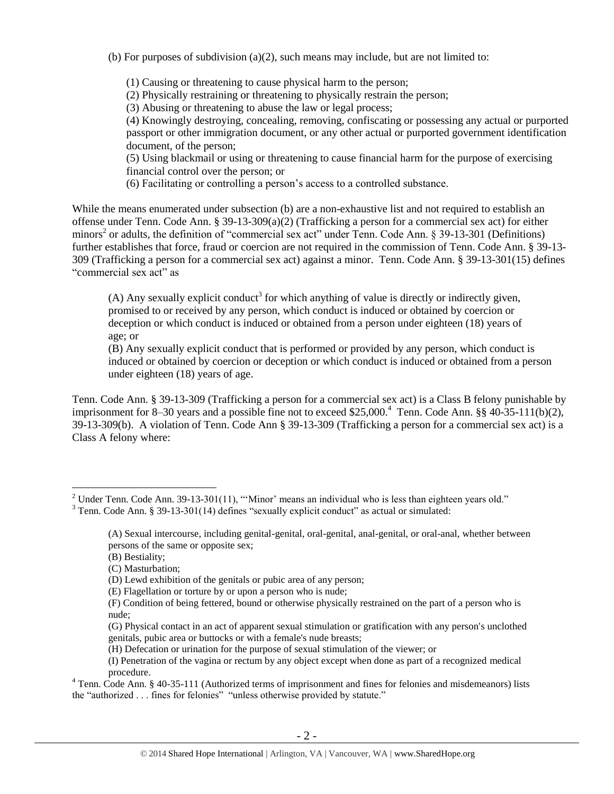(b) For purposes of subdivision  $(a)(2)$ , such means may include, but are not limited to:

(1) Causing or threatening to cause physical harm to the person;

(2) Physically restraining or threatening to physically restrain the person;

(3) Abusing or threatening to abuse the law or legal process;

(4) Knowingly destroying, concealing, removing, confiscating or possessing any actual or purported passport or other immigration document, or any other actual or purported government identification document, of the person;

(5) Using blackmail or using or threatening to cause financial harm for the purpose of exercising financial control over the person; or

(6) Facilitating or controlling a person's access to a controlled substance.

While the means enumerated under subsection (b) are a non-exhaustive list and not required to establish an offense under Tenn. Code Ann. § 39-13-309(a)(2) (Trafficking a person for a commercial sex act) for either minors<sup>2</sup> or adults, the definition of "commercial sex act" under Tenn. Code Ann. § 39-13-301 (Definitions) further establishes that force, fraud or coercion are not required in the commission of Tenn. Code Ann. § 39-13- 309 (Trafficking a person for a commercial sex act) against a minor. Tenn. Code Ann. § 39-13-301(15) defines "commercial sex act" as

<span id="page-1-0"></span>(A) Any sexually explicit conduct<sup>3</sup> for which anything of value is directly or indirectly given, promised to or received by any person, which conduct is induced or obtained by coercion or deception or which conduct is induced or obtained from a person under eighteen (18) years of age; or

(B) Any sexually explicit conduct that is performed or provided by any person, which conduct is induced or obtained by coercion or deception or which conduct is induced or obtained from a person under eighteen (18) years of age.

Tenn. Code Ann. § 39-13-309 (Trafficking a person for a commercial sex act) is a Class B felony punishable by imprisonment for 8–30 years and a possible fine not to exceed \$25,000.<sup>4</sup> Tenn. Code Ann. §§ 40-35-111(b)(2), 39-13-309(b). A violation of Tenn. Code Ann § 39-13-309 (Trafficking a person for a commercial sex act) is a Class A felony where:

(B) Bestiality;

<sup>&</sup>lt;sup>2</sup> Under Tenn. Code Ann. 39-13-301(11), "'Minor' means an individual who is less than eighteen years old."

<sup>&</sup>lt;sup>3</sup> Tenn. Code Ann. § 39-13-301(14) defines "sexually explicit conduct" as actual or simulated:

<sup>(</sup>A) Sexual intercourse, including genital-genital, oral-genital, anal-genital, or oral-anal, whether between persons of the same or opposite sex;

<sup>(</sup>C) Masturbation;

<sup>(</sup>D) Lewd exhibition of the genitals or pubic area of any person;

<sup>(</sup>E) Flagellation or torture by or upon a person who is nude;

<sup>(</sup>F) Condition of being fettered, bound or otherwise physically restrained on the part of a person who is nude;

<sup>(</sup>G) Physical contact in an act of apparent sexual stimulation or gratification with any person's unclothed genitals, pubic area or buttocks or with a female's nude breasts;

<sup>(</sup>H) Defecation or urination for the purpose of sexual stimulation of the viewer; or

<sup>(</sup>I) Penetration of the vagina or rectum by any object except when done as part of a recognized medical procedure.

<sup>&</sup>lt;sup>4</sup> Tenn. Code Ann. § 40-35-111 (Authorized terms of imprisonment and fines for felonies and misdemeanors) lists the "authorized . . . fines for felonies" "unless otherwise provided by statute."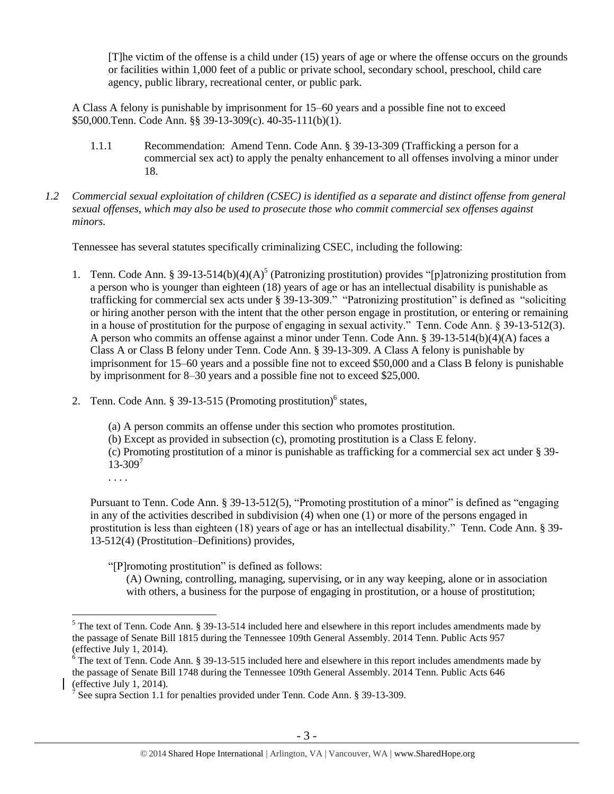[T]he victim of the offense is a child under (15) years of age or where the offense occurs on the grounds or facilities within 1,000 feet of a public or private school, secondary school, preschool, child care agency, public library, recreational center, or public park.

A Class A felony is punishable by imprisonment for 15–60 years and a possible fine not to exceed \$50,000.Tenn. Code Ann. §§ 39-13-309(c). 40-35-111(b)(1).

- 1.1.1 Recommendation: Amend Tenn. Code Ann. § 39-13-309 (Trafficking a person for a commercial sex act) to apply the penalty enhancement to all offenses involving a minor under 18.
- *1.2 Commercial sexual exploitation of children (CSEC) is identified as a separate and distinct offense from general sexual offenses, which may also be used to prosecute those who commit commercial sex offenses against minors.*

Tennessee has several statutes specifically criminalizing CSEC, including the following:

- <span id="page-2-1"></span>1. Tenn. Code Ann. § 39-13-514(b)(4)(A)<sup>5</sup> (Patronizing prostitution) provides "[p]atronizing prostitution from a person who is younger than eighteen (18) years of age or has an intellectual disability is punishable as trafficking for commercial sex acts under § 39-13-309." "Patronizing prostitution" is defined as "soliciting or hiring another person with the intent that the other person engage in prostitution, or entering or remaining in a house of prostitution for the purpose of engaging in sexual activity." Tenn. Code Ann. § 39-13-512(3). A person who commits an offense against a minor under Tenn. Code Ann. § 39-13-514(b)(4)(A) faces a Class A or Class B felony under Tenn. Code Ann. § 39-13-309. A Class A felony is punishable by imprisonment for 15–60 years and a possible fine not to exceed \$50,000 and a Class B felony is punishable by imprisonment for 8–30 years and a possible fine not to exceed \$25,000.
- 2. Tenn. Code Ann.  $\S 39-13-515$  (Promoting prostitution)<sup>6</sup> states,

<span id="page-2-0"></span>(a) A person commits an offense under this section who promotes prostitution.

(b) Except as provided in subsection (c), promoting prostitution is a Class E felony.

(c) Promoting prostitution of a minor is punishable as trafficking for a commercial sex act under § 39-  $13 - 309^{7}$ 

. . . .

 $\overline{a}$ 

Pursuant to Tenn. Code Ann. § 39-13-512(5), "Promoting prostitution of a minor" is defined as "engaging in any of the activities described in subdivision (4) when one (1) or more of the persons engaged in prostitution is less than eighteen (18) years of age or has an intellectual disability." Tenn. Code Ann. § 39- 13-512(4) (Prostitution–Definitions) provides,

"[P]romoting prostitution" is defined as follows:

(A) Owning, controlling, managing, supervising, or in any way keeping, alone or in association with others, a business for the purpose of engaging in prostitution, or a house of prostitution;

 $<sup>5</sup>$  The text of Tenn. Code Ann. § 39-13-514 included here and elsewhere in this report includes amendments made by</sup> the passage of Senate Bill 1815 during the Tennessee 109th General Assembly. 2014 Tenn. Public Acts 957 (effective July 1, 2014).

 $6$  The text of Tenn. Code Ann. § 39-13-515 included here and elsewhere in this report includes amendments made by the passage of Senate Bill 1748 during the Tennessee 109th General Assembly. 2014 Tenn. Public Acts 646 (effective July 1, 2014).

<sup>7</sup> See supra Section 1.1 for penalties provided under Tenn. Code Ann. § 39-13-309.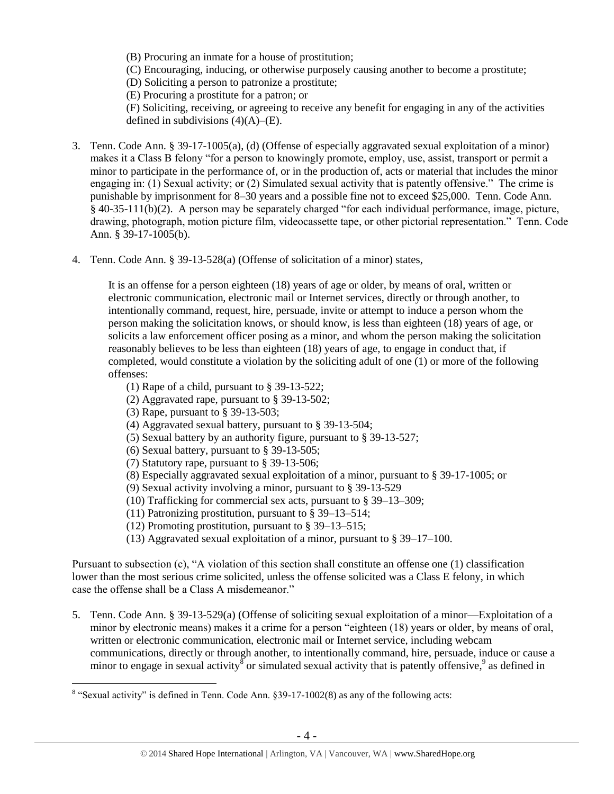(B) Procuring an inmate for a house of prostitution;

(C) Encouraging, inducing, or otherwise purposely causing another to become a prostitute;

(D) Soliciting a person to patronize a prostitute;

(E) Procuring a prostitute for a patron; or

(F) Soliciting, receiving, or agreeing to receive any benefit for engaging in any of the activities defined in subdivisions  $(4)(A)$ – $(E)$ .

- 3. Tenn. Code Ann. § 39-17-1005(a), (d) (Offense of especially aggravated sexual exploitation of a minor) makes it a Class B felony "for a person to knowingly promote, employ, use, assist, transport or permit a minor to participate in the performance of, or in the production of, acts or material that includes the minor engaging in: (1) Sexual activity; or (2) Simulated sexual activity that is patently offensive." The crime is punishable by imprisonment for 8–30 years and a possible fine not to exceed \$25,000. Tenn. Code Ann. § 40-35-111(b)(2). A person may be separately charged "for each individual performance, image, picture, drawing, photograph, motion picture film, videocassette tape, or other pictorial representation." Tenn. Code Ann. § 39-17-1005(b).
- 4. Tenn. Code Ann. § 39-13-528(a) (Offense of solicitation of a minor) states,

It is an offense for a person eighteen (18) years of age or older, by means of oral, written or electronic communication, electronic mail or Internet services, directly or through another, to intentionally command, request, hire, persuade, invite or attempt to induce a person whom the person making the solicitation knows, or should know, is less than eighteen (18) years of age, or solicits a law enforcement officer posing as a minor, and whom the person making the solicitation reasonably believes to be less than eighteen (18) years of age, to engage in conduct that, if completed, would constitute a violation by the soliciting adult of one (1) or more of the following offenses:

- (1) Rape of a child, pursuant to § 39-13-522;
- (2) Aggravated rape, pursuant to § 39-13-502;
- (3) Rape, pursuant to § 39-13-503;

 $\overline{a}$ 

- (4) Aggravated sexual battery, pursuant to § 39-13-504;
- (5) Sexual battery by an authority figure, pursuant to § 39-13-527;
- (6) Sexual battery, pursuant to § 39-13-505;
- (7) Statutory rape, pursuant to § 39-13-506;
- (8) Especially aggravated sexual exploitation of a minor, pursuant to § 39-17-1005; or
- (9) Sexual activity involving a minor, pursuant to § 39-13-529
- (10) Trafficking for commercial sex acts, pursuant to § 39–13–309;
- (11) Patronizing prostitution, pursuant to § 39–13–514;
- (12) Promoting prostitution, pursuant to § 39–13–515;
- <span id="page-3-0"></span>(13) Aggravated sexual exploitation of a minor, pursuant to § 39–17–100.

Pursuant to subsection (c), "A violation of this section shall constitute an offense one (1) classification lower than the most serious crime solicited, unless the offense solicited was a Class E felony, in which case the offense shall be a Class A misdemeanor."

5. Tenn. Code Ann. § 39-13-529(a) (Offense of soliciting sexual exploitation of a minor—Exploitation of a minor by electronic means) makes it a crime for a person "eighteen (18) years or older, by means of oral, written or electronic communication, electronic mail or Internet service, including webcam communications, directly or through another, to intentionally command, hire, persuade, induce or cause a minor to engage in sexual activity  $\delta$  or simulated sexual activity that is patently offensive,  $\delta$  as defined in

<sup>&</sup>lt;sup>8</sup> "Sexual activity" is defined in Tenn. Code Ann.  $\S 39-17-1002(8)$  as any of the following acts: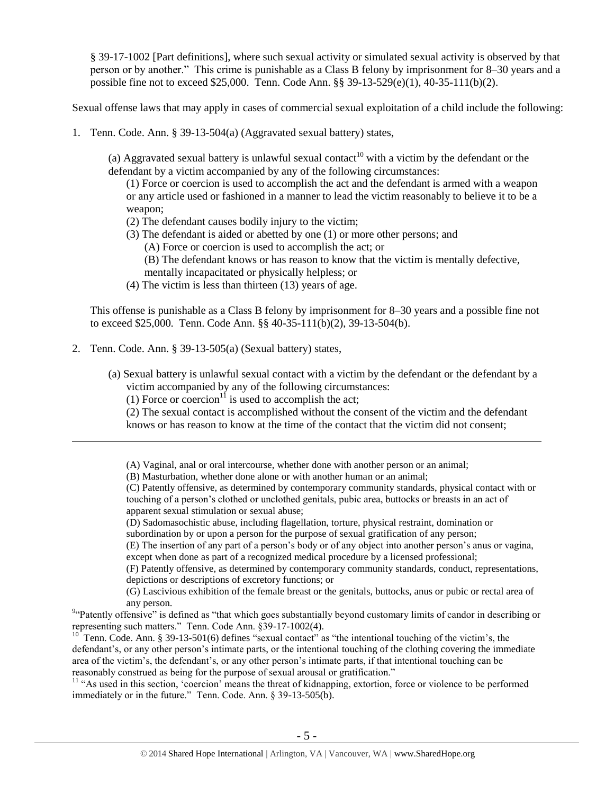§ 39-17-1002 [Part definitions], where such sexual activity or simulated sexual activity is observed by that person or by another." This crime is punishable as a Class B felony by imprisonment for 8–30 years and a possible fine not to exceed \$25,000. Tenn. Code Ann. §§ 39-13-529(e)(1), 40-35-111(b)(2).

Sexual offense laws that may apply in cases of commercial sexual exploitation of a child include the following:

1. Tenn. Code. Ann. § 39-13-504(a) (Aggravated sexual battery) states,

(a) Aggravated sexual battery is unlawful sexual contact<sup>10</sup> with a victim by the defendant or the defendant by a victim accompanied by any of the following circumstances:

(1) Force or coercion is used to accomplish the act and the defendant is armed with a weapon or any article used or fashioned in a manner to lead the victim reasonably to believe it to be a weapon;

- (2) The defendant causes bodily injury to the victim;
- (3) The defendant is aided or abetted by one (1) or more other persons; and
	- (A) Force or coercion is used to accomplish the act; or
	- (B) The defendant knows or has reason to know that the victim is mentally defective,
	- mentally incapacitated or physically helpless; or
- (4) The victim is less than thirteen (13) years of age.

This offense is punishable as a Class B felony by imprisonment for 8–30 years and a possible fine not to exceed \$25,000. Tenn. Code Ann. §§ 40-35-111(b)(2), 39-13-504(b).

2. Tenn. Code. Ann. § 39-13-505(a) (Sexual battery) states,

 $\overline{a}$ 

- (a) Sexual battery is unlawful sexual contact with a victim by the defendant or the defendant by a victim accompanied by any of the following circumstances:
	- (1) Force or coercion<sup>11</sup> is used to accomplish the act;

(2) The sexual contact is accomplished without the consent of the victim and the defendant knows or has reason to know at the time of the contact that the victim did not consent;

(A) Vaginal, anal or oral intercourse, whether done with another person or an animal;

(B) Masturbation, whether done alone or with another human or an animal;

(C) Patently offensive, as determined by contemporary community standards, physical contact with or touching of a person's clothed or unclothed genitals, pubic area, buttocks or breasts in an act of apparent sexual stimulation or sexual abuse;

- (D) Sadomasochistic abuse, including flagellation, torture, physical restraint, domination or
- subordination by or upon a person for the purpose of sexual gratification of any person;

(E) The insertion of any part of a person's body or of any object into another person's anus or vagina, except when done as part of a recognized medical procedure by a licensed professional;

(F) Patently offensive, as determined by contemporary community standards, conduct, representations, depictions or descriptions of excretory functions; or

(G) Lascivious exhibition of the female breast or the genitals, buttocks, anus or pubic or rectal area of any person.

<sup>94</sup> Patently offensive" is defined as "that which goes substantially beyond customary limits of candor in describing or representing such matters." Tenn. Code Ann. §39-17-1002(4).

<sup>10</sup> Tenn. Code. Ann. § 39-13-501(6) defines "sexual contact" as "the intentional touching of the victim's, the defendant's, or any other person's intimate parts, or the intentional touching of the clothing covering the immediate area of the victim's, the defendant's, or any other person's intimate parts, if that intentional touching can be reasonably construed as being for the purpose of sexual arousal or gratification."

<sup>11</sup> "As used in this section, 'coercion' means the threat of kidnapping, extortion, force or violence to be performed immediately or in the future." Tenn. Code. Ann. § 39-13-505(b).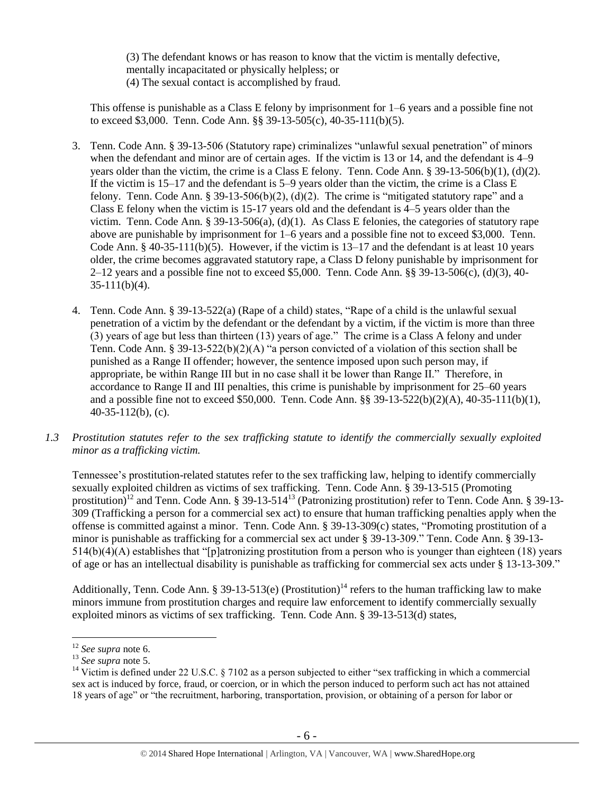(3) The defendant knows or has reason to know that the victim is mentally defective, mentally incapacitated or physically helpless; or (4) The sexual contact is accomplished by fraud.

This offense is punishable as a Class E felony by imprisonment for 1–6 years and a possible fine not to exceed \$3,000. Tenn. Code Ann. §§ 39-13-505(c), 40-35-111(b)(5).

- 3. Tenn. Code Ann. § 39-13-506 (Statutory rape) criminalizes "unlawful sexual penetration" of minors when the defendant and minor are of certain ages. If the victim is 13 or 14, and the defendant is 4–9 years older than the victim, the crime is a Class E felony. Tenn. Code Ann. § 39-13-506(b)(1), (d)(2). If the victim is 15–17 and the defendant is 5–9 years older than the victim, the crime is a Class E felony. Tenn. Code Ann. § 39-13-506(b)(2), (d)(2). The crime is "mitigated statutory rape" and a Class E felony when the victim is 15-17 years old and the defendant is 4–5 years older than the victim. Tenn. Code Ann. § 39-13-506(a), (d)(1). As Class E felonies, the categories of statutory rape above are punishable by imprisonment for 1–6 years and a possible fine not to exceed \$3,000. Tenn. Code Ann. § 40-35-111(b)(5). However, if the victim is  $13-17$  and the defendant is at least 10 years older, the crime becomes aggravated statutory rape, a Class D felony punishable by imprisonment for 2–12 years and a possible fine not to exceed \$5,000. Tenn. Code Ann. §§ 39-13-506(c), (d)(3), 40-  $35-111(b)(4)$ .
- 4. Tenn. Code Ann. § 39-13-522(a) (Rape of a child) states, "Rape of a child is the unlawful sexual penetration of a victim by the defendant or the defendant by a victim, if the victim is more than three (3) years of age but less than thirteen (13) years of age." The crime is a Class A felony and under Tenn. Code Ann. § 39-13-522(b)(2)(A) "a person convicted of a violation of this section shall be punished as a Range II offender; however, the sentence imposed upon such person may, if appropriate, be within Range III but in no case shall it be lower than Range II." Therefore, in accordance to Range II and III penalties, this crime is punishable by imprisonment for 25–60 years and a possible fine not to exceed \$50,000. Tenn. Code Ann. §§ 39-13-522(b)(2)(A), 40-35-111(b)(1), 40-35-112(b), (c).
- *1.3 Prostitution statutes refer to the sex trafficking statute to identify the commercially sexually exploited minor as a trafficking victim.*

Tennessee's prostitution-related statutes refer to the sex trafficking law, helping to identify commercially sexually exploited children as victims of sex trafficking. Tenn. Code Ann. § 39-13-515 (Promoting prostitution)<sup>12</sup> and Tenn. Code Ann. § 39-13-514<sup>13</sup> (Patronizing prostitution) refer to Tenn. Code Ann. § 39-13-309 (Trafficking a person for a commercial sex act) to ensure that human trafficking penalties apply when the offense is committed against a minor. Tenn. Code Ann. § 39-13-309(c) states, "Promoting prostitution of a minor is punishable as trafficking for a commercial sex act under § 39-13-309." Tenn. Code Ann. § 39-13- 514(b)(4)(A) establishes that "[p]atronizing prostitution from a person who is younger than eighteen (18) years of age or has an intellectual disability is punishable as trafficking for commercial sex acts under § 13-13-309."

Additionally, Tenn. Code Ann. § 39-13-513(e) (Prostitution)<sup>14</sup> refers to the human trafficking law to make minors immune from prostitution charges and require law enforcement to identify commercially sexually exploited minors as victims of sex trafficking. Tenn. Code Ann. § 39-13-513(d) states,

<sup>12</sup> *See supra* note [6.](#page-2-0)

<sup>13</sup> *See supra* note [5.](#page-2-1)

<sup>&</sup>lt;sup>14</sup> Victim is defined under 22 U.S.C. § 7102 as a person subjected to either "sex trafficking in which a commercial sex act is induced by force, fraud, or coercion, or in which the person induced to perform such act has not attained 18 years of age" or "the recruitment, harboring, transportation, provision, or obtaining of a person for labor or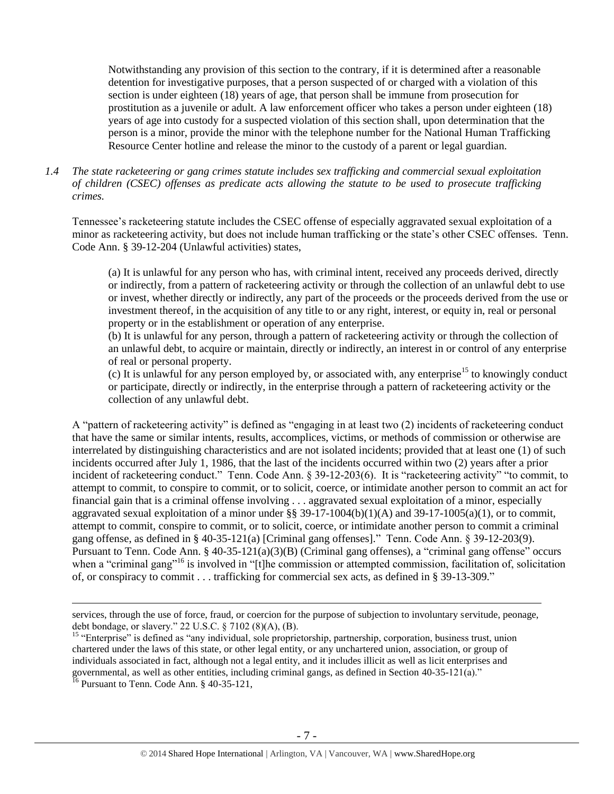Notwithstanding any provision of this section to the contrary, if it is determined after a reasonable detention for investigative purposes, that a person suspected of or charged with a violation of this section is under eighteen (18) years of age, that person shall be immune from prosecution for prostitution as a juvenile or adult. A law enforcement officer who takes a person under eighteen (18) years of age into custody for a suspected violation of this section shall, upon determination that the person is a minor, provide the minor with the telephone number for the National Human Trafficking Resource Center hotline and release the minor to the custody of a parent or legal guardian.

*1.4 The state racketeering or gang crimes statute includes sex trafficking and commercial sexual exploitation of children (CSEC) offenses as predicate acts allowing the statute to be used to prosecute trafficking crimes.* 

Tennessee's racketeering statute includes the CSEC offense of especially aggravated sexual exploitation of a minor as racketeering activity, but does not include human trafficking or the state's other CSEC offenses. Tenn. Code Ann. § 39-12-204 (Unlawful activities) states,

(a) It is unlawful for any person who has, with criminal intent, received any proceeds derived, directly or indirectly, from a pattern of racketeering activity or through the collection of an unlawful debt to use or invest, whether directly or indirectly, any part of the proceeds or the proceeds derived from the use or investment thereof, in the acquisition of any title to or any right, interest, or equity in, real or personal property or in the establishment or operation of any enterprise.

(b) It is unlawful for any person, through a pattern of racketeering activity or through the collection of an unlawful debt, to acquire or maintain, directly or indirectly, an interest in or control of any enterprise of real or personal property.

(c) It is unlawful for any person employed by, or associated with, any enterprise<sup>15</sup> to knowingly conduct or participate, directly or indirectly, in the enterprise through a pattern of racketeering activity or the collection of any unlawful debt.

A "pattern of racketeering activity" is defined as "engaging in at least two (2) incidents of racketeering conduct that have the same or similar intents, results, accomplices, victims, or methods of commission or otherwise are interrelated by distinguishing characteristics and are not isolated incidents; provided that at least one (1) of such incidents occurred after July 1, 1986, that the last of the incidents occurred within two (2) years after a prior incident of racketeering conduct." Tenn. Code Ann. § 39-12-203(6). It is "racketeering activity" "to commit, to attempt to commit, to conspire to commit, or to solicit, coerce, or intimidate another person to commit an act for financial gain that is a criminal offense involving . . . aggravated sexual exploitation of a minor, especially aggravated sexual exploitation of a minor under §§ 39-17-1004(b)(1)(A) and 39-17-1005(a)(1), or to commit, attempt to commit, conspire to commit, or to solicit, coerce, or intimidate another person to commit a criminal gang offense, as defined in § 40-35-121(a) [Criminal gang offenses]." Tenn. Code Ann. § 39-12-203(9). Pursuant to Tenn. Code Ann. § 40-35-121(a)(3)(B) (Criminal gang offenses), a "criminal gang offense" occurs when a "criminal gang"<sup>16</sup> is involved in "[t]he commission or attempted commission, facilitation of, solicitation of, or conspiracy to commit . . . trafficking for commercial sex acts, as defined in § 39-13-309."

services, through the use of force, fraud, or coercion for the purpose of subjection to involuntary servitude, peonage, debt bondage, or slavery." 22 U.S.C. § 7102 (8)(A), (B).

<sup>&</sup>lt;sup>15</sup> "Enterprise" is defined as "any individual, sole proprietorship, partnership, corporation, business trust, union chartered under the laws of this state, or other legal entity, or any unchartered union, association, or group of individuals associated in fact, although not a legal entity, and it includes illicit as well as licit enterprises and governmental, as well as other entities, including criminal gangs, as defined in Section 40-35-121(a)."

 $^{16}$  Pursuant to Tenn. Code Ann. § 40-35-121,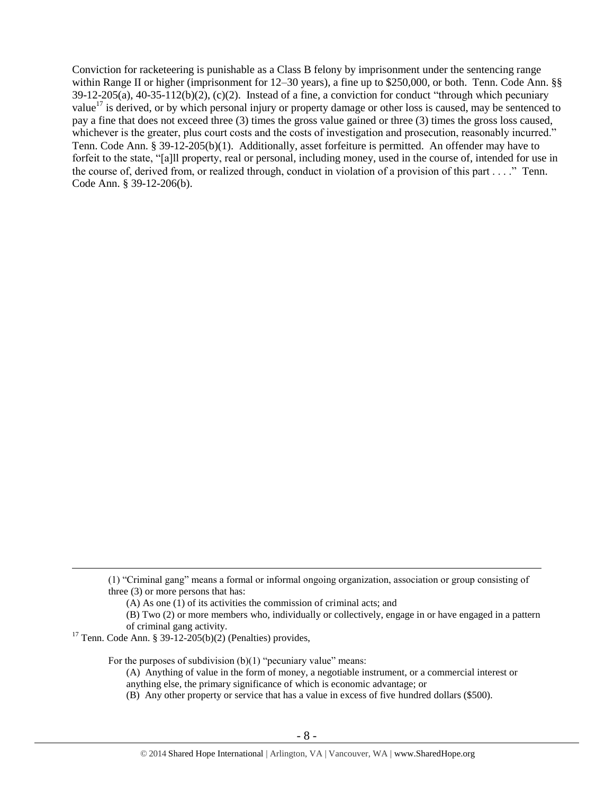Conviction for racketeering is punishable as a Class B felony by imprisonment under the sentencing range within Range II or higher (imprisonment for 12–30 years), a fine up to \$250,000, or both. Tenn. Code Ann. §§  $39-12-205(a)$ ,  $40-35-112(b)(2)$ ,  $(c)(2)$ . Instead of a fine, a conviction for conduct "through which pecuniary value<sup>17</sup> is derived, or by which personal injury or property damage or other loss is caused, may be sentenced to pay a fine that does not exceed three (3) times the gross value gained or three (3) times the gross loss caused, whichever is the greater, plus court costs and the costs of investigation and prosecution, reasonably incurred." Tenn. Code Ann. § 39-12-205(b)(1). Additionally, asset forfeiture is permitted. An offender may have to forfeit to the state, "[a]ll property, real or personal, including money, used in the course of, intended for use in the course of, derived from, or realized through, conduct in violation of a provision of this part . . . ." Tenn. Code Ann. § 39-12-206(b).

 $17$  Tenn. Code Ann. § 39-12-205(b)(2) (Penalties) provides,

 $\overline{a}$ 

For the purposes of subdivision  $(b)(1)$  "pecuniary value" means:

<sup>(1) &</sup>quot;Criminal gang" means a formal or informal ongoing organization, association or group consisting of three (3) or more persons that has:

<sup>(</sup>A) As one (1) of its activities the commission of criminal acts; and

<sup>(</sup>B) Two (2) or more members who, individually or collectively, engage in or have engaged in a pattern of criminal gang activity.

<sup>(</sup>A) Anything of value in the form of money, a negotiable instrument, or a commercial interest or anything else, the primary significance of which is economic advantage; or

<sup>(</sup>B) Any other property or service that has a value in excess of five hundred dollars (\$500).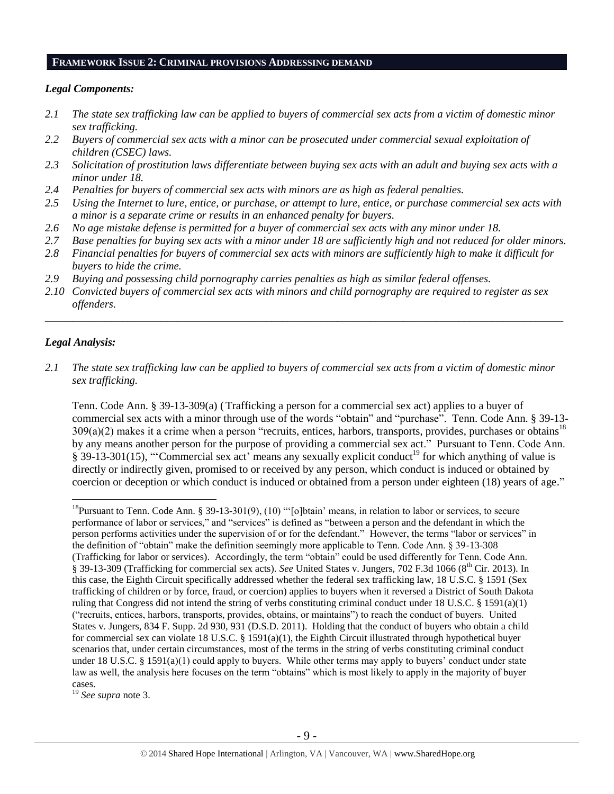#### **FRAMEWORK ISSUE 2: CRIMINAL PROVISIONS ADDRESSING DEMAND**

#### *Legal Components:*

- *2.1 The state sex trafficking law can be applied to buyers of commercial sex acts from a victim of domestic minor sex trafficking.*
- *2.2 Buyers of commercial sex acts with a minor can be prosecuted under commercial sexual exploitation of children (CSEC) laws.*
- *2.3 Solicitation of prostitution laws differentiate between buying sex acts with an adult and buying sex acts with a minor under 18.*
- *2.4 Penalties for buyers of commercial sex acts with minors are as high as federal penalties.*
- *2.5 Using the Internet to lure, entice, or purchase, or attempt to lure, entice, or purchase commercial sex acts with a minor is a separate crime or results in an enhanced penalty for buyers.*
- *2.6 No age mistake defense is permitted for a buyer of commercial sex acts with any minor under 18.*
- *2.7 Base penalties for buying sex acts with a minor under 18 are sufficiently high and not reduced for older minors.*
- *2.8 Financial penalties for buyers of commercial sex acts with minors are sufficiently high to make it difficult for buyers to hide the crime.*
- *2.9 Buying and possessing child pornography carries penalties as high as similar federal offenses.*
- *2.10 Convicted buyers of commercial sex acts with minors and child pornography are required to register as sex offenders.*

\_\_\_\_\_\_\_\_\_\_\_\_\_\_\_\_\_\_\_\_\_\_\_\_\_\_\_\_\_\_\_\_\_\_\_\_\_\_\_\_\_\_\_\_\_\_\_\_\_\_\_\_\_\_\_\_\_\_\_\_\_\_\_\_\_\_\_\_\_\_\_\_\_\_\_\_\_\_\_\_\_\_\_\_\_\_\_\_\_\_\_\_\_\_

#### *Legal Analysis:*

 $\overline{a}$ 

*2.1 The state sex trafficking law can be applied to buyers of commercial sex acts from a victim of domestic minor sex trafficking.*

Tenn. Code Ann. § 39-13-309(a) (Trafficking a person for a commercial sex act) applies to a buyer of commercial sex acts with a minor through use of the words "obtain" and "purchase". Tenn. Code Ann. § 39-13-  $309(a)(2)$  makes it a crime when a person "recruits, entices, harbors, transports, provides, purchases or obtains<sup>18</sup> by any means another person for the purpose of providing a commercial sex act." Pursuant to Tenn. Code Ann.  $\S 39-13-301(15)$ , "Commercial sex act' means any sexually explicit conduct<sup>19</sup> for which anything of value is directly or indirectly given, promised to or received by any person, which conduct is induced or obtained by coercion or deception or which conduct is induced or obtained from a person under eighteen (18) years of age."

<sup>19</sup> *See supra* note [3.](#page-1-0)

<sup>&</sup>lt;sup>18</sup>Pursuant to Tenn. Code Ann. § 39-13-301(9), (10) "'[o]btain' means, in relation to labor or services, to secure performance of labor or services," and "services" is defined as "between a person and the defendant in which the person performs activities under the supervision of or for the defendant." However, the terms "labor or services" in the definition of "obtain" make the definition seemingly more applicable to Tenn. Code Ann. § 39-13-308 (Trafficking for labor or services). Accordingly, the term "obtain" could be used differently for Tenn. Code Ann. § 39-13-309 (Trafficking for commercial sex acts). *See* United States v. Jungers, 702 F.3d 1066 (8<sup>th</sup> Cir. 2013). In this case, the Eighth Circuit specifically addressed whether the federal sex trafficking law, 18 U.S.C. § 1591 (Sex trafficking of children or by force, fraud, or coercion) applies to buyers when it reversed a District of South Dakota ruling that Congress did not intend the string of verbs constituting criminal conduct under 18 U.S.C.  $\S$  1591(a)(1) ("recruits, entices, harbors, transports, provides, obtains, or maintains") to reach the conduct of buyers. United States v. Jungers, 834 F. Supp. 2d 930, 931 (D.S.D. 2011). Holding that the conduct of buyers who obtain a child for commercial sex can violate 18 U.S.C. § 1591(a)(1), the Eighth Circuit illustrated through hypothetical buyer scenarios that, under certain circumstances, most of the terms in the string of verbs constituting criminal conduct under 18 U.S.C. § 1591(a)(1) could apply to buyers. While other terms may apply to buyers' conduct under state law as well, the analysis here focuses on the term "obtains" which is most likely to apply in the majority of buyer cases.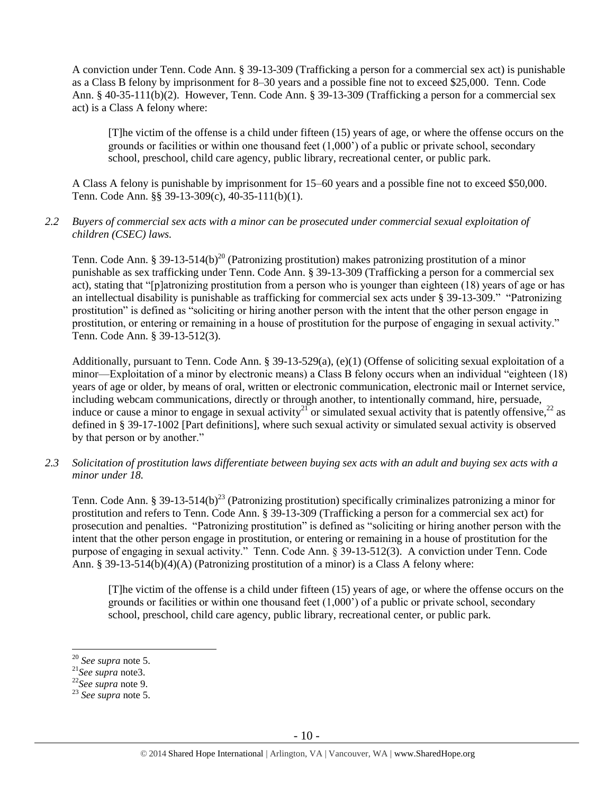A conviction under Tenn. Code Ann. § 39-13-309 (Trafficking a person for a commercial sex act) is punishable as a Class B felony by imprisonment for 8–30 years and a possible fine not to exceed \$25,000. Tenn. Code Ann. § 40-35-111(b)(2). However, Tenn. Code Ann. § 39-13-309 (Trafficking a person for a commercial sex act) is a Class A felony where:

[T]he victim of the offense is a child under fifteen (15) years of age, or where the offense occurs on the grounds or facilities or within one thousand feet (1,000') of a public or private school, secondary school, preschool, child care agency, public library, recreational center, or public park.

A Class A felony is punishable by imprisonment for 15–60 years and a possible fine not to exceed \$50,000. Tenn. Code Ann. §§ 39-13-309(c), 40-35-111(b)(1).

#### *2.2 Buyers of commercial sex acts with a minor can be prosecuted under commercial sexual exploitation of children (CSEC) laws.*

Tenn. Code Ann. § 39-13-514(b)<sup>20</sup> (Patronizing prostitution) makes patronizing prostitution of a minor punishable as sex trafficking under Tenn. Code Ann. § 39-13-309 (Trafficking a person for a commercial sex act), stating that "[p]atronizing prostitution from a person who is younger than eighteen (18) years of age or has an intellectual disability is punishable as trafficking for commercial sex acts under § 39-13-309." "Patronizing prostitution" is defined as "soliciting or hiring another person with the intent that the other person engage in prostitution, or entering or remaining in a house of prostitution for the purpose of engaging in sexual activity." Tenn. Code Ann. § 39-13-512(3).

Additionally, pursuant to Tenn. Code Ann. § 39-13-529(a), (e)(1) (Offense of soliciting sexual exploitation of a minor—Exploitation of a minor by electronic means) a Class B felony occurs when an individual "eighteen (18) years of age or older, by means of oral, written or electronic communication, electronic mail or Internet service, including webcam communications, directly or through another, to intentionally command, hire, persuade, induce or cause a minor to engage in sexual activity<sup>21</sup> or simulated sexual activity that is patently offensive,<sup>22</sup> as defined in § 39-17-1002 [Part definitions], where such sexual activity or simulated sexual activity is observed by that person or by another."

*2.3 Solicitation of prostitution laws differentiate between buying sex acts with an adult and buying sex acts with a minor under 18.*

Tenn. Code Ann. § 39-13-514(b)<sup>23</sup> (Patronizing prostitution) specifically criminalizes patronizing a minor for prostitution and refers to Tenn. Code Ann. § 39-13-309 (Trafficking a person for a commercial sex act) for prosecution and penalties. "Patronizing prostitution" is defined as "soliciting or hiring another person with the intent that the other person engage in prostitution, or entering or remaining in a house of prostitution for the purpose of engaging in sexual activity." Tenn. Code Ann. § 39-13-512(3). A conviction under Tenn. Code Ann. § 39-13-514(b)(4)(A) (Patronizing prostitution of a minor) is a Class A felony where:

[T]he victim of the offense is a child under fifteen (15) years of age, or where the offense occurs on the grounds or facilities or within one thousand feet (1,000') of a public or private school, secondary school, preschool, child care agency, public library, recreational center, or public park.

<sup>20</sup> *See supra* note [5.](#page-2-1)

<sup>21</sup>*See supra* not[e3.](#page-1-0)

<sup>22</sup>*See supra* note [9.](#page-3-0)

<sup>23</sup> *See supra* note [5.](#page-2-1)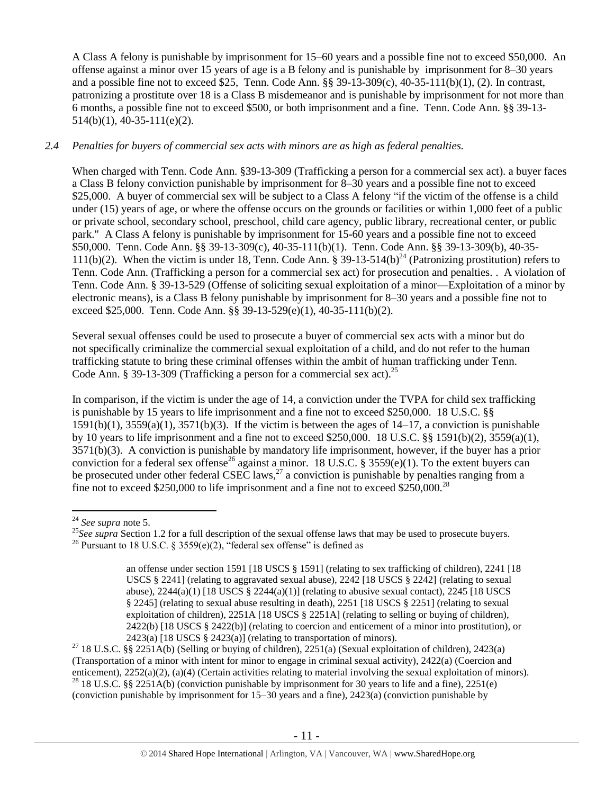A Class A felony is punishable by imprisonment for 15–60 years and a possible fine not to exceed \$50,000. An offense against a minor over 15 years of age is a B felony and is punishable by imprisonment for 8–30 years and a possible fine not to exceed \$25, Tenn. Code Ann. §§ 39-13-309(c), 40-35-111(b)(1), (2). In contrast, patronizing a prostitute over 18 is a Class B misdemeanor and is punishable by imprisonment for not more than 6 months, a possible fine not to exceed \$500, or both imprisonment and a fine. Tenn. Code Ann. §§ 39-13- 514(b)(1), 40-35-111(e)(2).

## *2.4 Penalties for buyers of commercial sex acts with minors are as high as federal penalties.*

When charged with Tenn. Code Ann. §39-13-309 (Trafficking a person for a commercial sex act). a buyer faces a Class B felony conviction punishable by imprisonment for 8–30 years and a possible fine not to exceed \$25,000. A buyer of commercial sex will be subject to a Class A felony "if the victim of the offense is a child under (15) years of age, or where the offense occurs on the grounds or facilities or within 1,000 feet of a public or private school, secondary school, preschool, child care agency, public library, recreational center, or public park." A Class A felony is punishable by imprisonment for 15-60 years and a possible fine not to exceed \$50,000. Tenn. Code Ann. §§ 39-13-309(c), 40-35-111(b)(1). Tenn. Code Ann. §§ 39-13-309(b), 40-35- 111(b)(2). When the victim is under 18, Tenn. Code Ann. § 39-13-514(b)<sup>24</sup> (Patronizing prostitution) refers to Tenn. Code Ann. (Trafficking a person for a commercial sex act) for prosecution and penalties. . A violation of Tenn. Code Ann. § 39-13-529 (Offense of soliciting sexual exploitation of a minor—Exploitation of a minor by electronic means), is a Class B felony punishable by imprisonment for 8–30 years and a possible fine not to exceed \$25,000. Tenn. Code Ann. §§ 39-13-529(e)(1), 40-35-111(b)(2).

Several sexual offenses could be used to prosecute a buyer of commercial sex acts with a minor but do not specifically criminalize the commercial sexual exploitation of a child, and do not refer to the human trafficking statute to bring these criminal offenses within the ambit of human trafficking under Tenn. Code Ann. § 39-13-309 (Trafficking a person for a commercial sex act).<sup>25</sup>

<span id="page-10-0"></span>In comparison, if the victim is under the age of 14, a conviction under the TVPA for child sex trafficking is punishable by 15 years to life imprisonment and a fine not to exceed \$250,000. 18 U.S.C. §§  $1591(b)(1)$ ,  $3559(a)(1)$ ,  $3571(b)(3)$ . If the victim is between the ages of  $14-17$ , a conviction is punishable by 10 years to life imprisonment and a fine not to exceed \$250,000. 18 U.S.C. §§ 1591(b)(2), 3559(a)(1), 3571(b)(3). A conviction is punishable by mandatory life imprisonment, however, if the buyer has a prior conviction for a federal sex offense<sup>26</sup> against a minor. 18 U.S.C. § 3559(e)(1). To the extent buyers can be prosecuted under other federal CSEC laws,  $27$  a conviction is punishable by penalties ranging from a fine not to exceed \$250,000 to life imprisonment and a fine not to exceed \$250,000.<sup>28</sup>

 $\overline{a}$ 

<sup>27</sup> 18 U.S.C. §§ 2251A(b) (Selling or buying of children), 2251(a) (Sexual exploitation of children), 2423(a) (Transportation of a minor with intent for minor to engage in criminal sexual activity), 2422(a) (Coercion and enticement), 2252(a)(2), (a)(4) (Certain activities relating to material involving the sexual exploitation of minors). <sup>28</sup> 18 U.S.C. §§ 2251A(b) (conviction punishable by imprisonment for 30 years to life and a fine), 2251(e) (conviction punishable by imprisonment for 15–30 years and a fine), 2423(a) (conviction punishable by

<sup>24</sup> *See supra* note [5.](#page-2-1)

<sup>&</sup>lt;sup>25</sup>See supra Section 1.2 for a full description of the sexual offense laws that may be used to prosecute buyers.

<sup>&</sup>lt;sup>26</sup> Pursuant to 18 U.S.C. § 3559(e)(2), "federal sex offense" is defined as

<span id="page-10-1"></span>an offense under section 1591 [18 USCS § 1591] (relating to sex trafficking of children), 2241 [18 USCS § 2241] (relating to aggravated sexual abuse), 2242 [18 USCS § 2242] (relating to sexual abuse),  $2244(a)(1)$  [18 USCS §  $2244(a)(1)$ ] (relating to abusive sexual contact),  $2245$  [18 USCS § 2245] (relating to sexual abuse resulting in death), 2251 [18 USCS § 2251] (relating to sexual exploitation of children), 2251A [18 USCS § 2251A] (relating to selling or buying of children), 2422(b) [18 USCS § 2422(b)] (relating to coercion and enticement of a minor into prostitution), or  $2423(a)$  [18 USCS § 2423(a)] (relating to transportation of minors).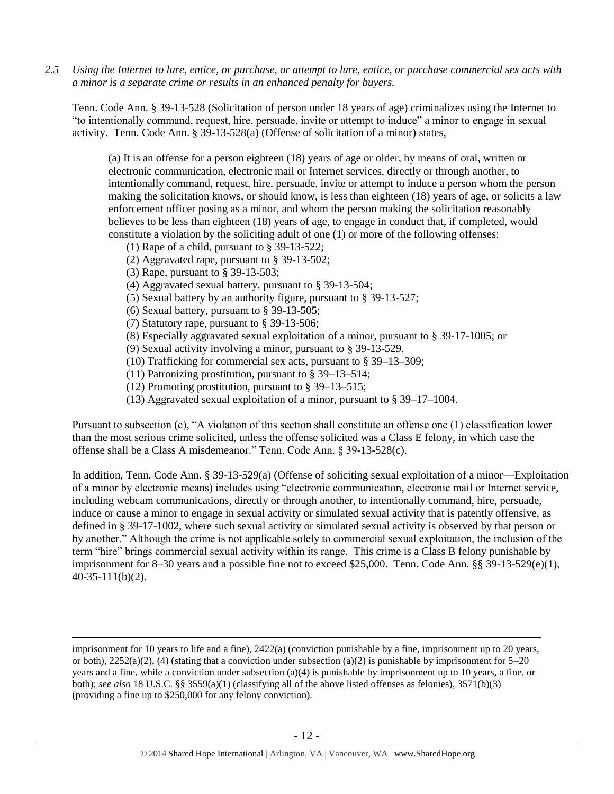*2.5 Using the Internet to lure, entice, or purchase, or attempt to lure, entice, or purchase commercial sex acts with a minor is a separate crime or results in an enhanced penalty for buyers.*

Tenn. Code Ann. § 39-13-528 (Solicitation of person under 18 years of age) criminalizes using the Internet to "to intentionally command, request, hire, persuade, invite or attempt to induce" a minor to engage in sexual activity. Tenn. Code Ann. § 39-13-528(a) (Offense of solicitation of a minor) states,

(a) It is an offense for a person eighteen (18) years of age or older, by means of oral, written or electronic communication, electronic mail or Internet services, directly or through another, to intentionally command, request, hire, persuade, invite or attempt to induce a person whom the person making the solicitation knows, or should know, is less than eighteen (18) years of age, or solicits a law enforcement officer posing as a minor, and whom the person making the solicitation reasonably believes to be less than eighteen (18) years of age, to engage in conduct that, if completed, would constitute a violation by the soliciting adult of one (1) or more of the following offenses:

- (1) Rape of a child, pursuant to [§ 39-13-522;](https://a.next.westlaw.com/Link/Document/FullText?findType=L&pubNum=1000039&cite=TNSTS39-13-522&originatingDoc=N61AFE9D1CCE411DB8F04FB3E68C8F4C5&refType=LQ&originationContext=document&transitionType=DocumentItem&contextData=(sc.UserEnteredCitation))
- (2) Aggravated rape, pursuant to [§ 39-13-502;](https://a.next.westlaw.com/Link/Document/FullText?findType=L&pubNum=1000039&cite=TNSTS39-13-502&originatingDoc=N61AFE9D1CCE411DB8F04FB3E68C8F4C5&refType=LQ&originationContext=document&transitionType=DocumentItem&contextData=(sc.UserEnteredCitation))
- (3) Rape, pursuant to [§ 39-13-503;](https://a.next.westlaw.com/Link/Document/FullText?findType=L&pubNum=1000039&cite=TNSTS39-13-503&originatingDoc=N61AFE9D1CCE411DB8F04FB3E68C8F4C5&refType=LQ&originationContext=document&transitionType=DocumentItem&contextData=(sc.UserEnteredCitation))

 $\overline{a}$ 

- (4) Aggravated sexual battery, pursuant to [§ 39-13-504;](https://a.next.westlaw.com/Link/Document/FullText?findType=L&pubNum=1000039&cite=TNSTS39-13-504&originatingDoc=N61AFE9D1CCE411DB8F04FB3E68C8F4C5&refType=LQ&originationContext=document&transitionType=DocumentItem&contextData=(sc.UserEnteredCitation))
- (5) Sexual battery by an authority figure, pursuant to [§ 39-13-527;](https://a.next.westlaw.com/Link/Document/FullText?findType=L&pubNum=1000039&cite=TNSTS39-13-527&originatingDoc=N61AFE9D1CCE411DB8F04FB3E68C8F4C5&refType=LQ&originationContext=document&transitionType=DocumentItem&contextData=(sc.UserEnteredCitation))
- (6) Sexual battery, pursuant to [§ 39-13-505;](https://a.next.westlaw.com/Link/Document/FullText?findType=L&pubNum=1000039&cite=TNSTS39-13-505&originatingDoc=N61AFE9D1CCE411DB8F04FB3E68C8F4C5&refType=LQ&originationContext=document&transitionType=DocumentItem&contextData=(sc.UserEnteredCitation))
- (7) Statutory rape, pursuant to [§ 39-13-506;](https://a.next.westlaw.com/Link/Document/FullText?findType=L&pubNum=1000039&cite=TNSTS39-13-506&originatingDoc=N61AFE9D1CCE411DB8F04FB3E68C8F4C5&refType=LQ&originationContext=document&transitionType=DocumentItem&contextData=(sc.UserEnteredCitation))
- (8) Especially aggravated sexual exploitation of a minor, pursuant to [§ 39-17-1005;](https://a.next.westlaw.com/Link/Document/FullText?findType=L&pubNum=1000039&cite=TNSTS39-17-1005&originatingDoc=N61AFE9D1CCE411DB8F04FB3E68C8F4C5&refType=LQ&originationContext=document&transitionType=DocumentItem&contextData=(sc.UserEnteredCitation)) or
- (9) Sexual activity involving a minor, pursuant to [§ 39-13-529.](https://a.next.westlaw.com/Link/Document/FullText?findType=L&pubNum=1000039&cite=TNSTS39-13-529&originatingDoc=N61AFE9D1CCE411DB8F04FB3E68C8F4C5&refType=LQ&originationContext=document&transitionType=DocumentItem&contextData=(sc.UserEnteredCitation))
- (10) Trafficking for commercial sex acts, pursuant to § 39–13–309;
- (11) Patronizing prostitution, pursuant to § 39–13–514;
- (12) Promoting prostitution, pursuant to § 39–13–515;
- (13) Aggravated sexual exploitation of a minor, pursuant to § 39–17–1004.

Pursuant to subsection (c), "A violation of this section shall constitute an offense one (1) classification lower than the most serious crime solicited, unless the offense solicited was a Class E felony, in which case the offense shall be a Class A misdemeanor." Tenn. Code Ann. § 39-13-528(c).

In addition, Tenn. Code Ann. § 39-13-529(a) (Offense of soliciting sexual exploitation of a minor—Exploitation of a minor by electronic means) includes using "electronic communication, electronic mail or Internet service, including webcam communications, directly or through another, to intentionally command, hire, persuade, induce or cause a minor to engage in sexual activity or simulated sexual activity that is patently offensive, as defined in § 39-17-1002, where such sexual activity or simulated sexual activity is observed by that person or by another." Although the crime is not applicable solely to commercial sexual exploitation, the inclusion of the term "hire" brings commercial sexual activity within its range. This crime is a Class B felony punishable by imprisonment for 8–30 years and a possible fine not to exceed \$25,000. Tenn. Code Ann. §§ 39-13-529(e)(1), 40-35-111(b)(2).

imprisonment for 10 years to life and a fine), 2422(a) (conviction punishable by a fine, imprisonment up to 20 years, or both),  $2252(a)(2)$ , (4) (stating that a conviction under subsection (a)(2) is punishable by imprisonment for  $5-20$ years and a fine, while a conviction under subsection (a)(4) is punishable by imprisonment up to 10 years, a fine, or both); *see also* 18 U.S.C. §§ 3559(a)(1) (classifying all of the above listed offenses as felonies), 3571(b)(3) (providing a fine up to \$250,000 for any felony conviction).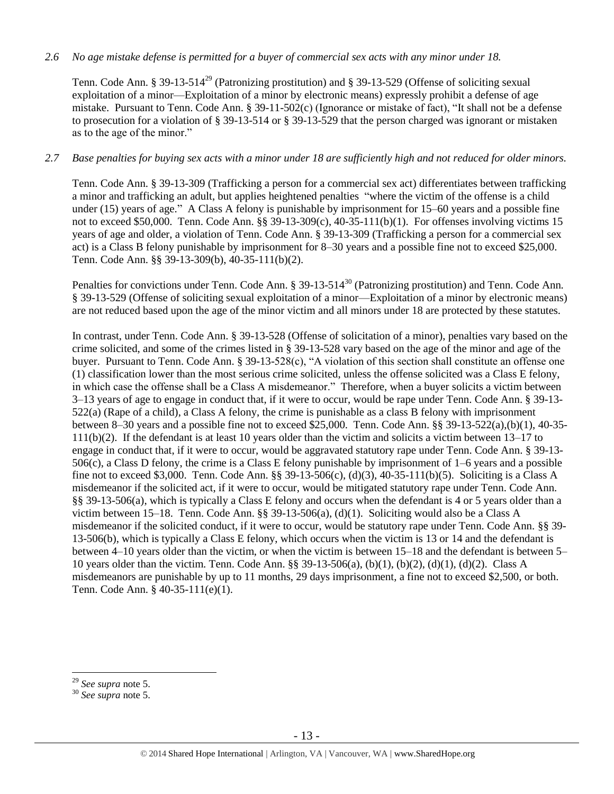#### *2.6 No age mistake defense is permitted for a buyer of commercial sex acts with any minor under 18.*

Tenn. Code Ann. § 39-13-514<sup>29</sup> (Patronizing prostitution) and § 39-13-529 (Offense of soliciting sexual exploitation of a minor—Exploitation of a minor by electronic means) expressly prohibit a defense of age mistake. Pursuant to Tenn. Code Ann. § 39-11-502(c) (Ignorance or mistake of fact), "It shall not be a defense to prosecution for a violation of § 39-13-514 or § 39-13-529 that the person charged was ignorant or mistaken as to the age of the minor."

#### *2.7 Base penalties for buying sex acts with a minor under 18 are sufficiently high and not reduced for older minors.*

Tenn. Code Ann. § 39-13-309 (Trafficking a person for a commercial sex act) differentiates between trafficking a minor and trafficking an adult, but applies heightened penalties "where the victim of the offense is a child under (15) years of age." A Class A felony is punishable by imprisonment for 15–60 years and a possible fine not to exceed \$50,000. Tenn. Code Ann. §§ 39-13-309(c), 40-35-111(b)(1). For offenses involving victims 15 years of age and older, a violation of Tenn. Code Ann. § 39-13-309 (Trafficking a person for a commercial sex act) is a Class B felony punishable by imprisonment for 8–30 years and a possible fine not to exceed \$25,000. Tenn. Code Ann. §§ 39-13-309(b), 40-35-111(b)(2).

Penalties for convictions under Tenn. Code Ann. § 39-13-514<sup>30</sup> (Patronizing prostitution) and Tenn. Code Ann. § 39-13-529 (Offense of soliciting sexual exploitation of a minor—Exploitation of a minor by electronic means) are not reduced based upon the age of the minor victim and all minors under 18 are protected by these statutes.

In contrast, under Tenn. Code Ann. § 39-13-528 (Offense of solicitation of a minor), penalties vary based on the crime solicited, and some of the crimes listed in § 39-13-528 vary based on the age of the minor and age of the buyer. Pursuant to Tenn. Code Ann. § 39-13-528(c), "A violation of this section shall constitute an offense one (1) classification lower than the most serious crime solicited, unless the offense solicited was a Class E felony, in which case the offense shall be a Class A misdemeanor." Therefore, when a buyer solicits a victim between 3–13 years of age to engage in conduct that, if it were to occur, would be rape under Tenn. Code Ann. § 39-13- 522(a) (Rape of a child), a Class A felony, the crime is punishable as a class B felony with imprisonment between 8–30 years and a possible fine not to exceed \$25,000. Tenn. Code Ann. §§ 39-13-522(a),(b)(1), 40-35- 111(b)(2). If the defendant is at least 10 years older than the victim and solicits a victim between 13–17 to engage in conduct that, if it were to occur, would be aggravated statutory rape under Tenn. Code Ann. § 39-13- 506(c), a Class D felony, the crime is a Class E felony punishable by imprisonment of 1–6 years and a possible fine not to exceed \$3,000. Tenn. Code Ann. §§ 39-13-506(c), (d)(3), 40-35-111(b)(5). Soliciting is a Class A misdemeanor if the solicited act, if it were to occur, would be mitigated statutory rape under Tenn. Code Ann. §§ 39-13-506(a), which is typically a Class E felony and occurs when the defendant is 4 or 5 years older than a victim between 15–18. Tenn. Code Ann. §§ 39-13-506(a), (d)(1). Soliciting would also be a Class A misdemeanor if the solicited conduct, if it were to occur, would be statutory rape under Tenn. Code Ann. §§ 39- 13-506(b), which is typically a Class E felony, which occurs when the victim is 13 or 14 and the defendant is between 4–10 years older than the victim, or when the victim is between 15–18 and the defendant is between 5– 10 years older than the victim. Tenn. Code Ann. §§ 39-13-506(a), (b)(1), (b)(2), (d)(1), (d)(2). Class A misdemeanors are punishable by up to 11 months, 29 days imprisonment, a fine not to exceed \$2,500, or both. Tenn. Code Ann. § 40-35-111(e)(1).

<sup>29</sup> *See supra* note [5.](#page-2-1)

<sup>30</sup> *See supra* note [5.](#page-2-1)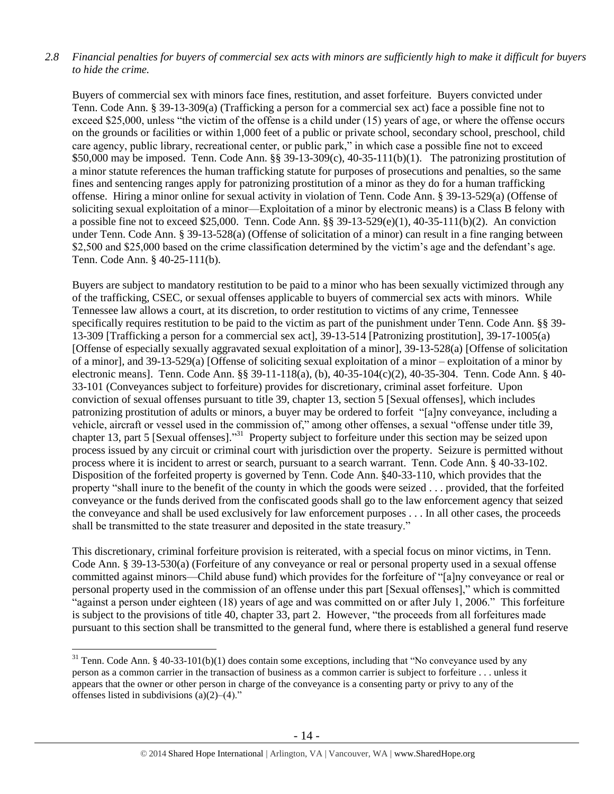## *2.8 Financial penalties for buyers of commercial sex acts with minors are sufficiently high to make it difficult for buyers to hide the crime.*

Buyers of commercial sex with minors face fines, restitution, and asset forfeiture. Buyers convicted under Tenn. Code Ann. § 39-13-309(a) (Trafficking a person for a commercial sex act) face a possible fine not to exceed \$25,000, unless "the victim of the offense is a child under (15) years of age, or where the offense occurs on the grounds or facilities or within 1,000 feet of a public or private school, secondary school, preschool, child care agency, public library, recreational center, or public park," in which case a possible fine not to exceed \$50,000 may be imposed. Tenn. Code Ann. §§ 39-13-309(c), 40-35-111(b)(1). The patronizing prostitution of a minor statute references the human trafficking statute for purposes of prosecutions and penalties, so the same fines and sentencing ranges apply for patronizing prostitution of a minor as they do for a human trafficking offense. Hiring a minor online for sexual activity in violation of Tenn. Code Ann. § 39-13-529(a) (Offense of soliciting sexual exploitation of a minor—Exploitation of a minor by electronic means) is a Class B felony with a possible fine not to exceed \$25,000. Tenn. Code Ann. §§ 39-13-529(e)(1), 40-35-111(b)(2). An conviction under Tenn. Code Ann. § 39-13-528(a) (Offense of solicitation of a minor) can result in a fine ranging between \$2,500 and \$25,000 based on the crime classification determined by the victim's age and the defendant's age. Tenn. Code Ann. § 40-25-111(b).

Buyers are subject to mandatory restitution to be paid to a minor who has been sexually victimized through any of the trafficking, CSEC, or sexual offenses applicable to buyers of commercial sex acts with minors. While Tennessee law allows a court, at its discretion, to order restitution to victims of any crime, Tennessee specifically requires restitution to be paid to the victim as part of the punishment under Tenn. Code Ann. §§ 39-13-309 [Trafficking a person for a commercial sex act], 39-13-514 [Patronizing prostitution], 39-17-1005(a) [Offense of especially sexually aggravated sexual exploitation of a minor], 39-13-528(a) [Offense of solicitation of a minor], and 39-13-529(a) [Offense of soliciting sexual exploitation of a minor – exploitation of a minor by electronic means]. Tenn. Code Ann. §§ 39-11-118(a), (b), 40-35-104(c)(2), 40-35-304. Tenn. Code Ann. § 40- 33-101 (Conveyances subject to forfeiture) provides for discretionary, criminal asset forfeiture. Upon conviction of sexual offenses pursuant to title 39, chapter 13, section 5 [Sexual offenses], which includes patronizing prostitution of adults or minors, a buyer may be ordered to forfeit "[a]ny conveyance, including a vehicle, aircraft or vessel used in the commission of," among other offenses, a sexual "offense under title 39, chapter 13, part 5 [Sexual offenses].<sup>331</sup> Property subject to forfeiture under this section may be seized upon process issued by any circuit or criminal court with jurisdiction over the property. Seizure is permitted without process where it is incident to arrest or search, pursuant to a search warrant. Tenn. Code Ann. § 40-33-102. Disposition of the forfeited property is governed by Tenn. Code Ann. §40-33-110, which provides that the property "shall inure to the benefit of the county in which the goods were seized . . . provided, that the forfeited conveyance or the funds derived from the confiscated goods shall go to the law enforcement agency that seized the conveyance and shall be used exclusively for law enforcement purposes . . . In all other cases, the proceeds shall be transmitted to the state treasurer and deposited in the state treasury."

This discretionary, criminal forfeiture provision is reiterated, with a special focus on minor victims, in Tenn. Code Ann. § 39-13-530(a) (Forfeiture of any conveyance or real or personal property used in a sexual offense committed against minors—Child abuse fund) which provides for the forfeiture of "[a]ny conveyance or real or personal property used in the commission of an offense under this part [Sexual offenses]," which is committed "against a person under eighteen (18) years of age and was committed on or after July 1, 2006." This forfeiture is subject to the provisions of title 40, chapter 33, part 2. However, "the proceeds from all forfeitures made pursuant to this section shall be transmitted to the general fund, where there is established a general fund reserve

 $31$  Tenn. Code Ann. § 40-33-101(b)(1) does contain some exceptions, including that "No conveyance used by any person as a common carrier in the transaction of business as a common carrier is subject to forfeiture . . . unless it appears that the owner or other person in charge of the conveyance is a consenting party or privy to any of the offenses listed in subdivisions  $(a)(2)$ – $(4)$ ."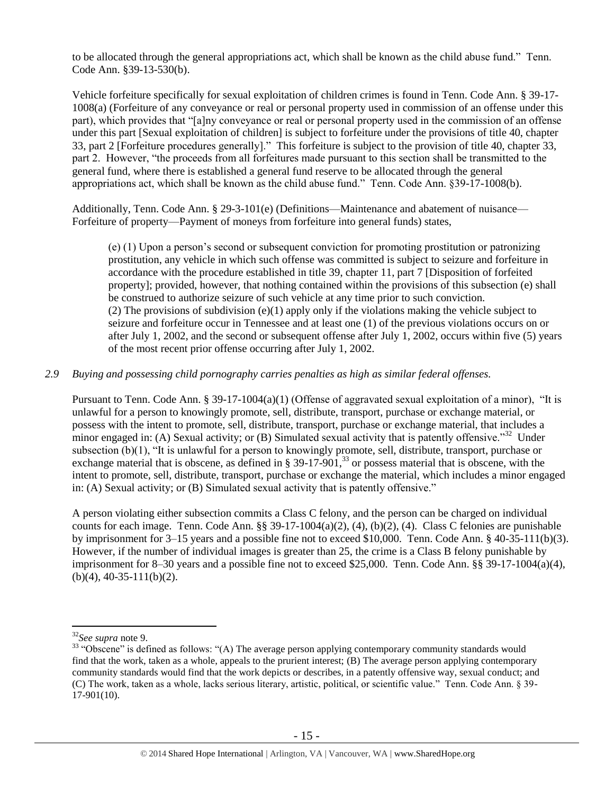to be allocated through the general appropriations act, which shall be known as the child abuse fund." Tenn. Code Ann. §39-13-530(b).

Vehicle forfeiture specifically for sexual exploitation of children crimes is found in Tenn. Code Ann. § 39-17- 1008(a) (Forfeiture of any conveyance or real or personal property used in commission of an offense under this part), which provides that "[a]ny conveyance or real or personal property used in the commission of an offense under this part [Sexual exploitation of children] is subject to forfeiture under the provisions of title 40, chapter 33, part 2 [Forfeiture procedures generally]." This forfeiture is subject to the provision of title 40, chapter 33, part 2. However, "the proceeds from all forfeitures made pursuant to this section shall be transmitted to the general fund, where there is established a general fund reserve to be allocated through the general appropriations act, which shall be known as the child abuse fund." Tenn. Code Ann. §39-17-1008(b).

Additionally, Tenn. Code Ann. § 29-3-101(e) (Definitions—Maintenance and abatement of nuisance— Forfeiture of property—Payment of moneys from forfeiture into general funds) states,

(e) (1) Upon a person's second or subsequent conviction for promoting prostitution or patronizing prostitution, any vehicle in which such offense was committed is subject to seizure and forfeiture in accordance with the procedure established in title 39, chapter 11, part 7 [Disposition of forfeited property]; provided, however, that nothing contained within the provisions of this subsection (e) shall be construed to authorize seizure of such vehicle at any time prior to such conviction. (2) The provisions of subdivision  $(e)(1)$  apply only if the violations making the vehicle subject to seizure and forfeiture occur in Tennessee and at least one (1) of the previous violations occurs on or after July 1, 2002, and the second or subsequent offense after July 1, 2002, occurs within five (5) years of the most recent prior offense occurring after July 1, 2002.

## *2.9 Buying and possessing child pornography carries penalties as high as similar federal offenses.*

Pursuant to Tenn. Code Ann. § 39-17-1004(a)(1) (Offense of aggravated sexual exploitation of a minor), "It is unlawful for a person to knowingly promote, sell, distribute, transport, purchase or exchange material, or possess with the intent to promote, sell, distribute, transport, purchase or exchange material, that includes a minor engaged in: (A) Sexual activity; or (B) Simulated sexual activity that is patently offensive."<sup>32</sup> Under subsection (b)(1), "It is unlawful for a person to knowingly promote, sell, distribute, transport, purchase or exchange material that is obscene, as defined in  $\S 39-17-901$ ,  $33$  or possess material that is obscene, with the intent to promote, sell, distribute, transport, purchase or exchange the material, which includes a minor engaged in: (A) Sexual activity; or (B) Simulated sexual activity that is patently offensive."

<span id="page-14-0"></span>A person violating either subsection commits a Class C felony, and the person can be charged on individual counts for each image. Tenn. Code Ann. §§ 39-17-1004(a)(2), (4), (b)(2), (4). Class C felonies are punishable by imprisonment for 3–15 years and a possible fine not to exceed \$10,000. Tenn. Code Ann. § 40-35-111(b)(3). However, if the number of individual images is greater than 25, the crime is a Class B felony punishable by imprisonment for 8–30 years and a possible fine not to exceed \$25,000. Tenn. Code Ann.  $\S$ § 39-17-1004(a)(4),  $(b)(4)$ , 40-35-111(b)(2).

<sup>32</sup>*See supra* note [9.](#page-3-0)

<sup>&</sup>lt;sup>33</sup> "Obscene" is defined as follows: "(A) The average person applying contemporary community standards would find that the work, taken as a whole, appeals to the prurient interest; (B) The average person applying contemporary community standards would find that the work depicts or describes, in a patently offensive way, sexual conduct; and (C) The work, taken as a whole, lacks serious literary, artistic, political, or scientific value." Tenn. Code Ann. § 39- 17-901(10).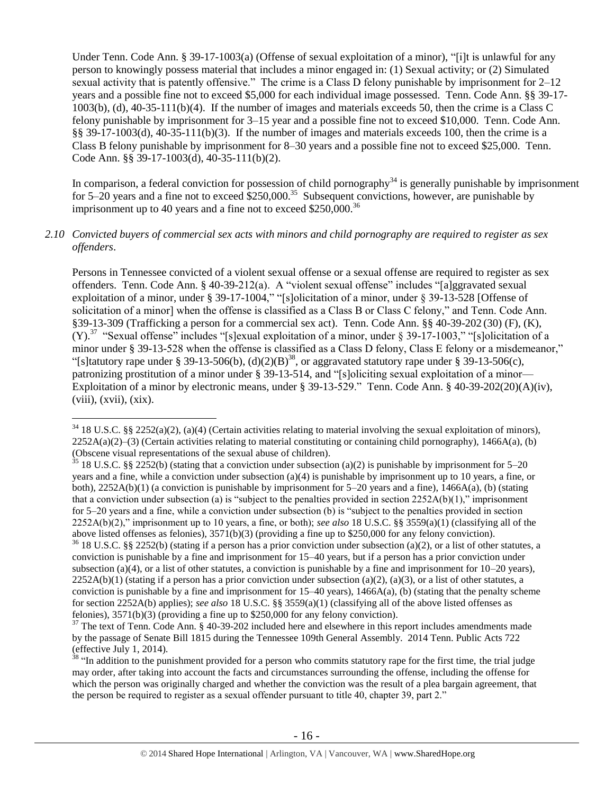Under Tenn. Code Ann. § 39-17-1003(a) (Offense of sexual exploitation of a minor), "[i]t is unlawful for any person to knowingly possess material that includes a minor engaged in: (1) Sexual activity; or (2) Simulated sexual activity that is patently offensive." The crime is a Class D felony punishable by imprisonment for 2–12 years and a possible fine not to exceed \$5,000 for each individual image possessed. Tenn. Code Ann. §§ 39-17- 1003(b), (d), 40-35-111(b)(4). If the number of images and materials exceeds 50, then the crime is a Class C felony punishable by imprisonment for 3–15 year and a possible fine not to exceed \$10,000. Tenn. Code Ann. §§ 39-17-1003(d), 40-35-111(b)(3). If the number of images and materials exceeds 100, then the crime is a Class B felony punishable by imprisonment for 8–30 years and a possible fine not to exceed \$25,000. Tenn. Code Ann. §§ 39-17-1003(d), 40-35-111(b)(2).

In comparison, a federal conviction for possession of child pornography<sup>34</sup> is generally punishable by imprisonment for 5–20 years and a fine not to exceed  $$250,000$ .<sup>35</sup> Subsequent convictions, however, are punishable by imprisonment up to 40 years and a fine not to exceed  $$250,000$ .<sup>36</sup>

#### *2.10 Convicted buyers of commercial sex acts with minors and child pornography are required to register as sex offenders*.

<span id="page-15-0"></span>Persons in Tennessee convicted of a violent sexual offense or a sexual offense are required to register as sex offenders. Tenn. Code Ann. § 40-39-212(a). A "violent sexual offense" includes "[a]ggravated sexual exploitation of a minor, under § 39-17-1004," "[s]olicitation of a minor, under § 39-13-528 [Offense of solicitation of a minor] when the offense is classified as a Class B or Class C felony," and Tenn. Code Ann. §39-13-309 (Trafficking a person for a commercial sex act). Tenn. Code Ann. §§ 40-39-202 (30) (F), (K),  $(Y)$ .<sup>37</sup> "Sexual offense" includes "[s]exual exploitation of a minor, under § 39-17-1003," "[s]olicitation of a minor under § 39-13-528 when the offense is classified as a Class D felony, Class E felony or a misdemeanor," "[s]tatutory rape under § 39-13-506(b),  $(d)(2)(B)^{38}$ , or aggravated statutory rape under § 39-13-506(c), patronizing prostitution of a minor under § 39-13-514, and "[s]oliciting sexual exploitation of a minor— Exploitation of a minor by electronic means, under § 39-13-529." Tenn. Code Ann. § 40-39-202(20)(A)(iv),  $(viii)$ ,  $(xvii)$ ,  $(xix)$ .

 $34$  18 U.S.C. §§ 2252(a)(2), (a)(4) (Certain activities relating to material involving the sexual exploitation of minors),  $2252A(a)(2)$ –(3) (Certain activities relating to material constituting or containing child pornography), 1466A(a), (b) (Obscene visual representations of the sexual abuse of children).

 $35$  18 U.S.C. §§ 2252(b) (stating that a conviction under subsection (a)(2) is punishable by imprisonment for 5–20 years and a fine, while a conviction under subsection (a)(4) is punishable by imprisonment up to 10 years, a fine, or both),  $2252A(b)(1)$  (a conviction is punishable by imprisonment for 5–20 years and a fine),  $1466A(a)$ , (b) (stating that a conviction under subsection (a) is "subject to the penalties provided in section  $2252A(b)(1)$ ," imprisonment for 5–20 years and a fine, while a conviction under subsection (b) is "subject to the penalties provided in section 2252A(b)(2)," imprisonment up to 10 years, a fine, or both); *see also* 18 U.S.C. §§ 3559(a)(1) (classifying all of the above listed offenses as felonies), 3571(b)(3) (providing a fine up to \$250,000 for any felony conviction).

 $36$  18 U.S.C. §§ 2252(b) (stating if a person has a prior conviction under subsection (a)(2), or a list of other statutes, a conviction is punishable by a fine and imprisonment for 15–40 years, but if a person has a prior conviction under subsection (a)(4), or a list of other statutes, a conviction is punishable by a fine and imprisonment for  $10-20$  years),  $2252A(b)(1)$  (stating if a person has a prior conviction under subsection (a)(2), (a)(3), or a list of other statutes, a conviction is punishable by a fine and imprisonment for  $15-40$  years),  $1466A(a)$ , (b) (stating that the penalty scheme for section 2252A(b) applies); *see also* 18 U.S.C. §§ 3559(a)(1) (classifying all of the above listed offenses as felonies), 3571(b)(3) (providing a fine up to \$250,000 for any felony conviction).

 $37$  The text of Tenn. Code Ann. § 40-39-202 included here and elsewhere in this report includes amendments made by the passage of Senate Bill 1815 during the Tennessee 109th General Assembly. 2014 Tenn. Public Acts 722 (effective July 1, 2014).

 $38$  "In addition to the punishment provided for a person who commits statutory rape for the first time, the trial judge may order, after taking into account the facts and circumstances surrounding the offense, including the offense for which the person was originally charged and whether the conviction was the result of a plea bargain agreement, that the person be required to register as a sexual offender pursuant to title 40, chapter 39, part 2."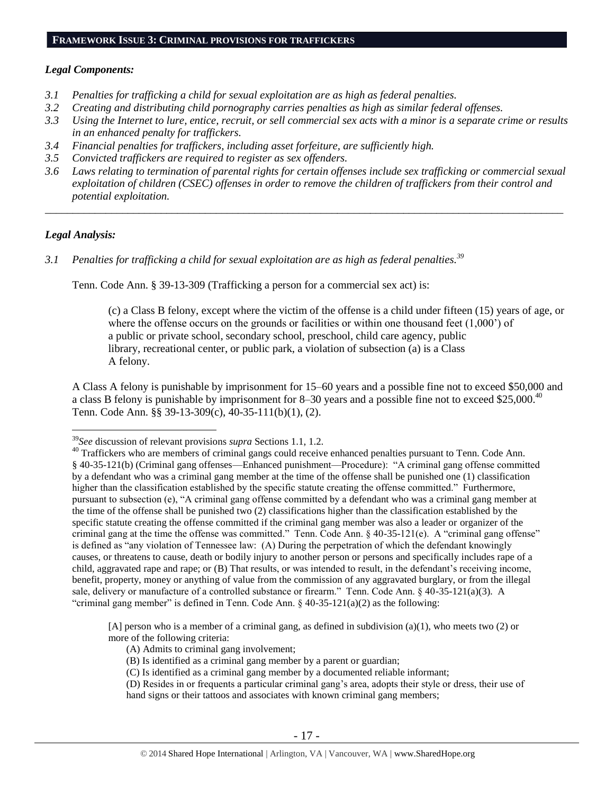## *Legal Components:*

- *3.1 Penalties for trafficking a child for sexual exploitation are as high as federal penalties.*
- *3.2 Creating and distributing child pornography carries penalties as high as similar federal offenses.*
- *3.3 Using the Internet to lure, entice, recruit, or sell commercial sex acts with a minor is a separate crime or results in an enhanced penalty for traffickers.*
- *3.4 Financial penalties for traffickers, including asset forfeiture, are sufficiently high.*
- *3.5 Convicted traffickers are required to register as sex offenders.*
- *3.6 Laws relating to termination of parental rights for certain offenses include sex trafficking or commercial sexual exploitation of children (CSEC) offenses in order to remove the children of traffickers from their control and potential exploitation.*

*\_\_\_\_\_\_\_\_\_\_\_\_\_\_\_\_\_\_\_\_\_\_\_\_\_\_\_\_\_\_\_\_\_\_\_\_\_\_\_\_\_\_\_\_\_\_\_\_\_\_\_\_\_\_\_\_\_\_\_\_\_\_\_\_\_\_\_\_\_\_\_\_\_\_\_\_\_\_\_\_\_\_\_\_\_\_\_\_\_\_\_\_\_\_*

## *Legal Analysis:*

 $\overline{a}$ 

*3.1 Penalties for trafficking a child for sexual exploitation are as high as federal penalties.<sup>39</sup>*

Tenn. Code Ann. § 39-13-309 (Trafficking a person for a commercial sex act) is:

(c) a Class B felony, except where the victim of the offense is a child under fifteen (15) years of age, or where the offense occurs on the grounds or facilities or within one thousand feet  $(1,000)$  of a public or private school, secondary school, preschool, child care agency, public library, recreational center, or public park, a violation of subsection (a) is a Class A felony.

A Class A felony is punishable by imprisonment for 15–60 years and a possible fine not to exceed \$50,000 and a class B felony is punishable by imprisonment for 8–30 years and a possible fine not to exceed \$25,000.<sup>40</sup> Tenn. Code Ann. §§ 39-13-309(c), 40-35-111(b)(1), (2).

[A] person who is a member of a criminal gang, as defined in subdivision (a)(1), who meets two (2) or more of the following criteria:

- (A) Admits to criminal gang involvement;
- (B) Is identified as a criminal gang member by a parent or guardian;
- (C) Is identified as a criminal gang member by a documented reliable informant;
- (D) Resides in or frequents a particular criminal gang's area, adopts their style or dress, their use of hand signs or their tattoos and associates with known criminal gang members;

<sup>39</sup>*See* discussion of relevant provisions *supra* Sections 1.1, 1.2.

<sup>&</sup>lt;sup>40</sup> Traffickers who are members of criminal gangs could receive enhanced penalties pursuant to Tenn. Code Ann. § 40-35-121(b) (Criminal gang offenses—Enhanced punishment—Procedure): "A criminal gang offense committed by a defendant who was a criminal gang member at the time of the offense shall be punished one (1) classification higher than the classification established by the specific statute creating the offense committed." Furthermore, pursuant to subsection (e), "A criminal gang offense committed by a defendant who was a criminal gang member at the time of the offense shall be punished two (2) classifications higher than the classification established by the specific statute creating the offense committed if the criminal gang member was also a leader or organizer of the criminal gang at the time the offense was committed." Tenn. Code Ann. § 40-35-121(e). A "criminal gang offense" is defined as "any violation of Tennessee law: (A) During the perpetration of which the defendant knowingly causes, or threatens to cause, death or bodily injury to another person or persons and specifically includes rape of a child, aggravated rape and rape; or (B) That results, or was intended to result, in the defendant's receiving income, benefit, property, money or anything of value from the commission of any aggravated burglary, or from the illegal sale, delivery or manufacture of a controlled substance or firearm." Tenn. Code Ann. § 40-35-121(a)(3). A "criminal gang member" is defined in Tenn. Code Ann.  $\S$  40-35-121(a)(2) as the following: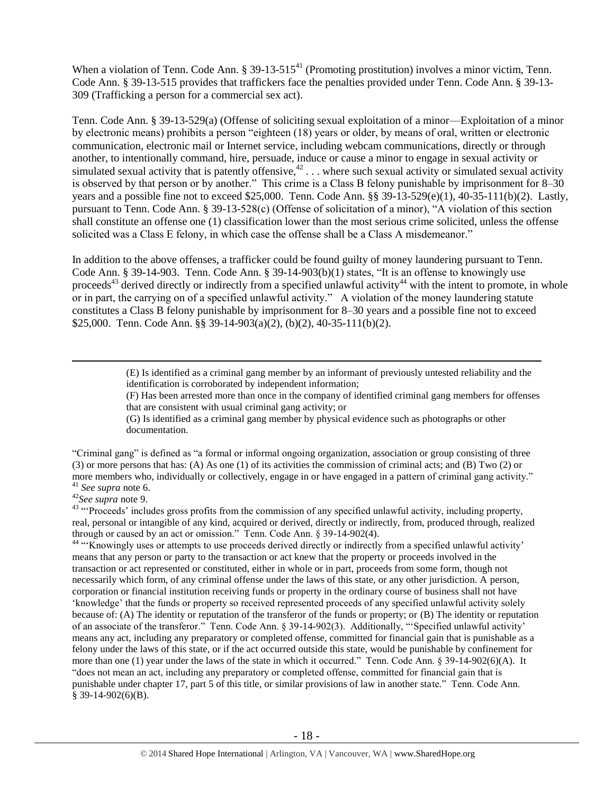When a violation of Tenn. Code Ann.  $\S 39-13-515<sup>41</sup>$  (Promoting prostitution) involves a minor victim, Tenn. Code Ann. § 39-13-515 provides that traffickers face the penalties provided under Tenn. Code Ann. § 39-13- 309 (Trafficking a person for a commercial sex act).

Tenn. Code Ann. § 39-13-529(a) (Offense of soliciting sexual exploitation of a minor—Exploitation of a minor by electronic means) prohibits a person "eighteen (18) years or older, by means of oral, written or electronic communication, electronic mail or Internet service, including webcam communications, directly or through another, to intentionally command, hire, persuade, induce or cause a minor to engage in sexual activity or simulated sexual activity that is patently offensive,  $42 \ldots$  where such sexual activity or simulated sexual activity is observed by that person or by another." This crime is a Class B felony punishable by imprisonment for 8–30 years and a possible fine not to exceed \$25,000. Tenn. Code Ann. §§ 39-13-529(e)(1), 40-35-111(b)(2). Lastly, pursuant to Tenn. Code Ann. § 39-13-528(c) (Offense of solicitation of a minor), "A violation of this section shall constitute an offense one (1) classification lower than the most serious crime solicited, unless the offense solicited was a Class E felony, in which case the offense shall be a Class A misdemeanor."

<span id="page-17-0"></span>In addition to the above offenses, a trafficker could be found guilty of money laundering pursuant to Tenn. Code Ann. § 39-14-903. Tenn. Code Ann. § 39-14-903(b)(1) states, "It is an offense to knowingly use proceeds<sup>43</sup> derived directly or indirectly from a specified unlawful activity<sup>44</sup> with the intent to promote, in whole or in part, the carrying on of a specified unlawful activity." A violation of the money laundering statute constitutes a Class B felony punishable by imprisonment for 8–30 years and a possible fine not to exceed \$25,000. Tenn. Code Ann. §§ 39-14-903(a)(2), (b)(2), 40-35-111(b)(2).

> <span id="page-17-1"></span>(E) Is identified as a criminal gang member by an informant of previously untested reliability and the identification is corroborated by independent information;

(F) Has been arrested more than once in the company of identified criminal gang members for offenses that are consistent with usual criminal gang activity; or

(G) Is identified as a criminal gang member by physical evidence such as photographs or other documentation.

"Criminal gang" is defined as "a formal or informal ongoing organization, association or group consisting of three (3) or more persons that has: (A) As one (1) of its activities the commission of criminal acts; and (B) Two (2) or more members who, individually or collectively, engage in or have engaged in a pattern of criminal gang activity." <sup>41</sup> *See supra* note [6.](#page-2-0)

<sup>42</sup>*See supra* note [9.](#page-3-0)

 $\overline{a}$ 

<sup>43</sup> "Proceeds' includes gross profits from the commission of any specified unlawful activity, including property, real, personal or intangible of any kind, acquired or derived, directly or indirectly, from, produced through, realized through or caused by an act or omission." Tenn. Code Ann. § 39-14-902(4).

<sup>44</sup> "Knowingly uses or attempts to use proceeds derived directly or indirectly from a specified unlawful activity' means that any person or party to the transaction or act knew that the property or proceeds involved in the transaction or act represented or constituted, either in whole or in part, proceeds from some form, though not necessarily which form, of any criminal offense under the laws of this state, or any other jurisdiction. A person, corporation or financial institution receiving funds or property in the ordinary course of business shall not have 'knowledge' that the funds or property so received represented proceeds of any specified unlawful activity solely because of: (A) The identity or reputation of the transferor of the funds or property; or (B) The identity or reputation of an associate of the transferor." Tenn. Code Ann. § 39-14-902(3). Additionally, "'Specified unlawful activity' means any act, including any preparatory or completed offense, committed for financial gain that is punishable as a felony under the laws of this state, or if the act occurred outside this state, would be punishable by confinement for more than one (1) year under the laws of the state in which it occurred." Tenn. Code Ann. § 39-14-902(6)(A). It "does not mean an act, including any preparatory or completed offense, committed for financial gain that is punishable under chapter 17, part 5 of this title, or similar provisions of law in another state." Tenn. Code Ann. § 39-14-902(6)(B).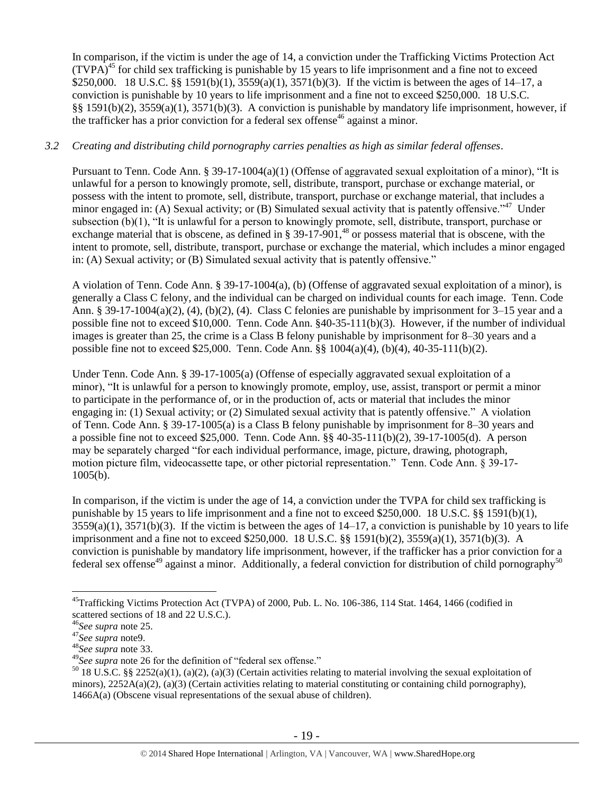In comparison, if the victim is under the age of 14, a conviction under the Trafficking Victims Protection Act  $(TVPA)<sup>45</sup>$  for child sex trafficking is punishable by 15 years to life imprisonment and a fine not to exceed \$250,000. 18 U.S.C. §§ 1591(b)(1), 3559(a)(1), 3571(b)(3). If the victim is between the ages of 14–17, a conviction is punishable by 10 years to life imprisonment and a fine not to exceed \$250,000. 18 U.S.C. §§ 1591(b)(2), 3559(a)(1), 3571(b)(3). A conviction is punishable by mandatory life imprisonment, however, if the trafficker has a prior conviction for a federal sex offense<sup>46</sup> against a minor.

## *3.2 Creating and distributing child pornography carries penalties as high as similar federal offenses*.

Pursuant to Tenn. Code Ann. § 39-17-1004(a)(1) (Offense of aggravated sexual exploitation of a minor), "It is unlawful for a person to knowingly promote, sell, distribute, transport, purchase or exchange material, or possess with the intent to promote, sell, distribute, transport, purchase or exchange material, that includes a minor engaged in: (A) Sexual activity; or (B) Simulated sexual activity that is patently offensive.<sup> $347$ </sup> Under subsection (b)(1), "It is unlawful for a person to knowingly promote, sell, distribute, transport, purchase or exchange material that is obscene, as defined in  $\S 39-17-901$ ,<sup>48</sup> or possess material that is obscene, with the intent to promote, sell, distribute, transport, purchase or exchange the material, which includes a minor engaged in: (A) Sexual activity; or (B) Simulated sexual activity that is patently offensive."

A violation of Tenn. Code Ann. § 39-17-1004(a), (b) (Offense of aggravated sexual exploitation of a minor), is generally a Class C felony, and the individual can be charged on individual counts for each image. Tenn. Code Ann. § 39-17-1004(a)(2), (4), (b)(2), (4). Class C felonies are punishable by imprisonment for 3–15 year and a possible fine not to exceed \$10,000. Tenn. Code Ann. §40-35-111(b)(3). However, if the number of individual images is greater than 25, the crime is a Class B felony punishable by imprisonment for 8–30 years and a possible fine not to exceed \$25,000. Tenn. Code Ann. §§ 1004(a)(4), (b)(4), 40-35-111(b)(2).

Under Tenn. Code Ann. § 39-17-1005(a) (Offense of especially aggravated sexual exploitation of a minor), "It is unlawful for a person to knowingly promote, employ, use, assist, transport or permit a minor to participate in the performance of, or in the production of, acts or material that includes the minor engaging in: (1) Sexual activity; or (2) Simulated sexual activity that is patently offensive." A violation of Tenn. Code Ann. § 39-17-1005(a) is a Class B felony punishable by imprisonment for 8–30 years and a possible fine not to exceed \$25,000. Tenn. Code Ann. §§ 40-35-111(b)(2), 39-17-1005(d). A person may be separately charged "for each individual performance, image, picture, drawing, photograph, motion picture film, videocassette tape, or other pictorial representation." Tenn. Code Ann. § 39-17- 1005(b).

In comparison, if the victim is under the age of 14, a conviction under the TVPA for child sex trafficking is punishable by 15 years to life imprisonment and a fine not to exceed \$250,000. 18 U.S.C. §§ 1591(b)(1),  $3559(a)(1)$ ,  $3571(b)(3)$ . If the victim is between the ages of  $14-17$ , a conviction is punishable by 10 years to life imprisonment and a fine not to exceed \$250,000. 18 U.S.C. §§ 1591(b)(2), 3559(a)(1), 3571(b)(3). A conviction is punishable by mandatory life imprisonment, however, if the trafficker has a prior conviction for a federal sex offense<sup>49</sup> against a minor. Additionally, a federal conviction for distribution of child pornography<sup>50</sup>

<sup>&</sup>lt;sup>45</sup>Trafficking Victims Protection Act (TVPA) of 2000, Pub. L. No. 106-386, 114 Stat. 1464, 1466 (codified in scattered sections of 18 and 22 U.S.C.).

<sup>46</sup>*See supra* note [25.](#page-10-0)

<sup>47</sup>*See supra* not[e9.](#page-3-0)

<sup>48</sup>*See supra* note [33.](#page-14-0)

<sup>49</sup>*See supra* note [26](#page-10-1) for the definition of "federal sex offense."

<sup>&</sup>lt;sup>50</sup> 18 U.S.C. §§ 2252(a)(1), (a)(2), (a)(3) (Certain activities relating to material involving the sexual exploitation of minors),  $2252A(a)(2)$ ,  $(a)(3)$  (Certain activities relating to material constituting or containing child pornography), 1466A(a) (Obscene visual representations of the sexual abuse of children).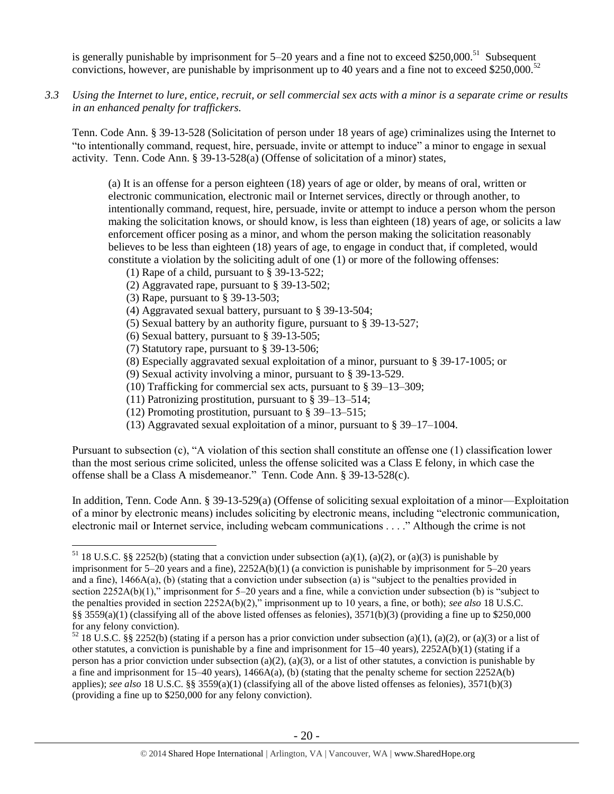is generally punishable by imprisonment for  $5-20$  years and a fine not to exceed \$250,000.<sup>51</sup> Subsequent convictions, however, are punishable by imprisonment up to 40 years and a fine not to exceed \$250,000.<sup>52</sup>

*3.3 Using the Internet to lure, entice, recruit, or sell commercial sex acts with a minor is a separate crime or results in an enhanced penalty for traffickers.*

Tenn. Code Ann. § 39-13-528 (Solicitation of person under 18 years of age) criminalizes using the Internet to "to intentionally command, request, hire, persuade, invite or attempt to induce" a minor to engage in sexual activity. Tenn. Code Ann. § 39-13-528(a) (Offense of solicitation of a minor) states,

(a) It is an offense for a person eighteen (18) years of age or older, by means of oral, written or electronic communication, electronic mail or Internet services, directly or through another, to intentionally command, request, hire, persuade, invite or attempt to induce a person whom the person making the solicitation knows, or should know, is less than eighteen (18) years of age, or solicits a law enforcement officer posing as a minor, and whom the person making the solicitation reasonably believes to be less than eighteen (18) years of age, to engage in conduct that, if completed, would constitute a violation by the soliciting adult of one (1) or more of the following offenses:

- (1) Rape of a child, pursuant to [§ 39-13-522;](https://a.next.westlaw.com/Link/Document/FullText?findType=L&pubNum=1000039&cite=TNSTS39-13-522&originatingDoc=N61AFE9D1CCE411DB8F04FB3E68C8F4C5&refType=LQ&originationContext=document&transitionType=DocumentItem&contextData=(sc.UserEnteredCitation))
- (2) Aggravated rape, pursuant to [§ 39-13-502;](https://a.next.westlaw.com/Link/Document/FullText?findType=L&pubNum=1000039&cite=TNSTS39-13-502&originatingDoc=N61AFE9D1CCE411DB8F04FB3E68C8F4C5&refType=LQ&originationContext=document&transitionType=DocumentItem&contextData=(sc.UserEnteredCitation))
- (3) Rape, pursuant to [§ 39-13-503;](https://a.next.westlaw.com/Link/Document/FullText?findType=L&pubNum=1000039&cite=TNSTS39-13-503&originatingDoc=N61AFE9D1CCE411DB8F04FB3E68C8F4C5&refType=LQ&originationContext=document&transitionType=DocumentItem&contextData=(sc.UserEnteredCitation))

 $\overline{a}$ 

- (4) Aggravated sexual battery, pursuant to [§ 39-13-504;](https://a.next.westlaw.com/Link/Document/FullText?findType=L&pubNum=1000039&cite=TNSTS39-13-504&originatingDoc=N61AFE9D1CCE411DB8F04FB3E68C8F4C5&refType=LQ&originationContext=document&transitionType=DocumentItem&contextData=(sc.UserEnteredCitation))
- (5) Sexual battery by an authority figure, pursuant t[o § 39-13-527;](https://a.next.westlaw.com/Link/Document/FullText?findType=L&pubNum=1000039&cite=TNSTS39-13-527&originatingDoc=N61AFE9D1CCE411DB8F04FB3E68C8F4C5&refType=LQ&originationContext=document&transitionType=DocumentItem&contextData=(sc.UserEnteredCitation))
- (6) Sexual battery, pursuant to [§ 39-13-505;](https://a.next.westlaw.com/Link/Document/FullText?findType=L&pubNum=1000039&cite=TNSTS39-13-505&originatingDoc=N61AFE9D1CCE411DB8F04FB3E68C8F4C5&refType=LQ&originationContext=document&transitionType=DocumentItem&contextData=(sc.UserEnteredCitation))
- (7) Statutory rape, pursuant to [§ 39-13-506;](https://a.next.westlaw.com/Link/Document/FullText?findType=L&pubNum=1000039&cite=TNSTS39-13-506&originatingDoc=N61AFE9D1CCE411DB8F04FB3E68C8F4C5&refType=LQ&originationContext=document&transitionType=DocumentItem&contextData=(sc.UserEnteredCitation))
- (8) Especially aggravated sexual exploitation of a minor, pursuant to [§ 39-17-1005;](https://a.next.westlaw.com/Link/Document/FullText?findType=L&pubNum=1000039&cite=TNSTS39-17-1005&originatingDoc=N61AFE9D1CCE411DB8F04FB3E68C8F4C5&refType=LQ&originationContext=document&transitionType=DocumentItem&contextData=(sc.UserEnteredCitation)) or
- (9) Sexual activity involving a minor, pursuant to [§ 39-13-529.](https://a.next.westlaw.com/Link/Document/FullText?findType=L&pubNum=1000039&cite=TNSTS39-13-529&originatingDoc=N61AFE9D1CCE411DB8F04FB3E68C8F4C5&refType=LQ&originationContext=document&transitionType=DocumentItem&contextData=(sc.UserEnteredCitation))
- (10) Trafficking for commercial sex acts, pursuant to § 39–13–309;
- (11) Patronizing prostitution, pursuant to § 39–13–514;
- (12) Promoting prostitution, pursuant to § 39–13–515;
- (13) Aggravated sexual exploitation of a minor, pursuant to § 39–17–1004.

Pursuant to subsection (c), "A violation of this section shall constitute an offense one (1) classification lower than the most serious crime solicited, unless the offense solicited was a Class E felony, in which case the offense shall be a Class A misdemeanor." Tenn. Code Ann. § 39-13-528(c).

In addition, Tenn. Code Ann. § 39-13-529(a) (Offense of soliciting sexual exploitation of a minor—Exploitation of a minor by electronic means) includes soliciting by electronic means, including "electronic communication, electronic mail or Internet service, including webcam communications . . . ." Although the crime is not

<sup>&</sup>lt;sup>51</sup> 18 U.S.C. §§ 2252(b) (stating that a conviction under subsection (a)(1), (a)(2), or (a)(3) is punishable by imprisonment for 5–20 years and a fine), 2252A(b)(1) (a conviction is punishable by imprisonment for 5–20 years and a fine),  $1466A(a)$ , (b) (stating that a conviction under subsection (a) is "subject to the penalties provided in section 2252A(b)(1)," imprisonment for 5–20 years and a fine, while a conviction under subsection (b) is "subject to the penalties provided in section 2252A(b)(2)," imprisonment up to 10 years, a fine, or both); *see also* 18 U.S.C. §§ 3559(a)(1) (classifying all of the above listed offenses as felonies),  $3571(b)(3)$  (providing a fine up to \$250,000 for any felony conviction).

 $52$  18 U.S.C. §§ 2252(b) (stating if a person has a prior conviction under subsection (a)(1), (a)(2), or (a)(3) or a list of other statutes, a conviction is punishable by a fine and imprisonment for 15–40 years), 2252A(b)(1) (stating if a person has a prior conviction under subsection (a)(2), (a)(3), or a list of other statutes, a conviction is punishable by a fine and imprisonment for  $15-40$  years),  $1466A(a)$ , (b) (stating that the penalty scheme for section  $2252A(b)$ applies); *see also* 18 U.S.C. §§ 3559(a)(1) (classifying all of the above listed offenses as felonies), 3571(b)(3) (providing a fine up to \$250,000 for any felony conviction).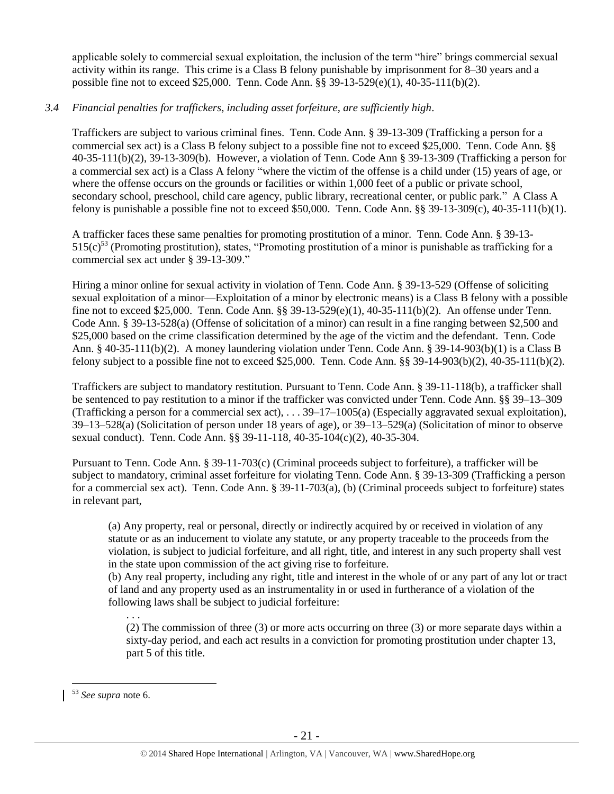applicable solely to commercial sexual exploitation, the inclusion of the term "hire" brings commercial sexual activity within its range. This crime is a Class B felony punishable by imprisonment for 8–30 years and a possible fine not to exceed \$25,000. Tenn. Code Ann. §§ 39-13-529(e)(1), 40-35-111(b)(2).

## *3.4 Financial penalties for traffickers, including asset forfeiture, are sufficiently high*.

Traffickers are subject to various criminal fines. Tenn. Code Ann. § 39-13-309 (Trafficking a person for a commercial sex act) is a Class B felony subject to a possible fine not to exceed \$25,000. Tenn. Code Ann. §§ 40-35-111(b)(2), 39-13-309(b). However, a violation of Tenn. Code Ann § 39-13-309 (Trafficking a person for a commercial sex act) is a Class A felony "where the victim of the offense is a child under (15) years of age, or where the offense occurs on the grounds or facilities or within 1,000 feet of a public or private school, secondary school, preschool, child care agency, public library, recreational center, or public park." A Class A felony is punishable a possible fine not to exceed \$50,000. Tenn. Code Ann. §§ 39-13-309(c), 40-35-111(b)(1).

A trafficker faces these same penalties for promoting prostitution of a minor. Tenn. Code Ann. § 39-13-  $515(c)^{53}$  (Promoting prostitution), states, "Promoting prostitution of a minor is punishable as trafficking for a commercial sex act under § 39-13-309."

Hiring a minor online for sexual activity in violation of Tenn. Code Ann. § 39-13-529 (Offense of soliciting sexual exploitation of a minor—Exploitation of a minor by electronic means) is a Class B felony with a possible fine not to exceed \$25,000. Tenn. Code Ann. §§ 39-13-529(e)(1), 40-35-111(b)(2). An offense under Tenn. Code Ann. § 39-13-528(a) (Offense of solicitation of a minor) can result in a fine ranging between \$2,500 and \$25,000 based on the crime classification determined by the age of the victim and the defendant. Tenn. Code Ann. § 40-35-111(b)(2). A money laundering violation under Tenn. Code Ann. § 39-14-903(b)(1) is a Class B felony subject to a possible fine not to exceed \$25,000. Tenn. Code Ann. §§ 39-14-903(b)(2), 40-35-111(b)(2).

Traffickers are subject to mandatory restitution. Pursuant to Tenn. Code Ann. § 39-11-118(b), a trafficker shall be sentenced to pay restitution to a minor if the trafficker was convicted under Tenn. Code Ann. §§ 39–13–309 (Trafficking a person for a commercial sex act), . . . 39–17–1005(a) (Especially aggravated sexual exploitation), 39–13–528(a) (Solicitation of person under 18 years of age), or 39–13–529(a) (Solicitation of minor to observe sexual conduct). Tenn. Code Ann. §§ 39-11-118, 40-35-104(c)(2), 40-35-304.

Pursuant to Tenn. Code Ann. § 39-11-703(c) (Criminal proceeds subject to forfeiture), a trafficker will be subject to mandatory, criminal asset forfeiture for violating Tenn. Code Ann. § 39-13-309 (Trafficking a person for a commercial sex act). Tenn. Code Ann. § 39-11-703(a), (b) (Criminal proceeds subject to forfeiture) states in relevant part,

(a) Any property, real or personal, directly or indirectly acquired by or received in violation of any statute or as an inducement to violate any statute, or any property traceable to the proceeds from the violation, is subject to judicial forfeiture, and all right, title, and interest in any such property shall vest in the state upon commission of the act giving rise to forfeiture.

(b) Any real property, including any right, title and interest in the whole of or any part of any lot or tract of land and any property used as an instrumentality in or used in furtherance of a violation of the following laws shall be subject to judicial forfeiture:

(2) The commission of three (3) or more acts occurring on three (3) or more separate days within a sixty-day period, and each act results in a conviction for promoting prostitution under chapter 13, part 5 of this title.

 $\overline{a}$ 

. . .

<sup>53</sup> *See supra* note [6.](#page-2-0)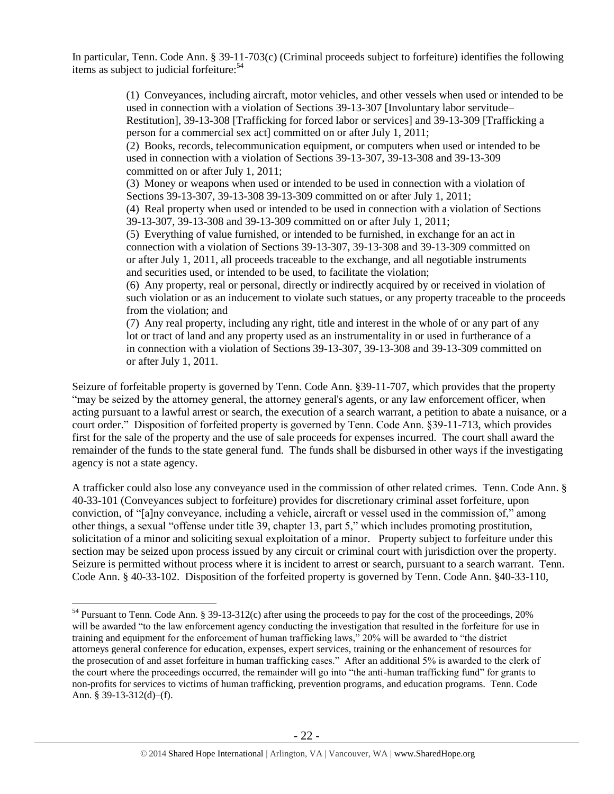In particular, Tenn. Code Ann. § 39-11-703(c) (Criminal proceeds subject to forfeiture) identifies the following items as subject to judicial forfeiture:<sup>54</sup>

> (1) Conveyances, including aircraft, motor vehicles, and other vessels when used or intended to be used in connection with a violation of Sections 39-13-307 [Involuntary labor servitude– Restitution], 39-13-308 [Trafficking for forced labor or services] and 39-13-309 [Trafficking a person for a commercial sex act] committed on or after July 1, 2011; (2) Books, records, telecommunication equipment, or computers when used or intended to be used in connection with a violation of Sections 39-13-307, 39-13-308 and 39-13-309 committed on or after July 1, 2011;

(3) Money or weapons when used or intended to be used in connection with a violation of Sections 39-13-307, 39-13-308 39-13-309 committed on or after July 1, 2011;

(4) Real property when used or intended to be used in connection with a violation of Sections 39-13-307, 39-13-308 and 39-13-309 committed on or after July 1, 2011;

(5) Everything of value furnished, or intended to be furnished, in exchange for an act in connection with a violation of Sections 39-13-307, 39-13-308 and 39-13-309 committed on or after July 1, 2011, all proceeds traceable to the exchange, and all negotiable instruments and securities used, or intended to be used, to facilitate the violation;

(6) Any property, real or personal, directly or indirectly acquired by or received in violation of such violation or as an inducement to violate such statues, or any property traceable to the proceeds from the violation; and

(7) Any real property, including any right, title and interest in the whole of or any part of any lot or tract of land and any property used as an instrumentality in or used in furtherance of a in connection with a violation of Sections 39-13-307, 39-13-308 and 39-13-309 committed on or after July 1, 2011.

Seizure of forfeitable property is governed by Tenn. Code Ann. §39-11-707, which provides that the property "may be seized by the attorney general, the attorney general's agents, or any law enforcement officer, when acting pursuant to a lawful arrest or search, the execution of a search warrant, a petition to abate a nuisance, or a court order." Disposition of forfeited property is governed by Tenn. Code Ann. §39-11-713, which provides first for the sale of the property and the use of sale proceeds for expenses incurred. The court shall award the remainder of the funds to the state general fund. The funds shall be disbursed in other ways if the investigating agency is not a state agency.

A trafficker could also lose any conveyance used in the commission of other related crimes. Tenn. Code Ann. § 40-33-101 (Conveyances subject to forfeiture) provides for discretionary criminal asset forfeiture, upon conviction, of "[a]ny conveyance, including a vehicle, aircraft or vessel used in the commission of," among other things, a sexual "offense under title 39, chapter 13, part 5," which includes promoting prostitution, solicitation of a minor and soliciting sexual exploitation of a minor. Property subject to forfeiture under this section may be seized upon process issued by any circuit or criminal court with jurisdiction over the property. Seizure is permitted without process where it is incident to arrest or search, pursuant to a search warrant. Tenn. Code Ann. § 40-33-102. Disposition of the forfeited property is governed by Tenn. Code Ann. §40-33-110,

<sup>&</sup>lt;sup>54</sup> Pursuant to Tenn. Code Ann. § 39-13-312(c) after using the proceeds to pay for the cost of the proceedings, 20% will be awarded "to the law enforcement agency conducting the investigation that resulted in the forfeiture for use in training and equipment for the enforcement of human trafficking laws," 20% will be awarded to "the district attorneys general conference for education, expenses, expert services, training or the enhancement of resources for the prosecution of and asset forfeiture in human trafficking cases." After an additional 5% is awarded to the clerk of the court where the proceedings occurred, the remainder will go into "the anti-human trafficking fund" for grants to non-profits for services to victims of human trafficking, prevention programs, and education programs. Tenn. Code Ann. § 39-13-312(d)–(f).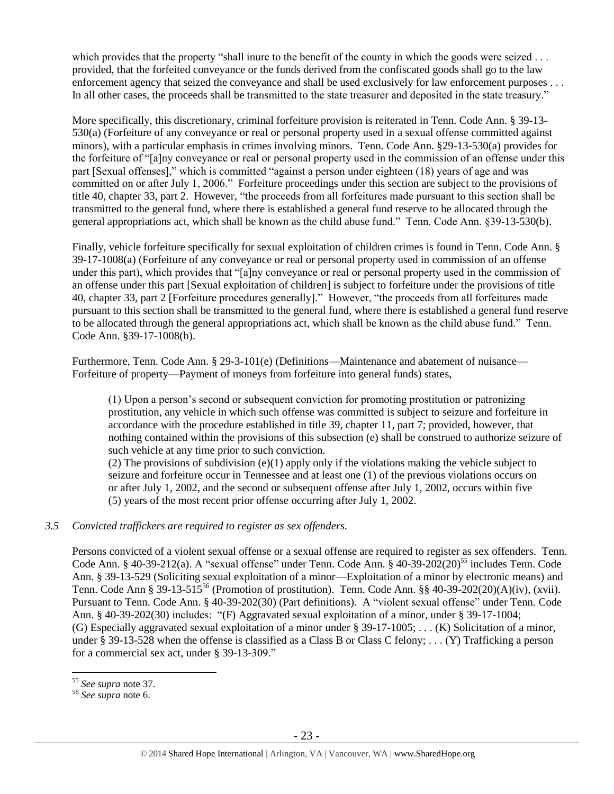which provides that the property "shall inure to the benefit of the county in which the goods were seized . . . provided, that the forfeited conveyance or the funds derived from the confiscated goods shall go to the law enforcement agency that seized the conveyance and shall be used exclusively for law enforcement purposes . . . In all other cases, the proceeds shall be transmitted to the state treasurer and deposited in the state treasury."

More specifically, this discretionary, criminal forfeiture provision is reiterated in Tenn. Code Ann. § 39-13- 530(a) (Forfeiture of any conveyance or real or personal property used in a sexual offense committed against minors), with a particular emphasis in crimes involving minors. Tenn. Code Ann. §29-13-530(a) provides for the forfeiture of "[a]ny conveyance or real or personal property used in the commission of an offense under this part [Sexual offenses]," which is committed "against a person under eighteen (18) years of age and was committed on or after July 1, 2006." Forfeiture proceedings under this section are subject to the provisions of title 40, chapter 33, part 2. However, "the proceeds from all forfeitures made pursuant to this section shall be transmitted to the general fund, where there is established a general fund reserve to be allocated through the general appropriations act, which shall be known as the child abuse fund." Tenn. Code Ann. §39-13-530(b).

Finally, vehicle forfeiture specifically for sexual exploitation of children crimes is found in Tenn. Code Ann. § 39-17-1008(a) (Forfeiture of any conveyance or real or personal property used in commission of an offense under this part), which provides that "[a]ny conveyance or real or personal property used in the commission of an offense under this part [Sexual exploitation of children] is subject to forfeiture under the provisions of title 40, chapter 33, part 2 [Forfeiture procedures generally]." However, "the proceeds from all forfeitures made pursuant to this section shall be transmitted to the general fund, where there is established a general fund reserve to be allocated through the general appropriations act, which shall be known as the child abuse fund." Tenn. Code Ann. §39-17-1008(b).

Furthermore, Tenn. Code Ann. § 29-3-101(e) (Definitions—Maintenance and abatement of nuisance— Forfeiture of property—Payment of moneys from forfeiture into general funds) states,

(1) Upon a person's second or subsequent conviction for promoting prostitution or patronizing prostitution, any vehicle in which such offense was committed is subject to seizure and forfeiture in accordance with the procedure established in title 39, chapter 11, part 7; provided, however, that nothing contained within the provisions of this subsection (e) shall be construed to authorize seizure of such vehicle at any time prior to such conviction.

(2) The provisions of subdivision  $(e)(1)$  apply only if the violations making the vehicle subject to seizure and forfeiture occur in Tennessee and at least one (1) of the previous violations occurs on or after July 1, 2002, and the second or subsequent offense after July 1, 2002, occurs within five (5) years of the most recent prior offense occurring after July 1, 2002.

#### *3.5 Convicted traffickers are required to register as sex offenders.*

Persons convicted of a violent sexual offense or a sexual offense are required to register as sex offenders. Tenn. Code Ann. § 40-39-212(a). A "sexual offense" under Tenn. Code Ann. § 40-39-202(20)<sup>55</sup> includes Tenn. Code Ann. § 39-13-529 (Soliciting sexual exploitation of a minor—Exploitation of a minor by electronic means) and Tenn. Code Ann § 39-13-515<sup>56</sup> (Promotion of prostitution). Tenn. Code Ann. §§ 40-39-202(20)(A)(iv), (xvii). Pursuant to Tenn. Code Ann. § 40-39-202(30) (Part definitions). A "violent sexual offense" under Tenn. Code Ann. § 40-39-202(30) includes: "(F) Aggravated sexual exploitation of a minor, under § 39-17-1004; (G) Especially aggravated sexual exploitation of a minor under § 39-17-1005; . . . (K) Solicitation of a minor, under § 39-13-528 when the offense is classified as a Class B or Class C felony; . . . (Y) Trafficking a person for a commercial sex act, under § 39-13-309."

<sup>55</sup> *See supra* note [37.](#page-15-0)

<sup>56</sup> *See supra* note [6.](#page-2-0)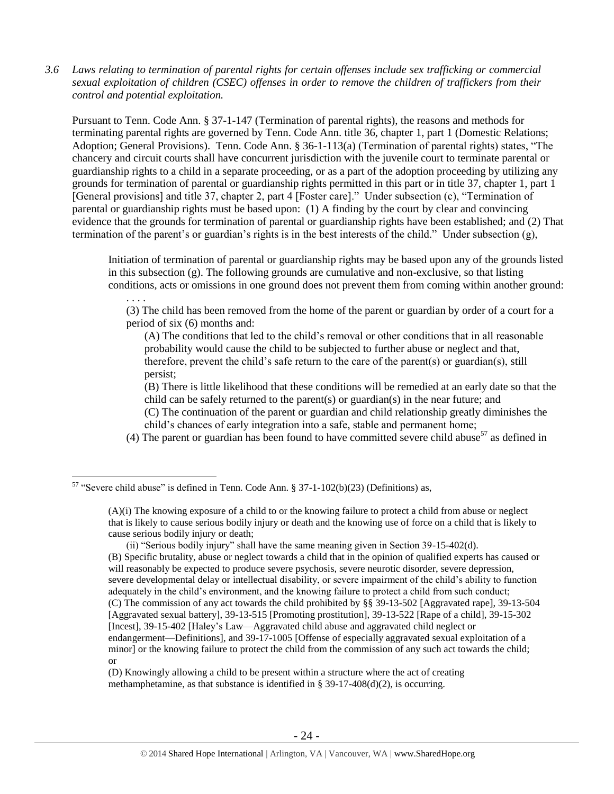*3.6 Laws relating to termination of parental rights for certain offenses include sex trafficking or commercial sexual exploitation of children (CSEC) offenses in order to remove the children of traffickers from their control and potential exploitation.* 

Pursuant to Tenn. Code Ann. § 37-1-147 (Termination of parental rights), the reasons and methods for terminating parental rights are governed by Tenn. Code Ann. title 36, chapter 1, part 1 (Domestic Relations; Adoption; General Provisions). Tenn. Code Ann. § 36-1-113(a) (Termination of parental rights) states, "The chancery and circuit courts shall have concurrent jurisdiction with the juvenile court to terminate parental or guardianship rights to a child in a separate proceeding, or as a part of the adoption proceeding by utilizing any grounds for termination of parental or guardianship rights permitted in this part or in title 37, chapter 1, part 1 [General provisions] and title 37, chapter 2, part 4 [Foster care]." Under subsection (c), "Termination of parental or guardianship rights must be based upon: (1) A finding by the court by clear and convincing evidence that the grounds for termination of parental or guardianship rights have been established; and (2) That termination of the parent's or guardian's rights is in the best interests of the child." Under subsection (g),

Initiation of termination of parental or guardianship rights may be based upon any of the grounds listed in this subsection (g). The following grounds are cumulative and non-exclusive, so that listing conditions, acts or omissions in one ground does not prevent them from coming within another ground:

. . . . (3) The child has been removed from the home of the parent or guardian by order of a court for a period of six (6) months and:

(A) The conditions that led to the child's removal or other conditions that in all reasonable probability would cause the child to be subjected to further abuse or neglect and that, therefore, prevent the child's safe return to the care of the parent(s) or guardian(s), still persist;

<span id="page-23-0"></span>(B) There is little likelihood that these conditions will be remedied at an early date so that the child can be safely returned to the parent(s) or guardian(s) in the near future; and (C) The continuation of the parent or guardian and child relationship greatly diminishes the child's chances of early integration into a safe, stable and permanent home;

(4) The parent or guardian has been found to have committed severe child abuse<sup>57</sup> as defined in

 $\overline{a}$ 

(ii) "Serious bodily injury" shall have the same meaning given in Section 39-15-402(d). (B) Specific brutality, abuse or neglect towards a child that in the opinion of qualified experts has caused or will reasonably be expected to produce severe psychosis, severe neurotic disorder, severe depression, severe developmental delay or intellectual disability, or severe impairment of the child's ability to function adequately in the child's environment, and the knowing failure to protect a child from such conduct; (C) The commission of any act towards the child prohibited by §§ 39-13-502 [Aggravated rape], 39-13-504 [Aggravated sexual battery], 39-13-515 [Promoting prostitution], 39-13-522 [Rape of a child], 39-15-302 [Incest], 39-15-402 [Haley's Law—Aggravated child abuse and aggravated child neglect or endangerment—Definitions], and 39-17-1005 [Offense of especially aggravated sexual exploitation of a minor] or the knowing failure to protect the child from the commission of any such act towards the child; or

(D) Knowingly allowing a child to be present within a structure where the act of creating methamphetamine, as that substance is identified in § 39-17-408(d)(2), is occurring.

 $57$  "Severe child abuse" is defined in Tenn. Code Ann. § 37-1-102(b)(23) (Definitions) as,

<sup>(</sup>A)(i) The knowing exposure of a child to or the knowing failure to protect a child from abuse or neglect that is likely to cause serious bodily injury or death and the knowing use of force on a child that is likely to cause serious bodily injury or death;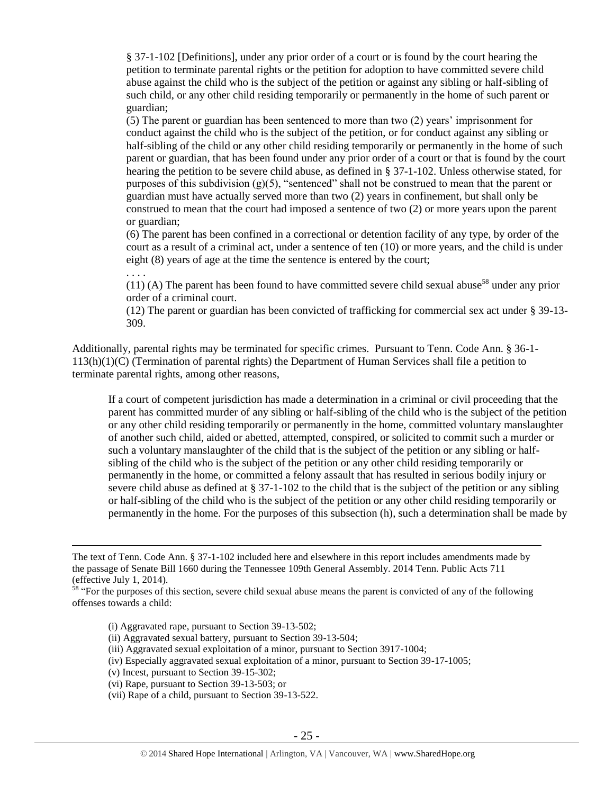§ 37-1-102 [Definitions], under any prior order of a court or is found by the court hearing the petition to terminate parental rights or the petition for adoption to have committed severe child abuse against the child who is the subject of the petition or against any sibling or half-sibling of such child, or any other child residing temporarily or permanently in the home of such parent or guardian;

(5) The parent or guardian has been sentenced to more than two (2) years' imprisonment for conduct against the child who is the subject of the petition, or for conduct against any sibling or half-sibling of the child or any other child residing temporarily or permanently in the home of such parent or guardian, that has been found under any prior order of a court or that is found by the court hearing the petition to be severe child abuse, as defined in § 37-1-102. Unless otherwise stated, for purposes of this subdivision  $(g)(5)$ , "sentenced" shall not be construed to mean that the parent or guardian must have actually served more than two (2) years in confinement, but shall only be construed to mean that the court had imposed a sentence of two (2) or more years upon the parent or guardian;

(6) The parent has been confined in a correctional or detention facility of any type, by order of the court as a result of a criminal act, under a sentence of ten (10) or more years, and the child is under eight (8) years of age at the time the sentence is entered by the court;

. . . .

 $\overline{a}$ 

(11) (A) The parent has been found to have committed severe child sexual abuse<sup>58</sup> under any prior order of a criminal court.

(12) The parent or guardian has been convicted of trafficking for commercial sex act under § 39-13- 309.

Additionally, parental rights may be terminated for specific crimes. Pursuant to Tenn. Code Ann. § 36-1- 113(h)(1)(C) (Termination of parental rights) the Department of Human Services shall file a petition to terminate parental rights, among other reasons,

If a court of competent jurisdiction has made a determination in a criminal or civil proceeding that the parent has committed murder of any sibling or half-sibling of the child who is the subject of the petition or any other child residing temporarily or permanently in the home, committed voluntary manslaughter of another such child, aided or abetted, attempted, conspired, or solicited to commit such a murder or such a voluntary manslaughter of the child that is the subject of the petition or any sibling or halfsibling of the child who is the subject of the petition or any other child residing temporarily or permanently in the home, or committed a felony assault that has resulted in serious bodily injury or severe child abuse as defined at § 37-1-102 to the child that is the subject of the petition or any sibling or half-sibling of the child who is the subject of the petition or any other child residing temporarily or permanently in the home. For the purposes of this subsection (h), such a determination shall be made by

- (i) Aggravated rape, pursuant to Section 39-13-502;
- (ii) Aggravated sexual battery, pursuant to Section 39-13-504;
- (iii) Aggravated sexual exploitation of a minor, pursuant to Section 3917-1004;
- (iv) Especially aggravated sexual exploitation of a minor, pursuant to Section 39-17-1005;
- (v) Incest, pursuant to Section 39-15-302;
- (vi) Rape, pursuant to Section 39-13-503; or
- (vii) Rape of a child, pursuant to Section 39-13-522.

The text of Tenn. Code Ann. § 37-1-102 included here and elsewhere in this report includes amendments made by the passage of Senate Bill 1660 during the Tennessee 109th General Assembly. 2014 Tenn. Public Acts 711 (effective July 1, 2014).

 $<sup>58</sup>$  "For the purposes of this section, severe child sexual abuse means the parent is convicted of any of the following</sup> offenses towards a child: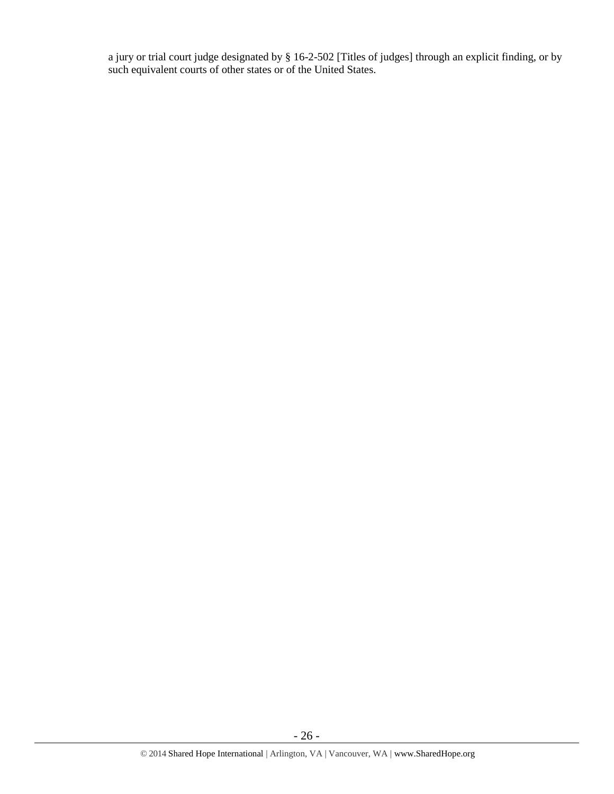a jury or trial court judge designated by § 16-2-502 [Titles of judges] through an explicit finding, or by such equivalent courts of other states or of the United States.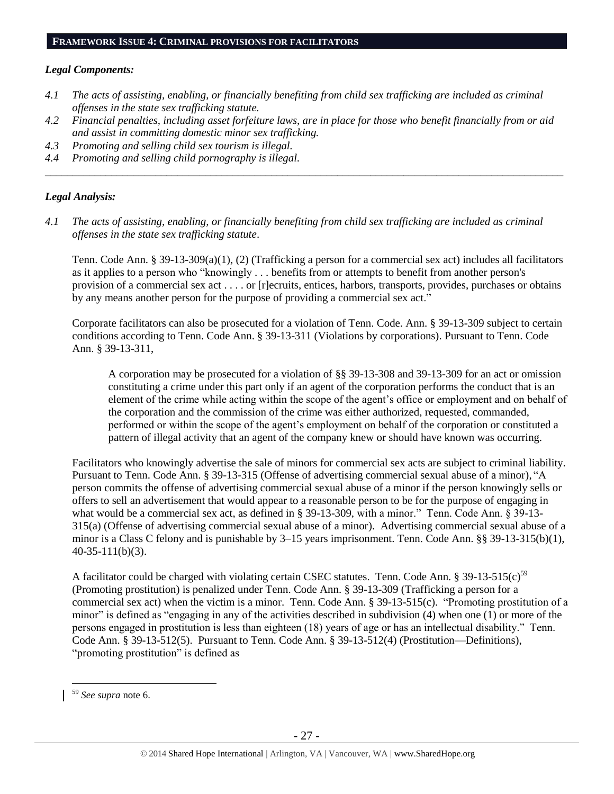# *Legal Components:*

- *4.1 The acts of assisting, enabling, or financially benefiting from child sex trafficking are included as criminal offenses in the state sex trafficking statute.*
- *4.2 Financial penalties, including asset forfeiture laws, are in place for those who benefit financially from or aid and assist in committing domestic minor sex trafficking.*
- *4.3 Promoting and selling child sex tourism is illegal.*
- *4.4 Promoting and selling child pornography is illegal. \_\_\_\_\_\_\_\_\_\_\_\_\_\_\_\_\_\_\_\_\_\_\_\_\_\_\_\_\_\_\_\_\_\_\_\_\_\_\_\_\_\_\_\_\_\_\_\_\_\_\_\_\_\_\_\_\_\_\_\_\_\_\_\_\_\_\_\_\_\_\_\_\_\_\_\_\_\_\_\_\_\_\_\_\_\_\_\_\_\_\_\_\_\_*

# *Legal Analysis:*

*4.1 The acts of assisting, enabling, or financially benefiting from child sex trafficking are included as criminal offenses in the state sex trafficking statute*.

Tenn. Code Ann. § 39-13-309(a)(1), (2) (Trafficking a person for a commercial sex act) includes all facilitators as it applies to a person who "knowingly . . . benefits from or attempts to benefit from another person's provision of a commercial sex act . . . . or [r]ecruits, entices, harbors, transports, provides, purchases or obtains by any means another person for the purpose of providing a commercial sex act."

Corporate facilitators can also be prosecuted for a violation of Tenn. Code. Ann. § 39-13-309 subject to certain conditions according to Tenn. Code Ann. § 39-13-311 (Violations by corporations). Pursuant to Tenn. Code Ann. § 39-13-311,

A corporation may be prosecuted for a violation of §§ 39-13-308 and 39-13-309 for an act or omission constituting a crime under this part only if an agent of the corporation performs the conduct that is an element of the crime while acting within the scope of the agent's office or employment and on behalf of the corporation and the commission of the crime was either authorized, requested, commanded, performed or within the scope of the agent's employment on behalf of the corporation or constituted a pattern of illegal activity that an agent of the company knew or should have known was occurring.

Facilitators who knowingly advertise the sale of minors for commercial sex acts are subject to criminal liability. Pursuant to Tenn. Code Ann. § 39-13-315 (Offense of advertising commercial sexual abuse of a minor), "A person commits the offense of advertising commercial sexual abuse of a minor if the person knowingly sells or offers to sell an advertisement that would appear to a reasonable person to be for the purpose of engaging in what would be a commercial sex act, as defined in § 39-13-309, with a minor." Tenn. Code Ann. § 39-13-315(a) (Offense of advertising commercial sexual abuse of a minor). Advertising commercial sexual abuse of a minor is a Class C felony and is punishable by 3–15 years imprisonment. Tenn. Code Ann. §§ 39-13-315(b)(1), 40-35-111(b)(3).

A facilitator could be charged with violating certain CSEC statutes. Tenn. Code Ann. § 39-13-515(c)<sup>59</sup> (Promoting prostitution) is penalized under Tenn. Code Ann. § 39-13-309 (Trafficking a person for a commercial sex act) when the victim is a minor. Tenn. Code Ann. § 39-13-515(c). "Promoting prostitution of a minor" is defined as "engaging in any of the activities described in subdivision (4) when one (1) or more of the persons engaged in prostitution is less than eighteen (18) years of age or has an intellectual disability." Tenn. Code Ann. § 39-13-512(5). Pursuant to Tenn. Code Ann. § 39-13-512(4) (Prostitution—Definitions), "promoting prostitution" is defined as

<sup>59</sup> *See supra* note [6.](#page-2-0)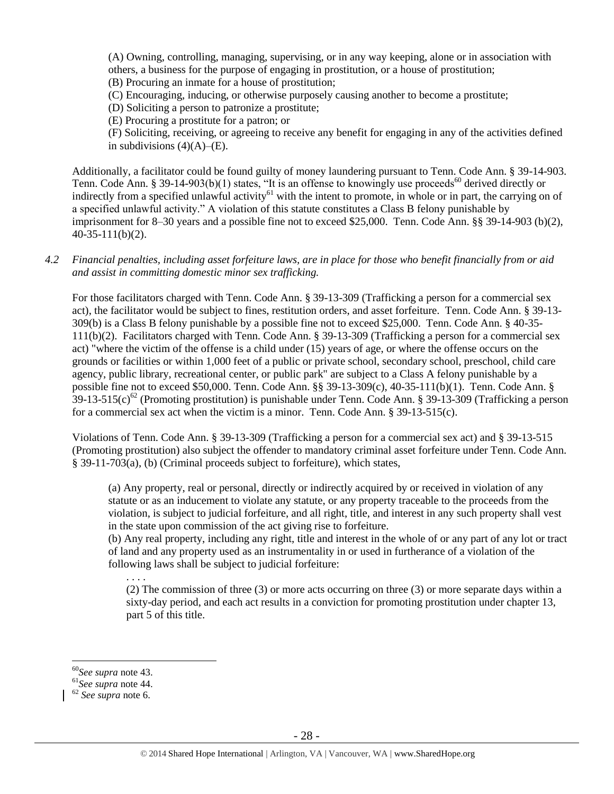(A) Owning, controlling, managing, supervising, or in any way keeping, alone or in association with others, a business for the purpose of engaging in prostitution, or a house of prostitution;

(B) Procuring an inmate for a house of prostitution;

(C) Encouraging, inducing, or otherwise purposely causing another to become a prostitute;

(D) Soliciting a person to patronize a prostitute;

(E) Procuring a prostitute for a patron; or

(F) Soliciting, receiving, or agreeing to receive any benefit for engaging in any of the activities defined in subdivisions  $(4)(A)$ – $(E)$ .

Additionally, a facilitator could be found guilty of money laundering pursuant to Tenn. Code Ann. § 39-14-903. Tenn. Code Ann. § 39-14-903(b)(1) states, "It is an offense to knowingly use proceeds<sup>60</sup> derived directly or indirectly from a specified unlawful activity<sup>61</sup> with the intent to promote, in whole or in part, the carrying on of a specified unlawful activity." A violation of this statute constitutes a Class B felony punishable by imprisonment for 8–30 years and a possible fine not to exceed \$25,000. Tenn. Code Ann. §§ 39-14-903 (b)(2), 40-35-111(b)(2).

*4.2 Financial penalties, including asset forfeiture laws, are in place for those who benefit financially from or aid and assist in committing domestic minor sex trafficking.*

For those facilitators charged with Tenn. Code Ann. § 39-13-309 (Trafficking a person for a commercial sex act), the facilitator would be subject to fines, restitution orders, and asset forfeiture. Tenn. Code Ann. § 39-13- 309(b) is a Class B felony punishable by a possible fine not to exceed \$25,000. Tenn. Code Ann. § 40-35- 111(b)(2). Facilitators charged with Tenn. Code Ann. § 39-13-309 (Trafficking a person for a commercial sex act) "where the victim of the offense is a child under (15) years of age, or where the offense occurs on the grounds or facilities or within 1,000 feet of a public or private school, secondary school, preschool, child care agency, public library, recreational center, or public park" are subject to a Class A felony punishable by a possible fine not to exceed \$50,000. Tenn. Code Ann. §§ 39-13-309(c), 40-35-111(b)(1). Tenn. Code Ann. §  $39-13-515(c)^{62}$  (Promoting prostitution) is punishable under Tenn. Code Ann. § 39-13-309 (Trafficking a person for a commercial sex act when the victim is a minor. Tenn. Code Ann. § 39-13-515(c).

Violations of Tenn. Code Ann. § 39-13-309 (Trafficking a person for a commercial sex act) and § 39-13-515 (Promoting prostitution) also subject the offender to mandatory criminal asset forfeiture under Tenn. Code Ann. § 39-11-703(a), (b) (Criminal proceeds subject to forfeiture), which states,

(a) Any property, real or personal, directly or indirectly acquired by or received in violation of any statute or as an inducement to violate any statute, or any property traceable to the proceeds from the violation, is subject to judicial forfeiture, and all right, title, and interest in any such property shall vest in the state upon commission of the act giving rise to forfeiture.

(b) Any real property, including any right, title and interest in the whole of or any part of any lot or tract of land and any property used as an instrumentality in or used in furtherance of a violation of the following laws shall be subject to judicial forfeiture:

. . . .

(2) The commission of three (3) or more acts occurring on three (3) or more separate days within a sixty-day period, and each act results in a conviction for promoting prostitution under chapter 13, part 5 of this title.

<sup>60</sup>*See supra* note [43.](#page-17-0)

<sup>61</sup>*See supra* note [44.](#page-17-1)

<sup>62</sup> *See supra* note [6.](#page-2-0)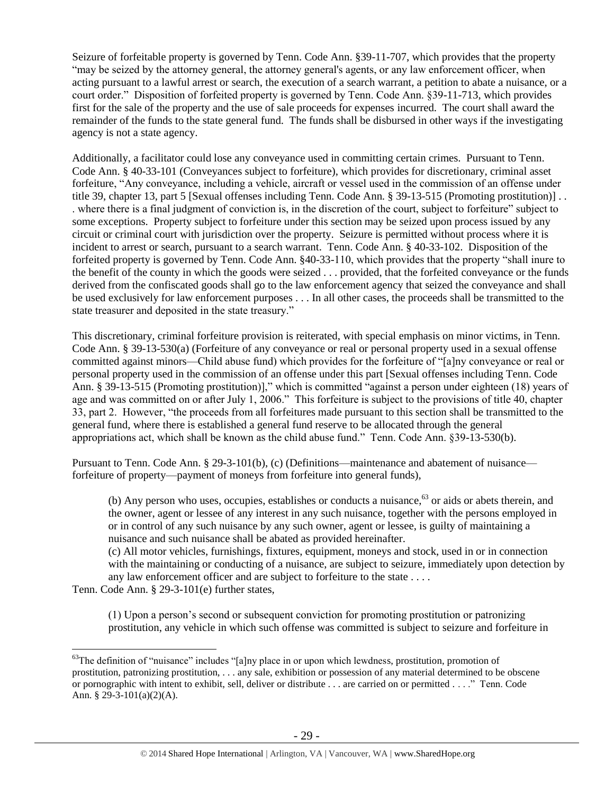Seizure of forfeitable property is governed by Tenn. Code Ann. §39-11-707, which provides that the property "may be seized by the attorney general, the attorney general's agents, or any law enforcement officer, when acting pursuant to a lawful arrest or search, the execution of a search warrant, a petition to abate a nuisance, or a court order." Disposition of forfeited property is governed by Tenn. Code Ann. §39-11-713, which provides first for the sale of the property and the use of sale proceeds for expenses incurred. The court shall award the remainder of the funds to the state general fund. The funds shall be disbursed in other ways if the investigating agency is not a state agency.

Additionally, a facilitator could lose any conveyance used in committing certain crimes. Pursuant to Tenn. Code Ann. § 40-33-101 (Conveyances subject to forfeiture), which provides for discretionary, criminal asset forfeiture, "Any conveyance, including a vehicle, aircraft or vessel used in the commission of an offense under title 39, chapter 13, part 5 [Sexual offenses including Tenn. Code Ann. § 39-13-515 (Promoting prostitution)] . . . where there is a final judgment of conviction is, in the discretion of the court, subject to forfeiture" subject to some exceptions. Property subject to forfeiture under this section may be seized upon process issued by any circuit or criminal court with jurisdiction over the property. Seizure is permitted without process where it is incident to arrest or search, pursuant to a search warrant. Tenn. Code Ann. § 40-33-102. Disposition of the forfeited property is governed by Tenn. Code Ann. §40-33-110, which provides that the property "shall inure to the benefit of the county in which the goods were seized . . . provided, that the forfeited conveyance or the funds derived from the confiscated goods shall go to the law enforcement agency that seized the conveyance and shall be used exclusively for law enforcement purposes . . . In all other cases, the proceeds shall be transmitted to the state treasurer and deposited in the state treasury."

This discretionary, criminal forfeiture provision is reiterated, with special emphasis on minor victims, in Tenn. Code Ann. § 39-13-530(a) (Forfeiture of any conveyance or real or personal property used in a sexual offense committed against minors—Child abuse fund) which provides for the forfeiture of "[a]ny conveyance or real or personal property used in the commission of an offense under this part [Sexual offenses including Tenn. Code Ann. § 39-13-515 (Promoting prostitution)]," which is committed "against a person under eighteen (18) years of age and was committed on or after July 1, 2006." This forfeiture is subject to the provisions of title 40, chapter 33, part 2. However, "the proceeds from all forfeitures made pursuant to this section shall be transmitted to the general fund, where there is established a general fund reserve to be allocated through the general appropriations act, which shall be known as the child abuse fund." Tenn. Code Ann. §39-13-530(b).

Pursuant to Tenn. Code Ann. § 29-3-101(b), (c) (Definitions—maintenance and abatement of nuisance forfeiture of property—payment of moneys from forfeiture into general funds),

(b) Any person who uses, occupies, establishes or conducts a nuisance,  $63$  or aids or abets therein, and the owner, agent or lessee of any interest in any such nuisance, together with the persons employed in or in control of any such nuisance by any such owner, agent or lessee, is guilty of maintaining a nuisance and such nuisance shall be abated as provided hereinafter.

(c) All motor vehicles, furnishings, fixtures, equipment, moneys and stock, used in or in connection with the maintaining or conducting of a nuisance, are subject to seizure, immediately upon detection by any law enforcement officer and are subject to forfeiture to the state . . . .

Tenn. Code Ann. § 29-3-101(e) further states,

 $\overline{a}$ 

(1) Upon a person's second or subsequent conviction for promoting prostitution or patronizing prostitution, any vehicle in which such offense was committed is subject to seizure and forfeiture in

 $63$ The definition of "nuisance" includes "[a]ny place in or upon which lewdness, prostitution, promotion of prostitution, patronizing prostitution, . . . any sale, exhibition or possession of any material determined to be obscene or pornographic with intent to exhibit, sell, deliver or distribute . . . are carried on or permitted . . . ." Tenn. Code Ann. § 29-3-101(a)(2)(A).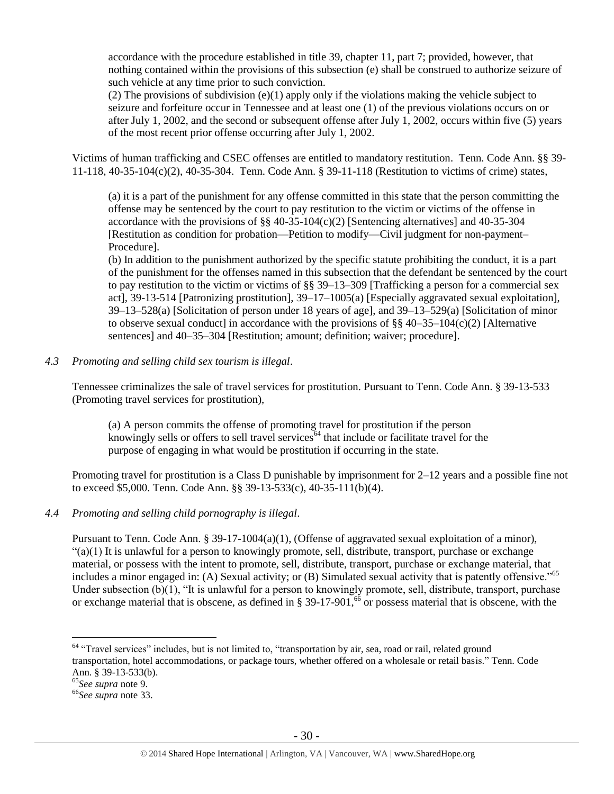accordance with the procedure established in title 39, chapter 11, part 7; provided, however, that nothing contained within the provisions of this subsection (e) shall be construed to authorize seizure of such vehicle at any time prior to such conviction.

(2) The provisions of subdivision  $(e)(1)$  apply only if the violations making the vehicle subject to seizure and forfeiture occur in Tennessee and at least one (1) of the previous violations occurs on or after July 1, 2002, and the second or subsequent offense after July 1, 2002, occurs within five (5) years of the most recent prior offense occurring after July 1, 2002.

Victims of human trafficking and CSEC offenses are entitled to mandatory restitution. Tenn. Code Ann. §§ 39- 11-118, 40-35-104(c)(2), 40-35-304. Tenn. Code Ann. § 39-11-118 (Restitution to victims of crime) states,

(a) it is a part of the punishment for any offense committed in this state that the person committing the offense may be sentenced by the court to pay restitution to the victim or victims of the offense in accordance with the provisions of  $\S$ § 40-35-104(c)(2) [Sentencing alternatives] and 40-35-304 [Restitution as condition for probation—Petition to modify—Civil judgment for non-payment– Procedure].

(b) In addition to the punishment authorized by the specific statute prohibiting the conduct, it is a part of the punishment for the offenses named in this subsection that the defendant be sentenced by the court to pay restitution to the victim or victims of  $\S$ § 39–13–309 [Trafficking a person for a commercial sex act], 39-13-514 [Patronizing prostitution], 39–17–1005(a) [Especially aggravated sexual exploitation], 39–13–528(a) [Solicitation of person under 18 years of age], and 39–13–529(a) [Solicitation of minor to observe sexual conduct] in accordance with the provisions of  $\S$ § 40–35–104(c)(2) [Alternative sentences] and 40–35–304 [Restitution; amount; definition; waiver; procedure].

*4.3 Promoting and selling child sex tourism is illegal*.

Tennessee criminalizes the sale of travel services for prostitution. Pursuant to Tenn. Code Ann. § 39-13-533 (Promoting travel services for prostitution),

(a) A person commits the offense of promoting travel for prostitution if the person knowingly sells or offers to sell travel services<sup> $64$ </sup> that include or facilitate travel for the purpose of engaging in what would be prostitution if occurring in the state.

Promoting travel for prostitution is a Class D punishable by imprisonment for 2–12 years and a possible fine not to exceed \$5,000. Tenn. Code Ann. §§ 39-13-533(c), 40-35-111(b)(4).

*4.4 Promoting and selling child pornography is illegal*.

Pursuant to Tenn. Code Ann. § 39-17-1004(a)(1), (Offense of aggravated sexual exploitation of a minor),  $\degree$ (a)(1) It is unlawful for a person to knowingly promote, sell, distribute, transport, purchase or exchange material, or possess with the intent to promote, sell, distribute, transport, purchase or exchange material, that includes a minor engaged in: (A) Sexual activity; or (B) Simulated sexual activity that is patently offensive."<sup>65</sup> Under subsection (b)(1), "It is unlawful for a person to knowingly promote, sell, distribute, transport, purchase or exchange material that is obscene, as defined in  $\S 39-17-901$ , <sup>66</sup> or possess material that is obscene, with the

<sup>&</sup>lt;sup>64</sup> "Travel services" includes, but is not limited to, "transportation by air, sea, road or rail, related ground transportation, hotel accommodations, or package tours, whether offered on a wholesale or retail basis." Tenn. Code Ann. § 39-13-533(b).

<sup>65</sup>*See supra* note [9.](#page-3-0)

<sup>66</sup>*See supra* note [33.](#page-14-0)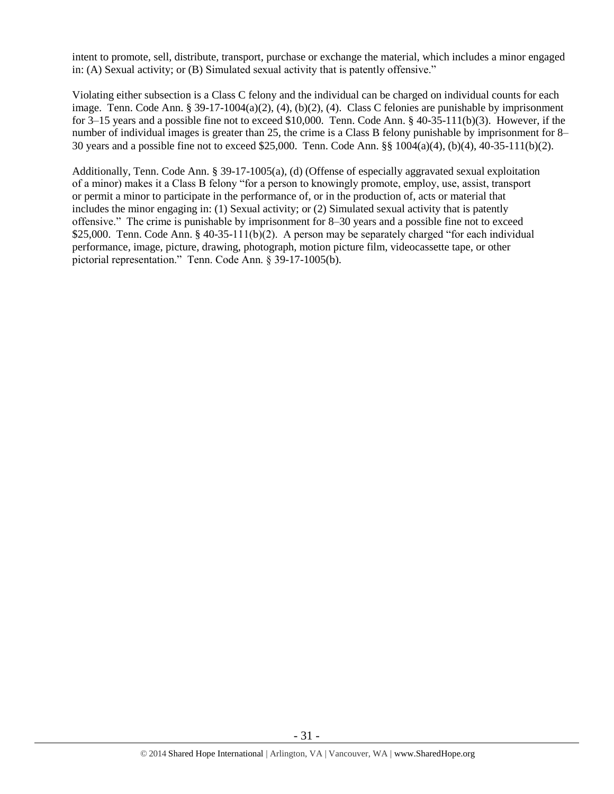intent to promote, sell, distribute, transport, purchase or exchange the material, which includes a minor engaged in: (A) Sexual activity; or (B) Simulated sexual activity that is patently offensive."

Violating either subsection is a Class C felony and the individual can be charged on individual counts for each image. Tenn. Code Ann. § 39-17-1004(a)(2), (4), (b)(2), (4). Class C felonies are punishable by imprisonment for 3–15 years and a possible fine not to exceed \$10,000. Tenn. Code Ann. § 40-35-111(b)(3). However, if the number of individual images is greater than 25, the crime is a Class B felony punishable by imprisonment for 8– 30 years and a possible fine not to exceed \$25,000. Tenn. Code Ann. §§ 1004(a)(4), (b)(4), 40-35-111(b)(2).

Additionally, Tenn. Code Ann. § 39-17-1005(a), (d) (Offense of especially aggravated sexual exploitation of a minor) makes it a Class B felony "for a person to knowingly promote, employ, use, assist, transport or permit a minor to participate in the performance of, or in the production of, acts or material that includes the minor engaging in: (1) Sexual activity; or (2) Simulated sexual activity that is patently offensive." The crime is punishable by imprisonment for 8–30 years and a possible fine not to exceed \$25,000. Tenn. Code Ann. § 40-35-111(b)(2). A person may be separately charged "for each individual performance, image, picture, drawing, photograph, motion picture film, videocassette tape, or other pictorial representation." Tenn. Code Ann. § 39-17-1005(b).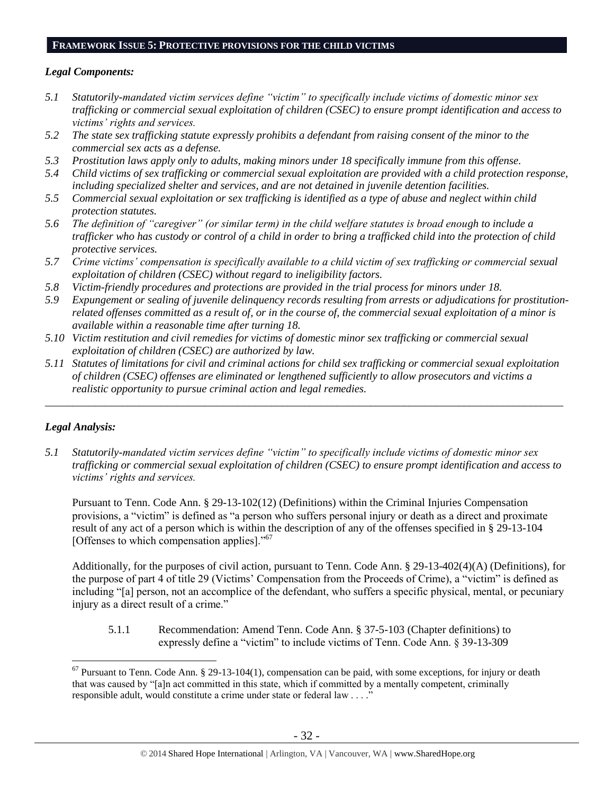#### **FRAMEWORK ISSUE 5: PROTECTIVE PROVISIONS FOR THE CHILD VICTIMS**

#### *Legal Components:*

- *5.1 Statutorily-mandated victim services define "victim" to specifically include victims of domestic minor sex trafficking or commercial sexual exploitation of children (CSEC) to ensure prompt identification and access to victims' rights and services.*
- *5.2 The state sex trafficking statute expressly prohibits a defendant from raising consent of the minor to the commercial sex acts as a defense.*
- *5.3 Prostitution laws apply only to adults, making minors under 18 specifically immune from this offense.*
- *5.4 Child victims of sex trafficking or commercial sexual exploitation are provided with a child protection response, including specialized shelter and services, and are not detained in juvenile detention facilities.*
- *5.5 Commercial sexual exploitation or sex trafficking is identified as a type of abuse and neglect within child protection statutes.*
- *5.6 The definition of "caregiver" (or similar term) in the child welfare statutes is broad enough to include a trafficker who has custody or control of a child in order to bring a trafficked child into the protection of child protective services.*
- *5.7 Crime victims' compensation is specifically available to a child victim of sex trafficking or commercial sexual exploitation of children (CSEC) without regard to ineligibility factors.*
- *5.8 Victim-friendly procedures and protections are provided in the trial process for minors under 18.*
- *5.9 Expungement or sealing of juvenile delinquency records resulting from arrests or adjudications for prostitutionrelated offenses committed as a result of, or in the course of, the commercial sexual exploitation of a minor is available within a reasonable time after turning 18.*
- *5.10 Victim restitution and civil remedies for victims of domestic minor sex trafficking or commercial sexual exploitation of children (CSEC) are authorized by law.*
- *5.11 Statutes of limitations for civil and criminal actions for child sex trafficking or commercial sexual exploitation of children (CSEC) offenses are eliminated or lengthened sufficiently to allow prosecutors and victims a realistic opportunity to pursue criminal action and legal remedies.*

*\_\_\_\_\_\_\_\_\_\_\_\_\_\_\_\_\_\_\_\_\_\_\_\_\_\_\_\_\_\_\_\_\_\_\_\_\_\_\_\_\_\_\_\_\_\_\_\_\_\_\_\_\_\_\_\_\_\_\_\_\_\_\_\_\_\_\_\_\_\_\_\_\_\_\_\_\_\_\_\_\_\_\_\_\_\_\_\_\_\_\_\_\_\_*

#### *Legal Analysis:*

 $\overline{a}$ 

*5.1 Statutorily-mandated victim services define "victim" to specifically include victims of domestic minor sex trafficking or commercial sexual exploitation of children (CSEC) to ensure prompt identification and access to victims' rights and services.*

Pursuant to Tenn. Code Ann. § 29-13-102(12) (Definitions) within the Criminal Injuries Compensation provisions, a "victim" is defined as "a person who suffers personal injury or death as a direct and proximate result of any act of a person which is within the description of any of the offenses specified in § 29-13-104 [Offenses to which compensation applies]."<sup>67</sup>

Additionally, for the purposes of civil action, pursuant to Tenn. Code Ann. § 29-13-402(4)(A) (Definitions), for the purpose of part 4 of title 29 (Victims' Compensation from the Proceeds of Crime), a "victim" is defined as including "[a] person, not an accomplice of the defendant, who suffers a specific physical, mental, or pecuniary injury as a direct result of a crime."

5.1.1 Recommendation: Amend Tenn. Code Ann. § 37-5-103 (Chapter definitions) to expressly define a "victim" to include victims of Tenn. Code Ann. § 39-13-309

 $67$  Pursuant to Tenn. Code Ann. § 29-13-104(1), compensation can be paid, with some exceptions, for injury or death that was caused by "[a]n act committed in this state, which if committed by a mentally competent, criminally responsible adult, would constitute a crime under state or federal law . . . ."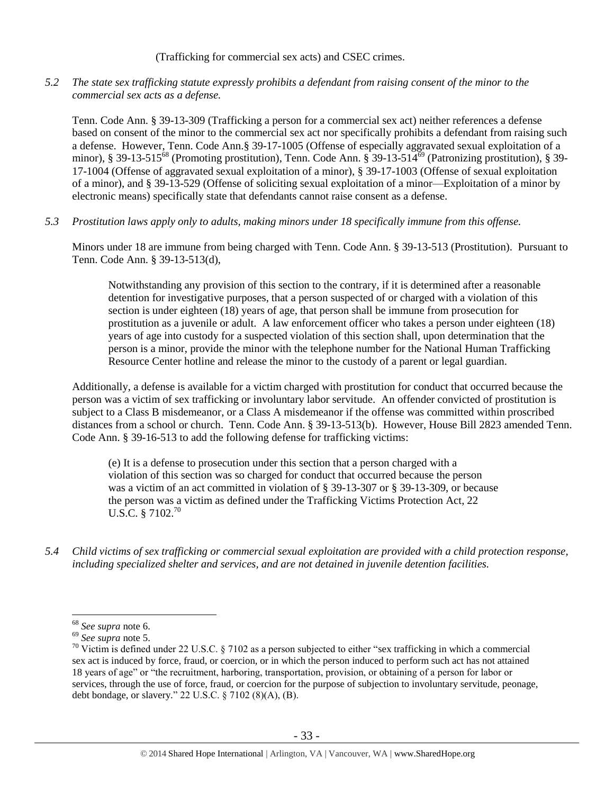(Trafficking for commercial sex acts) and CSEC crimes.

*5.2 The state sex trafficking statute expressly prohibits a defendant from raising consent of the minor to the commercial sex acts as a defense.*

Tenn. Code Ann. § 39-13-309 (Trafficking a person for a commercial sex act) neither references a defense based on consent of the minor to the commercial sex act nor specifically prohibits a defendant from raising such a defense. However, Tenn. Code Ann.§ 39-17-1005 (Offense of especially aggravated sexual exploitation of a minor), § 39-13-515<sup>68</sup> (Promoting prostitution), Tenn. Code Ann. § 39-13-514<sup>69</sup> (Patronizing prostitution), § 39-17-1004 (Offense of aggravated sexual exploitation of a minor), § 39-17-1003 (Offense of sexual exploitation of a minor), and § 39-13-529 (Offense of soliciting sexual exploitation of a minor—Exploitation of a minor by electronic means) specifically state that defendants cannot raise consent as a defense.

*5.3 Prostitution laws apply only to adults, making minors under 18 specifically immune from this offense.*

Minors under 18 are immune from being charged with Tenn. Code Ann. § 39-13-513 (Prostitution). Pursuant to Tenn. Code Ann. § 39-13-513(d),

Notwithstanding any provision of this section to the contrary, if it is determined after a reasonable detention for investigative purposes, that a person suspected of or charged with a violation of this section is under eighteen (18) years of age, that person shall be immune from prosecution for prostitution as a juvenile or adult. A law enforcement officer who takes a person under eighteen (18) years of age into custody for a suspected violation of this section shall, upon determination that the person is a minor, provide the minor with the telephone number for the National Human Trafficking Resource Center hotline and release the minor to the custody of a parent or legal guardian.

Additionally, a defense is available for a victim charged with prostitution for conduct that occurred because the person was a victim of sex trafficking or involuntary labor servitude. An offender convicted of prostitution is subject to a Class B misdemeanor, or a Class A misdemeanor if the offense was committed within proscribed distances from a school or church. Tenn. Code Ann. § 39-13-513(b). However, House Bill 2823 amended Tenn. Code Ann. § 39-16-513 to add the following defense for trafficking victims:

(e) It is a defense to prosecution under this section that a person charged with a violation of this section was so charged for conduct that occurred because the person was a victim of an act committed in violation of § 39-13-307 or § 39-13-309, or because the person was a victim as defined under the Trafficking Victims Protection Act, 22  $U.S.C.$  § 7102.<sup>70</sup>

*5.4 Child victims of sex trafficking or commercial sexual exploitation are provided with a child protection response, including specialized shelter and services, and are not detained in juvenile detention facilities.*

<sup>68</sup> *See supra* note [6.](#page-2-0)

<sup>69</sup> *See supra* note [5.](#page-2-1)

 $70$  Victim is defined under 22 U.S.C. § 7102 as a person subjected to either "sex trafficking in which a commercial sex act is induced by force, fraud, or coercion, or in which the person induced to perform such act has not attained 18 years of age" or "the recruitment, harboring, transportation, provision, or obtaining of a person for labor or services, through the use of force, fraud, or coercion for the purpose of subjection to involuntary servitude, peonage, debt bondage, or slavery." 22 U.S.C. § 7102 (8)(A), (B).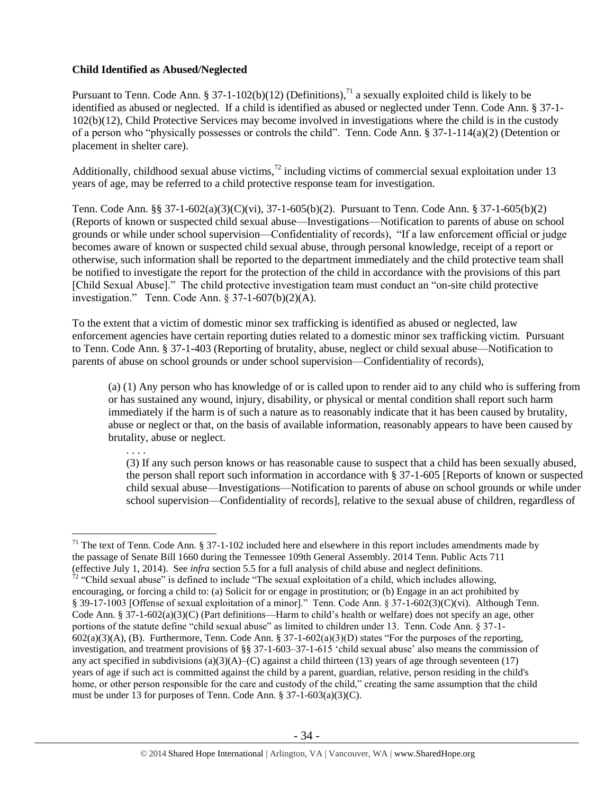## **Child Identified as Abused/Neglected**

Pursuant to Tenn. Code Ann. § 37-1-102(b)(12) (Definitions),<sup>71</sup> a sexually exploited child is likely to be identified as abused or neglected. If a child is identified as abused or neglected under Tenn. Code Ann. § 37-1- 102(b)(12), Child Protective Services may become involved in investigations where the child is in the custody of a person who "physically possesses or controls the child". Tenn. Code Ann. § 37-1-114(a)(2) (Detention or placement in shelter care).

Additionally, childhood sexual abuse victims,<sup>72</sup> including victims of commercial sexual exploitation under 13 years of age, may be referred to a child protective response team for investigation.

Tenn. Code Ann. §§ 37-1-602(a)(3)(C)(vi), 37-1-605(b)(2). Pursuant to Tenn. Code Ann. § 37-1-605(b)(2) (Reports of known or suspected child sexual abuse—Investigations—Notification to parents of abuse on school grounds or while under school supervision—Confidentiality of records), "If a law enforcement official or judge becomes aware of known or suspected child sexual abuse, through personal knowledge, receipt of a report or otherwise, such information shall be reported to the department immediately and the child protective team shall be notified to investigate the report for the protection of the child in accordance with the provisions of this part [Child Sexual Abuse]." The child protective investigation team must conduct an "on-site child protective investigation." Tenn. Code Ann. § 37-1-607(b)(2)(A).

To the extent that a victim of domestic minor sex trafficking is identified as abused or neglected, law enforcement agencies have certain reporting duties related to a domestic minor sex trafficking victim. Pursuant to Tenn. Code Ann. § 37-1-403 (Reporting of brutality, abuse, neglect or child sexual abuse—Notification to parents of abuse on school grounds or under school supervision—Confidentiality of records),

(a) (1) Any person who has knowledge of or is called upon to render aid to any child who is suffering from or has sustained any wound, injury, disability, or physical or mental condition shall report such harm immediately if the harm is of such a nature as to reasonably indicate that it has been caused by brutality, abuse or neglect or that, on the basis of available information, reasonably appears to have been caused by brutality, abuse or neglect.

. . . .

(3) If any such person knows or has reasonable cause to suspect that a child has been sexually abused, the person shall report such information in accordance with § 37-1-605 [Reports of known or suspected child sexual abuse—Investigations—Notification to parents of abuse on school grounds or while under school supervision—Confidentiality of records], relative to the sexual abuse of children, regardless of

 $\overline{a}$  $71$  The text of Tenn. Code Ann. § 37-1-102 included here and elsewhere in this report includes amendments made by the passage of Senate Bill 1660 during the Tennessee 109th General Assembly. 2014 Tenn. Public Acts 711 (effective July 1, 2014). See *infra* section 5.5 for a full analysis of child abuse and neglect definitions.

 $72$  "Child sexual abuse" is defined to include "The sexual exploitation of a child, which includes allowing, encouraging, or forcing a child to: (a) Solicit for or engage in prostitution; or (b) Engage in an act prohibited by § 39-17-1003 [Offense of sexual exploitation of a minor]." Tenn. Code Ann. § 37-1-602(3)(C)(vi). Although Tenn. Code Ann. § 37-1-602(a)(3)(C) (Part definitions—Harm to child's health or welfare) does not specify an age, other portions of the statute define "child sexual abuse" as limited to children under 13. Tenn. Code Ann. § 37-1-  $602(a)(3)(A)$ , (B). Furthermore, Tenn. Code Ann. § 37-1-602(a)(3)(D) states "For the purposes of the reporting, investigation, and treatment provisions of §§ 37-1-603–37-1-615 'child sexual abuse' also means the commission of any act specified in subdivisions  $(a)(3)(A)$ –(C) against a child thirteen (13) years of age through seventeen (17) years of age if such act is committed against the child by a parent, guardian, relative, person residing in the child's home, or other person responsible for the care and custody of the child," creating the same assumption that the child must be under 13 for purposes of Tenn. Code Ann. § 37-1-603(a)(3)(C).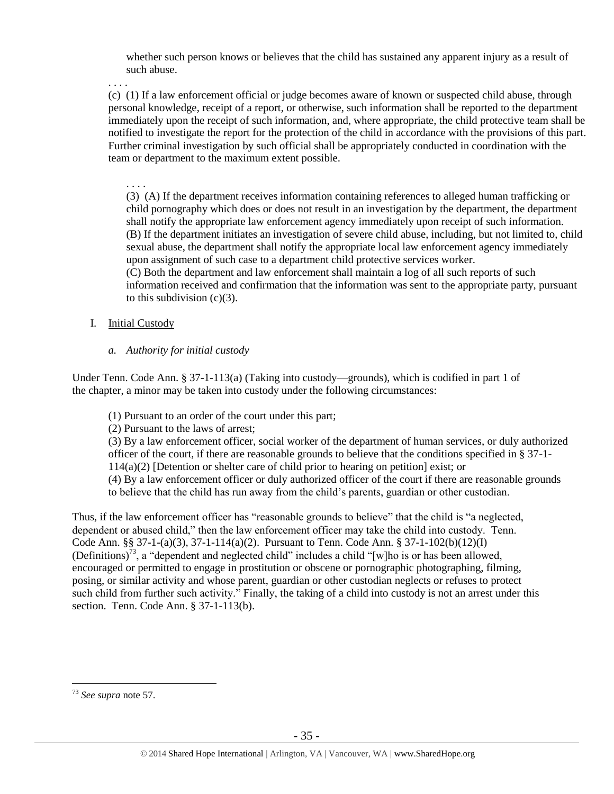whether such person knows or believes that the child has sustained any apparent injury as a result of such abuse.

. . . .

(c) (1) If a law enforcement official or judge becomes aware of known or suspected child abuse, through personal knowledge, receipt of a report, or otherwise, such information shall be reported to the department immediately upon the receipt of such information, and, where appropriate, the child protective team shall be notified to investigate the report for the protection of the child in accordance with the provisions of this part. Further criminal investigation by such official shall be appropriately conducted in coordination with the team or department to the maximum extent possible.

. . . .

(3) (A) If the department receives information containing references to alleged human trafficking or child pornography which does or does not result in an investigation by the department, the department shall notify the appropriate law enforcement agency immediately upon receipt of such information. (B) If the department initiates an investigation of severe child abuse, including, but not limited to, child sexual abuse, the department shall notify the appropriate local law enforcement agency immediately upon assignment of such case to a department child protective services worker.

(C) Both the department and law enforcement shall maintain a log of all such reports of such information received and confirmation that the information was sent to the appropriate party, pursuant to this subdivision  $(c)(3)$ .

- I. Initial Custody
	- *a. Authority for initial custody*

Under Tenn. Code Ann. § 37-1-113(a) (Taking into custody—grounds), which is codified in part 1 of the chapter, a minor may be taken into custody under the following circumstances:

- (1) Pursuant to an order of the court under this part;
- (2) Pursuant to the laws of arrest;

(3) By a law enforcement officer, social worker of the department of human services, or duly authorized officer of the court, if there are reasonable grounds to believe that the conditions specified in § 37-1- 114(a)(2) [Detention or shelter care of child prior to hearing on petition] exist; or (4) By a law enforcement officer or duly authorized officer of the court if there are reasonable grounds to believe that the child has run away from the child's parents, guardian or other custodian.

Thus, if the law enforcement officer has "reasonable grounds to believe" that the child is "a neglected, dependent or abused child," then the law enforcement officer may take the child into custody. Tenn. Code Ann. §§ 37-1-(a)(3), 37-1-114(a)(2). Pursuant to Tenn. Code Ann. § 37-1-102(b)(12)(I) (Definitions)<sup>73</sup>, a "dependent and neglected child" includes a child "[w]ho is or has been allowed, encouraged or permitted to engage in prostitution or obscene or pornographic photographing, filming, posing, or similar activity and whose parent, guardian or other custodian neglects or refuses to protect such child from further such activity." Finally, the taking of a child into custody is not an arrest under this section. Tenn. Code Ann. § 37-1-113(b).

 $\overline{a}$ <sup>73</sup> *See supra* note [57.](#page-23-0)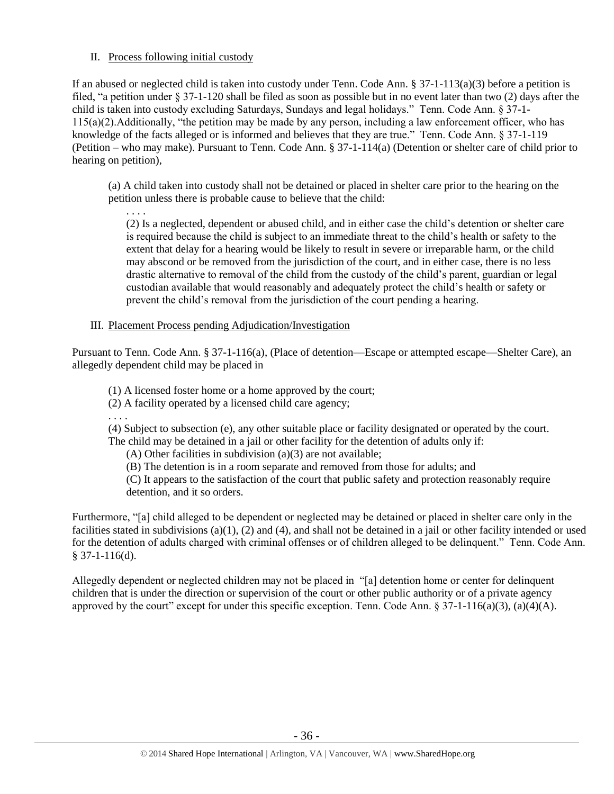## II. Process following initial custody

If an abused or neglected child is taken into custody under Tenn. Code Ann. § 37-1-113(a)(3) before a petition is filed, "a petition under § 37-1-120 shall be filed as soon as possible but in no event later than two (2) days after the child is taken into custody excluding Saturdays, Sundays and legal holidays." Tenn. Code Ann. § 37-1- 115(a)(2).Additionally, "the petition may be made by any person, including a law enforcement officer, who has knowledge of the facts alleged or is informed and believes that they are true." Tenn. Code Ann. § 37-1-119 (Petition – who may make). Pursuant to Tenn. Code Ann. § 37-1-114(a) (Detention or shelter care of child prior to hearing on petition),

(a) A child taken into custody shall not be detained or placed in shelter care prior to the hearing on the petition unless there is probable cause to believe that the child:

. . . . (2) Is a neglected, dependent or abused child, and in either case the child's detention or shelter care is required because the child is subject to an immediate threat to the child's health or safety to the extent that delay for a hearing would be likely to result in severe or irreparable harm, or the child may abscond or be removed from the jurisdiction of the court, and in either case, there is no less drastic alternative to removal of the child from the custody of the child's parent, guardian or legal custodian available that would reasonably and adequately protect the child's health or safety or prevent the child's removal from the jurisdiction of the court pending a hearing.

## III. Placement Process pending Adjudication/Investigation

Pursuant to Tenn. Code Ann. § 37-1-116(a), (Place of detention—Escape or attempted escape—Shelter Care), an allegedly dependent child may be placed in

(1) A licensed foster home or a home approved by the court;

(2) A facility operated by a licensed child care agency;

. . . .

(4) Subject to subsection (e), any other suitable place or facility designated or operated by the court. The child may be detained in a jail or other facility for the detention of adults only if:

(A) Other facilities in subdivision (a)(3) are not available;

(B) The detention is in a room separate and removed from those for adults; and

(C) It appears to the satisfaction of the court that public safety and protection reasonably require detention, and it so orders.

Furthermore, "[a] child alleged to be dependent or neglected may be detained or placed in shelter care only in the facilities stated in subdivisions  $(a)(1)$ ,  $(2)$  and  $(4)$ , and shall not be detained in a jail or other facility intended or used for the detention of adults charged with criminal offenses or of children alleged to be delinquent." Tenn. Code Ann. § 37-1-116(d).

Allegedly dependent or neglected children may not be placed in "[a] detention home or center for delinquent children that is under the direction or supervision of the court or other public authority or of a private agency approved by the court" except for under this specific exception. Tenn. Code Ann.  $\S 37-1-116(a)(3)$ , (a)(4)(A).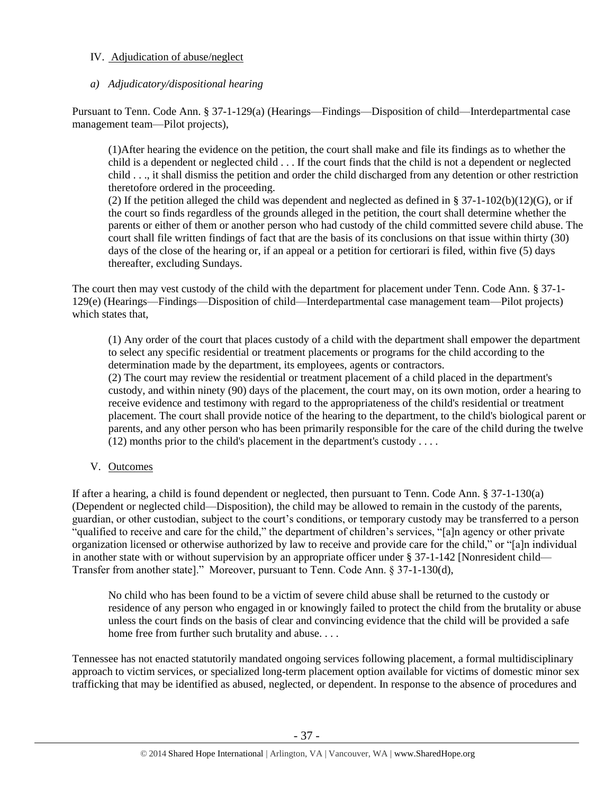## IV. Adjudication of abuse/neglect

## *a) Adjudicatory/dispositional hearing*

Pursuant to Tenn. Code Ann. § 37-1-129(a) (Hearings—Findings—Disposition of child—Interdepartmental case management team—Pilot projects),

(1)After hearing the evidence on the petition, the court shall make and file its findings as to whether the child is a dependent or neglected child . . . If the court finds that the child is not a dependent or neglected child . . ., it shall dismiss the petition and order the child discharged from any detention or other restriction theretofore ordered in the proceeding.

(2) If the petition alleged the child was dependent and neglected as defined in § 37-1-102(b)(12)(G), or if the court so finds regardless of the grounds alleged in the petition, the court shall determine whether the parents or either of them or another person who had custody of the child committed severe child abuse. The court shall file written findings of fact that are the basis of its conclusions on that issue within thirty (30) days of the close of the hearing or, if an appeal or a petition for certiorari is filed, within five (5) days thereafter, excluding Sundays.

The court then may vest custody of the child with the department for placement under Tenn. Code Ann. § 37-1- 129(e) (Hearings—Findings—Disposition of child—Interdepartmental case management team—Pilot projects) which states that,

(1) Any order of the court that places custody of a child with the department shall empower the department to select any specific residential or treatment placements or programs for the child according to the determination made by the department, its employees, agents or contractors.

(2) The court may review the residential or treatment placement of a child placed in the department's custody, and within ninety (90) days of the placement, the court may, on its own motion, order a hearing to receive evidence and testimony with regard to the appropriateness of the child's residential or treatment placement. The court shall provide notice of the hearing to the department, to the child's biological parent or parents, and any other person who has been primarily responsible for the care of the child during the twelve (12) months prior to the child's placement in the department's custody . . . .

V. Outcomes

If after a hearing, a child is found dependent or neglected, then pursuant to Tenn. Code Ann. § 37-1-130(a) (Dependent or neglected child—Disposition), the child may be allowed to remain in the custody of the parents, guardian, or other custodian, subject to the court's conditions, or temporary custody may be transferred to a person "qualified to receive and care for the child," the department of children's services, "[a]n agency or other private organization licensed or otherwise authorized by law to receive and provide care for the child," or "[a]n individual in another state with or without supervision by an appropriate officer under § 37-1-142 [Nonresident child— Transfer from another state]." Moreover, pursuant to Tenn. Code Ann. § 37-1-130(d),

No child who has been found to be a victim of severe child abuse shall be returned to the custody or residence of any person who engaged in or knowingly failed to protect the child from the brutality or abuse unless the court finds on the basis of clear and convincing evidence that the child will be provided a safe home free from further such brutality and abuse. . . .

Tennessee has not enacted statutorily mandated ongoing services following placement, a formal multidisciplinary approach to victim services, or specialized long-term placement option available for victims of domestic minor sex trafficking that may be identified as abused, neglected, or dependent. In response to the absence of procedures and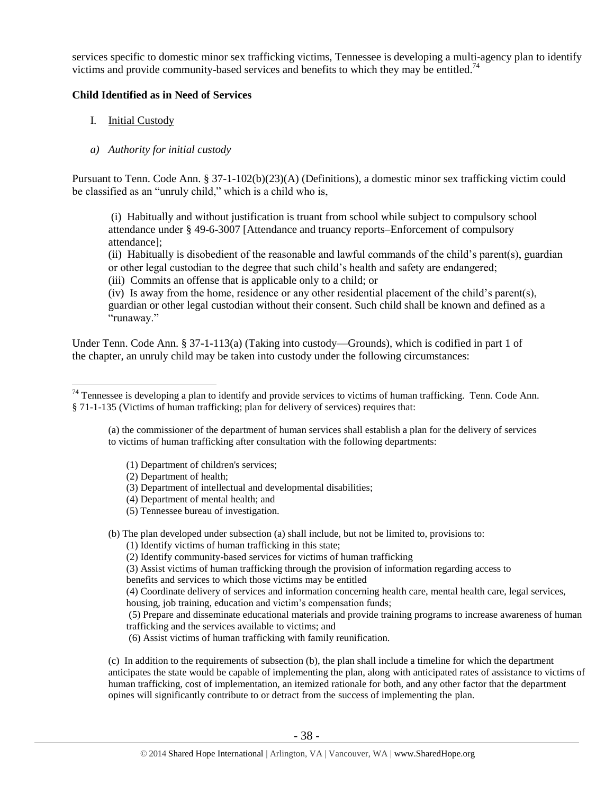services specific to domestic minor sex trafficking victims, Tennessee is developing a multi-agency plan to identify victims and provide community-based services and benefits to which they may be entitled.<sup>74</sup>

#### **Child Identified as in Need of Services**

- I. Initial Custody
- *a) Authority for initial custody*

Pursuant to Tenn. Code Ann. § 37-1-102(b)(23)(A) (Definitions), a domestic minor sex trafficking victim could be classified as an "unruly child," which is a child who is,

(i) Habitually and without justification is truant from school while subject to compulsory school attendance under § [49-6-3007](http://www.michie.com/tennessee/lpext.dll?f=FifLink&t=document-frame.htm&l=jump&iid=tncode&d=49-6-3007&sid=38e38567.7da3e70b.0.0#JD_49-6-3007) [Attendance and truancy reports–Enforcement of compulsory attendance];

(ii) Habitually is disobedient of the reasonable and lawful commands of the child's parent(s), guardian or other legal custodian to the degree that such child's health and safety are endangered;

(iii) Commits an offense that is applicable only to a child; or

(iv) Is away from the home, residence or any other residential placement of the child's parent(s), guardian or other legal custodian without their consent. Such child shall be known and defined as a "runaway."

Under Tenn. Code Ann. § 37-1-113(a) (Taking into custody—Grounds), which is codified in part 1 of the chapter, an unruly child may be taken into custody under the following circumstances:

(a) the commissioner of the department of human services shall establish a plan for the delivery of services to victims of human trafficking after consultation with the following departments:

- (1) Department of children's services;
- (2) Department of health;
- (3) Department of intellectual and developmental disabilities;
- (4) Department of mental health; and
- (5) Tennessee bureau of investigation.

(b) The plan developed under subsection (a) shall include, but not be limited to, provisions to:

- (1) Identify victims of human trafficking in this state;
- (2) Identify community-based services for victims of human trafficking
- (3) Assist victims of human trafficking through the provision of information regarding access to
- benefits and services to which those victims may be entitled

(4) Coordinate delivery of services and information concerning health care, mental health care, legal services, housing, job training, education and victim's compensation funds;

(5) Prepare and disseminate educational materials and provide training programs to increase awareness of human trafficking and the services available to victims; and

(6) Assist victims of human trafficking with family reunification.

(c) In addition to the requirements of subsection (b), the plan shall include a timeline for which the department anticipates the state would be capable of implementing the plan, along with anticipated rates of assistance to victims of human trafficking, cost of implementation, an itemized rationale for both, and any other factor that the department opines will significantly contribute to or detract from the success of implementing the plan.

 $\overline{a}$  $74$  Tennessee is developing a plan to identify and provide services to victims of human trafficking. Tenn. Code Ann. § 71-1-135 (Victims of human trafficking; plan for delivery of services) requires that: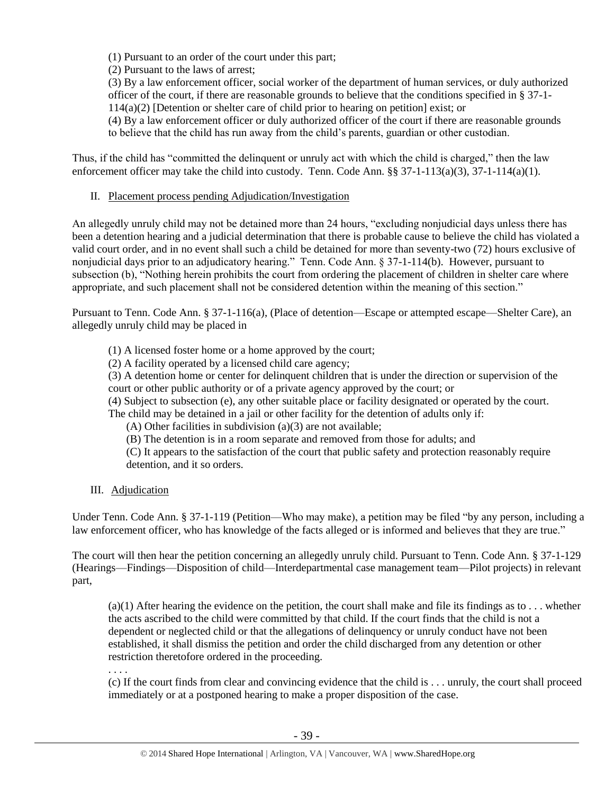(1) Pursuant to an order of the court under this part;

(2) Pursuant to the laws of arrest;

(3) By a law enforcement officer, social worker of the department of human services, or duly authorized officer of the court, if there are reasonable grounds to believe that the conditions specified in § 37-1- 114(a)(2) [Detention or shelter care of child prior to hearing on petition] exist; or

(4) By a law enforcement officer or duly authorized officer of the court if there are reasonable grounds to believe that the child has run away from the child's parents, guardian or other custodian.

Thus, if the child has "committed the delinquent or unruly act with which the child is charged," then the law enforcement officer may take the child into custody. Tenn. Code Ann. §§ 37-1-113(a)(3), 37-1-114(a)(1).

## II. Placement process pending Adjudication/Investigation

An allegedly unruly child may not be detained more than 24 hours, "excluding nonjudicial days unless there has been a detention hearing and a judicial determination that there is probable cause to believe the child has violated a valid court order, and in no event shall such a child be detained for more than seventy-two (72) hours exclusive of nonjudicial days prior to an adjudicatory hearing." Tenn. Code Ann. § 37-1-114(b). However, pursuant to subsection (b), "Nothing herein prohibits the court from ordering the placement of children in shelter care where appropriate, and such placement shall not be considered detention within the meaning of this section."

Pursuant to Tenn. Code Ann. § 37-1-116(a), (Place of detention—Escape or attempted escape—Shelter Care), an allegedly unruly child may be placed in

(1) A licensed foster home or a home approved by the court;

(2) A facility operated by a licensed child care agency;

(3) A detention home or center for delinquent children that is under the direction or supervision of the court or other public authority or of a private agency approved by the court; or

(4) Subject to subsection (e), any other suitable place or facility designated or operated by the court.

The child may be detained in a jail or other facility for the detention of adults only if:

(A) Other facilities in subdivision (a)(3) are not available;

(B) The detention is in a room separate and removed from those for adults; and

(C) It appears to the satisfaction of the court that public safety and protection reasonably require detention, and it so orders.

III. Adjudication

Under Tenn. Code Ann. § 37-1-119 (Petition—Who may make), a petition may be filed "by any person, including a law enforcement officer, who has knowledge of the facts alleged or is informed and believes that they are true."

The court will then hear the petition concerning an allegedly unruly child. Pursuant to Tenn. Code Ann. § 37-1-129 (Hearings—Findings—Disposition of child—Interdepartmental case management team—Pilot projects) in relevant part,

 $(a)(1)$  After hearing the evidence on the petition, the court shall make and file its findings as to ... whether the acts ascribed to the child were committed by that child. If the court finds that the child is not a dependent or neglected child or that the allegations of delinquency or unruly conduct have not been established, it shall dismiss the petition and order the child discharged from any detention or other restriction theretofore ordered in the proceeding.

. . . .

(c) If the court finds from clear and convincing evidence that the child is . . . unruly, the court shall proceed immediately or at a postponed hearing to make a proper disposition of the case.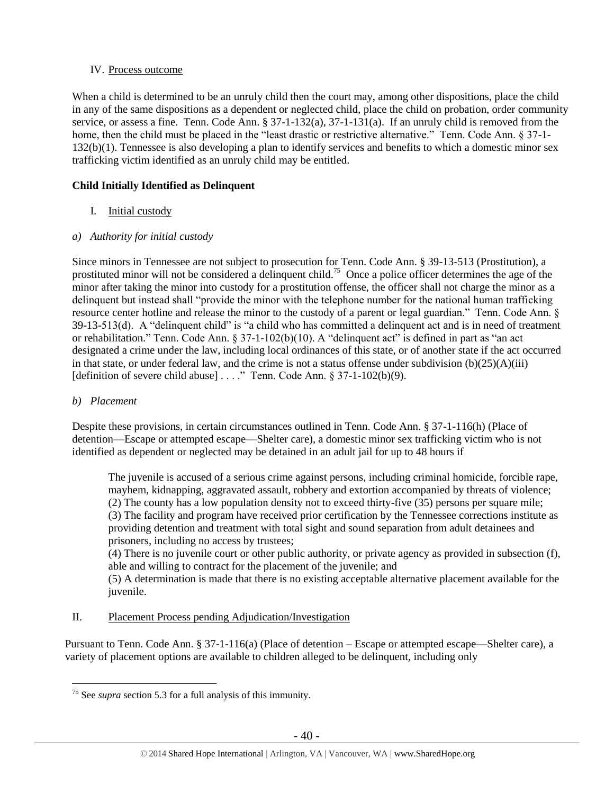## IV. Process outcome

When a child is determined to be an unruly child then the court may, among other dispositions, place the child in any of the same dispositions as a dependent or neglected child, place the child on probation, order community service, or assess a fine. Tenn. Code Ann. § 37-1-132(a), 37-1-131(a). If an unruly child is removed from the home, then the child must be placed in the "least drastic or restrictive alternative." Tenn. Code Ann. § 37-1-132(b)(1). Tennessee is also developing a plan to identify services and benefits to which a domestic minor sex trafficking victim identified as an unruly child may be entitled.

## **Child Initially Identified as Delinquent**

I. Initial custody

## *a) Authority for initial custody*

Since minors in Tennessee are not subject to prosecution for Tenn. Code Ann. § 39-13-513 (Prostitution), a prostituted minor will not be considered a delinquent child.<sup>75</sup> Once a police officer determines the age of the minor after taking the minor into custody for a prostitution offense, the officer shall not charge the minor as a delinquent but instead shall "provide the minor with the telephone number for the national human trafficking resource center hotline and release the minor to the custody of a parent or legal guardian." Tenn. Code Ann. § 39-13-513(d). A "delinquent child" is "a child who has committed a delinquent act and is in need of treatment or rehabilitation." Tenn. Code Ann. § 37-1-102(b)(10). A "delinquent act" is defined in part as "an act designated a crime under the law, including local ordinances of this state, or of another state if the act occurred in that state, or under federal law, and the crime is not a status offense under subdivision  $(b)(25)(A)(iii)$ [definition of severe child abuse] . . . ." Tenn. Code Ann. § 37-1-102(b)(9).

## *b) Placement*

Despite these provisions, in certain circumstances outlined in Tenn. Code Ann. § 37-1-116(h) (Place of detention—Escape or attempted escape—Shelter care), a domestic minor sex trafficking victim who is not identified as dependent or neglected may be detained in an adult jail for up to 48 hours if

The juvenile is accused of a serious crime against persons, including criminal homicide, forcible rape, mayhem, kidnapping, aggravated assault, robbery and extortion accompanied by threats of violence; (2) The county has a low population density not to exceed thirty-five (35) persons per square mile; (3) The facility and program have received prior certification by the Tennessee corrections institute as providing detention and treatment with total sight and sound separation from adult detainees and prisoners, including no access by trustees;

(4) There is no juvenile court or other public authority, or private agency as provided in subsection (f), able and willing to contract for the placement of the juvenile; and

(5) A determination is made that there is no existing acceptable alternative placement available for the juvenile.

## II. Placement Process pending Adjudication/Investigation

Pursuant to Tenn. Code Ann. § 37-1-116(a) (Place of detention – Escape or attempted escape—Shelter care), a variety of placement options are available to children alleged to be delinquent, including only

 $\overline{a}$ <sup>75</sup> See *supra* section 5.3 for a full analysis of this immunity.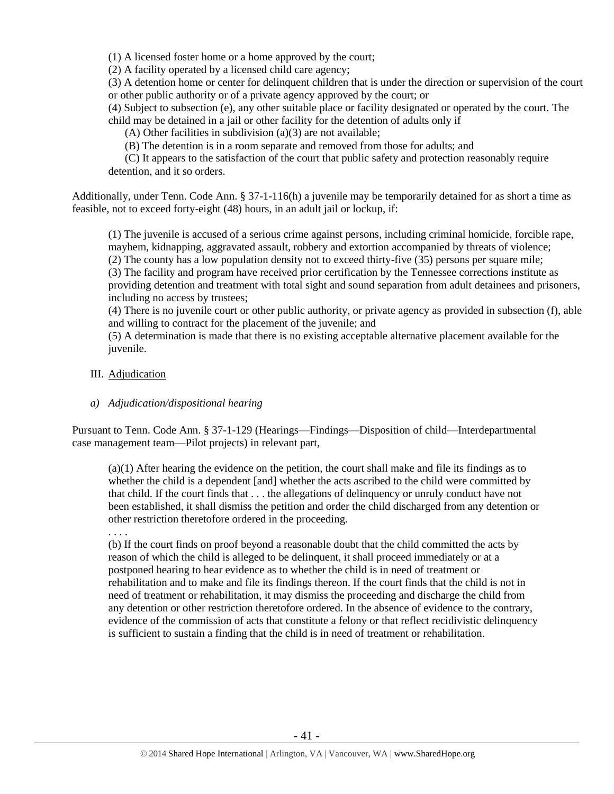(1) A licensed foster home or a home approved by the court;

(2) A facility operated by a licensed child care agency;

(3) A detention home or center for delinquent children that is under the direction or supervision of the court or other public authority or of a private agency approved by the court; or

(4) Subject to subsection (e), any other suitable place or facility designated or operated by the court. The child may be detained in a jail or other facility for the detention of adults only if

(A) Other facilities in subdivision (a)(3) are not available;

(B) The detention is in a room separate and removed from those for adults; and

 (C) It appears to the satisfaction of the court that public safety and protection reasonably require detention, and it so orders.

Additionally, under Tenn. Code Ann. § 37-1-116(h) a juvenile may be temporarily detained for as short a time as feasible, not to exceed forty-eight (48) hours, in an adult jail or lockup, if:

(1) The juvenile is accused of a serious crime against persons, including criminal homicide, forcible rape, mayhem, kidnapping, aggravated assault, robbery and extortion accompanied by threats of violence; (2) The county has a low population density not to exceed thirty-five (35) persons per square mile;

(3) The facility and program have received prior certification by the Tennessee corrections institute as providing detention and treatment with total sight and sound separation from adult detainees and prisoners, including no access by trustees;

(4) There is no juvenile court or other public authority, or private agency as provided in subsection (f), able and willing to contract for the placement of the juvenile; and

(5) A determination is made that there is no existing acceptable alternative placement available for the juvenile.

#### III. Adjudication

#### *a) Adjudication/dispositional hearing*

Pursuant to Tenn. Code Ann. § 37-1-129 (Hearings—Findings—Disposition of child—Interdepartmental case management team—Pilot projects) in relevant part,

(a)(1) After hearing the evidence on the petition, the court shall make and file its findings as to whether the child is a dependent [and] whether the acts ascribed to the child were committed by that child. If the court finds that . . . the allegations of delinquency or unruly conduct have not been established, it shall dismiss the petition and order the child discharged from any detention or other restriction theretofore ordered in the proceeding.

. . . .

(b) If the court finds on proof beyond a reasonable doubt that the child committed the acts by reason of which the child is alleged to be delinquent, it shall proceed immediately or at a postponed hearing to hear evidence as to whether the child is in need of treatment or rehabilitation and to make and file its findings thereon. If the court finds that the child is not in need of treatment or rehabilitation, it may dismiss the proceeding and discharge the child from any detention or other restriction theretofore ordered. In the absence of evidence to the contrary, evidence of the commission of acts that constitute a felony or that reflect recidivistic delinquency is sufficient to sustain a finding that the child is in need of treatment or rehabilitation.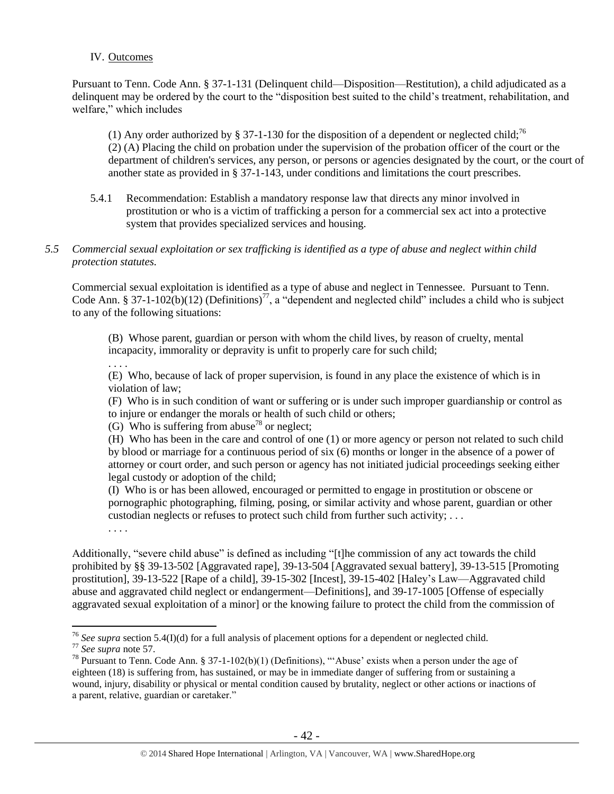#### IV. Outcomes

Pursuant to Tenn. Code Ann. § 37-1-131 (Delinquent child—Disposition—Restitution), a child adjudicated as a delinquent may be ordered by the court to the "disposition best suited to the child's treatment, rehabilitation, and welfare," which includes

(1) Any order authorized by § 37-1-130 for the disposition of a dependent or neglected child;<sup>76</sup> (2) (A) Placing the child on probation under the supervision of the probation officer of the court or the department of children's services, any person, or persons or agencies designated by the court, or the court of another state as provided in § 37-1-143, under conditions and limitations the court prescribes.

5.4.1 Recommendation: Establish a mandatory response law that directs any minor involved in prostitution or who is a victim of trafficking a person for a commercial sex act into a protective system that provides specialized services and housing.

## *5.5 Commercial sexual exploitation or sex trafficking is identified as a type of abuse and neglect within child protection statutes.*

Commercial sexual exploitation is identified as a type of abuse and neglect in Tennessee. Pursuant to Tenn. Code Ann. § 37-1-102(b)(12) (Definitions)<sup>77</sup>, a "dependent and neglected child" includes a child who is subject to any of the following situations:

(B) Whose parent, guardian or person with whom the child lives, by reason of cruelty, mental incapacity, immorality or depravity is unfit to properly care for such child;

. . . .

(E) Who, because of lack of proper supervision, is found in any place the existence of which is in violation of law;

(F) Who is in such condition of want or suffering or is under such improper guardianship or control as to injure or endanger the morals or health of such child or others;

(G) Who is suffering from abuse<sup>78</sup> or neglect:

(H) Who has been in the care and control of one (1) or more agency or person not related to such child by blood or marriage for a continuous period of six (6) months or longer in the absence of a power of attorney or court order, and such person or agency has not initiated judicial proceedings seeking either legal custody or adoption of the child;

(I) Who is or has been allowed, encouraged or permitted to engage in prostitution or obscene or pornographic photographing, filming, posing, or similar activity and whose parent, guardian or other custodian neglects or refuses to protect such child from further such activity; . . .

. . . .

Additionally, "severe child abuse" is defined as including "[t]he commission of any act towards the child prohibited by §§ 39-13-502 [Aggravated rape], 39-13-504 [Aggravated sexual battery], 39-13-515 [Promoting prostitution], 39-13-522 [Rape of a child], 39-15-302 [Incest], 39-15-402 [Haley's Law—Aggravated child abuse and aggravated child neglect or endangerment—Definitions], and 39-17-1005 [Offense of especially aggravated sexual exploitation of a minor] or the knowing failure to protect the child from the commission of

<sup>&</sup>lt;sup>76</sup> See supra section 5.4(I)(d) for a full analysis of placement options for a dependent or neglected child.

<sup>77</sup> *See supra* note [57.](#page-23-0)

<sup>78</sup> Pursuant to Tenn. Code Ann. § 37-1-102(b)(1) (Definitions), "'Abuse' exists when a person under the age of eighteen (18) is suffering from, has sustained, or may be in immediate danger of suffering from or sustaining a wound, injury, disability or physical or mental condition caused by brutality, neglect or other actions or inactions of a parent, relative, guardian or caretaker."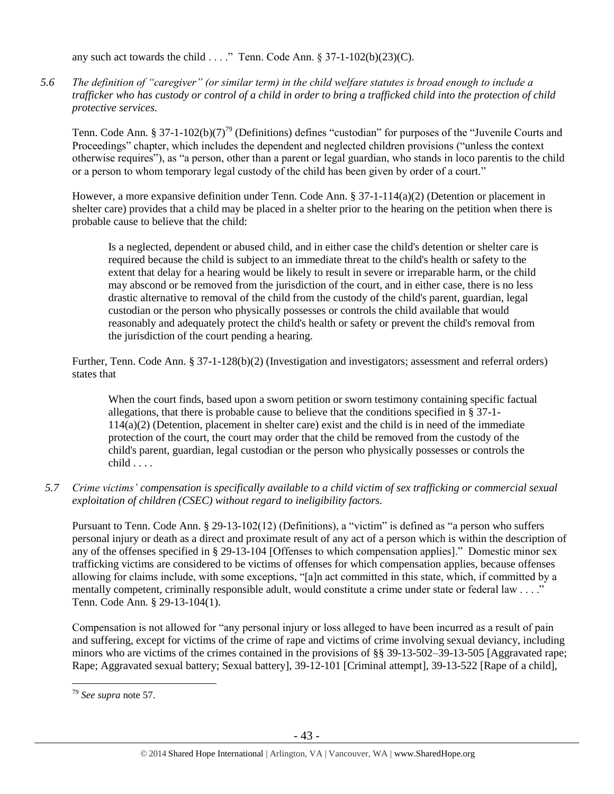any such act towards the child . . . ." Tenn. Code Ann.  $\S 37-1-102(b)(23)(C)$ .

*5.6 The definition of "caregiver" (or similar term) in the child welfare statutes is broad enough to include a trafficker who has custody or control of a child in order to bring a trafficked child into the protection of child protective services.*

Tenn. Code Ann. § 37-1-102(b)(7)<sup>79</sup> (Definitions) defines "custodian" for purposes of the "Juvenile Courts and Proceedings" chapter, which includes the dependent and neglected children provisions ("unless the context otherwise requires"), as "a person, other than a parent or legal guardian, who stands in loco parentis to the child or a person to whom temporary legal custody of the child has been given by order of a court."

However, a more expansive definition under Tenn. Code Ann. § 37-1-114(a)(2) (Detention or placement in shelter care) provides that a child may be placed in a shelter prior to the hearing on the petition when there is probable cause to believe that the child:

Is a neglected, dependent or abused child, and in either case the child's detention or shelter care is required because the child is subject to an immediate threat to the child's health or safety to the extent that delay for a hearing would be likely to result in severe or irreparable harm, or the child may abscond or be removed from the jurisdiction of the court, and in either case, there is no less drastic alternative to removal of the child from the custody of the child's parent, guardian, legal custodian or the person who physically possesses or controls the child available that would reasonably and adequately protect the child's health or safety or prevent the child's removal from the jurisdiction of the court pending a hearing.

Further, Tenn. Code Ann. § 37-1-128(b)(2) (Investigation and investigators; assessment and referral orders) states that

When the court finds, based upon a sworn petition or sworn testimony containing specific factual allegations, that there is probable cause to believe that the conditions specified in § 37-1- 114(a)(2) (Detention, placement in shelter care) exist and the child is in need of the immediate protection of the court, the court may order that the child be removed from the custody of the child's parent, guardian, legal custodian or the person who physically possesses or controls the child . . . .

*5.7 Crime victims' compensation is specifically available to a child victim of sex trafficking or commercial sexual exploitation of children (CSEC) without regard to ineligibility factors.*

Pursuant to Tenn. Code Ann. § 29-13-102(12) (Definitions), a "victim" is defined as "a person who suffers personal injury or death as a direct and proximate result of any act of a person which is within the description of any of the offenses specified in § 29-13-104 [Offenses to which compensation applies]." Domestic minor sex trafficking victims are considered to be victims of offenses for which compensation applies, because offenses allowing for claims include, with some exceptions, "[a]n act committed in this state, which, if committed by a mentally competent, criminally responsible adult, would constitute a crime under state or federal law . . . ." Tenn. Code Ann. § 29-13-104(1).

Compensation is not allowed for "any personal injury or loss alleged to have been incurred as a result of pain and suffering, except for victims of the crime of rape and victims of crime involving sexual deviancy, including minors who are victims of the crimes contained in the provisions of [§§ 39-13-502](https://www.lexis.com/research/buttonTFLink?_m=174cb59fee180dee8938bb262f35ccec&_xfercite=%3ccite%20cc%3d%22USA%22%3e%3c%21%5bCDATA%5bTenn.%20Code%20Ann.%20%a7%2029-13-106%5d%5d%3e%3c%2fcite%3e&_butType=4&_butStat=0&_butNum=9&_butInline=1&_butinfo=TNCODE%2039-13-502&_fmtstr=FULL&docnum=1&_startdoc=1&wchp=dGLbVtb-zSkAB&_md5=822f63069e8581703def8e50c6be8a64)[–39-13-505](https://www.lexis.com/research/buttonTFLink?_m=174cb59fee180dee8938bb262f35ccec&_xfercite=%3ccite%20cc%3d%22USA%22%3e%3c%21%5bCDATA%5bTenn.%20Code%20Ann.%20%a7%2029-13-106%5d%5d%3e%3c%2fcite%3e&_butType=4&_butStat=0&_butNum=10&_butInline=1&_butinfo=TNCODE%2039-13-505&_fmtstr=FULL&docnum=1&_startdoc=1&wchp=dGLbVtb-zSkAB&_md5=e6b50a15afcc6c5caf1761c0438604f5) [Aggravated rape; Rape; Aggravated sexual battery; Sexual battery], [39-12-101](https://www.lexis.com/research/buttonTFLink?_m=174cb59fee180dee8938bb262f35ccec&_xfercite=%3ccite%20cc%3d%22USA%22%3e%3c%21%5bCDATA%5bTenn.%20Code%20Ann.%20%a7%2029-13-106%5d%5d%3e%3c%2fcite%3e&_butType=4&_butStat=0&_butNum=11&_butInline=1&_butinfo=TNCODE%2039-12-101&_fmtstr=FULL&docnum=1&_startdoc=1&wchp=dGLbVtb-zSkAB&_md5=c388863aa00a8704be3c3e6f2bba9d97) [Criminal attempt], [39-13-522](https://www.lexis.com/research/buttonTFLink?_m=174cb59fee180dee8938bb262f35ccec&_xfercite=%3ccite%20cc%3d%22USA%22%3e%3c%21%5bCDATA%5bTenn.%20Code%20Ann.%20%a7%2029-13-106%5d%5d%3e%3c%2fcite%3e&_butType=4&_butStat=0&_butNum=12&_butInline=1&_butinfo=TNCODE%2039-13-522&_fmtstr=FULL&docnum=1&_startdoc=1&wchp=dGLbVtb-zSkAB&_md5=ddc0f926bb8561bee115d8941fd4db91) [Rape of a child],

<sup>79</sup> *See supra* note [57.](#page-23-0)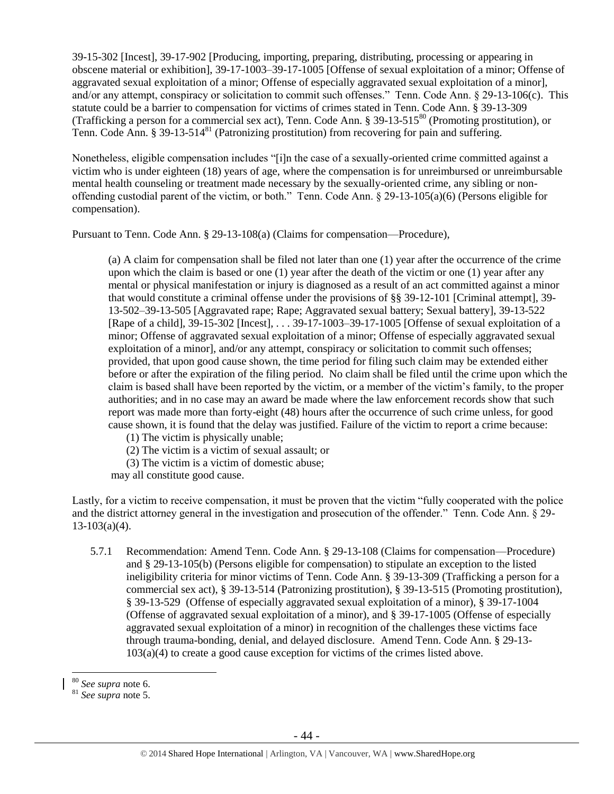[39-15-302](https://www.lexis.com/research/buttonTFLink?_m=174cb59fee180dee8938bb262f35ccec&_xfercite=%3ccite%20cc%3d%22USA%22%3e%3c%21%5bCDATA%5bTenn.%20Code%20Ann.%20%a7%2029-13-106%5d%5d%3e%3c%2fcite%3e&_butType=4&_butStat=0&_butNum=13&_butInline=1&_butinfo=TNCODE%2039-15-302&_fmtstr=FULL&docnum=1&_startdoc=1&wchp=dGLbVtb-zSkAB&_md5=6a0a3156019470fbfcf965f209085587) [Incest][, 39-17-902](https://www.lexis.com/research/buttonTFLink?_m=174cb59fee180dee8938bb262f35ccec&_xfercite=%3ccite%20cc%3d%22USA%22%3e%3c%21%5bCDATA%5bTenn.%20Code%20Ann.%20%a7%2029-13-106%5d%5d%3e%3c%2fcite%3e&_butType=4&_butStat=0&_butNum=14&_butInline=1&_butinfo=TNCODE%2039-17-902&_fmtstr=FULL&docnum=1&_startdoc=1&wchp=dGLbVtb-zSkAB&_md5=8ab46b53a7aa30ce7485bda5c67048d5) [\[Producing, importing, preparing, distributing, processing or appearing in](javascript:void(pToc.tc2dc()  [obscene material or exhibition\]](javascript:void(pToc.tc2dc()[, 39-17-1003](https://www.lexis.com/research/buttonTFLink?_m=174cb59fee180dee8938bb262f35ccec&_xfercite=%3ccite%20cc%3d%22USA%22%3e%3c%21%5bCDATA%5bTenn.%20Code%20Ann.%20%a7%2029-13-106%5d%5d%3e%3c%2fcite%3e&_butType=4&_butStat=0&_butNum=15&_butInline=1&_butinfo=TNCODE%2039-17-1003&_fmtstr=FULL&docnum=1&_startdoc=1&wchp=dGLbVtb-zSkAB&_md5=cc33b3b535dd36db2504ecdc624cf830)[–39-17-1005](https://www.lexis.com/research/buttonTFLink?_m=174cb59fee180dee8938bb262f35ccec&_xfercite=%3ccite%20cc%3d%22USA%22%3e%3c%21%5bCDATA%5bTenn.%20Code%20Ann.%20%a7%2029-13-106%5d%5d%3e%3c%2fcite%3e&_butType=4&_butStat=0&_butNum=16&_butInline=1&_butinfo=TNCODE%2039-17-1005&_fmtstr=FULL&docnum=1&_startdoc=1&wchp=dGLbVtb-zSkAB&_md5=e50f25fa5f94ebdb7720727fc9c04bd1) [Offense of sexual exploitation of a minor; Offense of aggravated sexual exploitation of a minor; Offense of especially aggravated sexual exploitation of a minor], and/or any attempt, conspiracy or solicitation to commit such offenses." Tenn. Code Ann. § 29-13-106(c). This statute could be a barrier to compensation for victims of crimes stated in Tenn. Code Ann. § 39-13-309 (Trafficking a person for a commercial sex act), Tenn. Code Ann. § 39-13-515<sup>80</sup> (Promoting prostitution), or Tenn. Code Ann. § 39-13-514<sup>81</sup> (Patronizing prostitution) from recovering for pain and suffering.

Nonetheless, eligible compensation includes "[i]n the case of a sexually-oriented crime committed against a victim who is under eighteen (18) years of age, where the compensation is for unreimbursed or unreimbursable mental health counseling or treatment made necessary by the sexually-oriented crime, any sibling or nonoffending custodial parent of the victim, or both." Tenn. Code Ann. § 29-13-105(a)(6) (Persons eligible for compensation).

Pursuant to Tenn. Code Ann. § 29-13-108(a) (Claims for compensation—Procedure),

(a) A claim for compensation shall be filed not later than one (1) year after the occurrence of the crime upon which the claim is based or one (1) year after the death of the victim or one (1) year after any mental or physical manifestation or injury is diagnosed as a result of an act committed against a minor that would constitute a criminal offense under the provisions of §§ 39-12-101 [Criminal attempt], 39- 13-502–39-13-505 [Aggravated rape; Rape; Aggravated sexual battery; Sexual battery], 39-13-522 [Rape of a child], 39-15-302 [Incest], . . . 39-17-1003–39-17-1005 [Offense of sexual exploitation of a minor; Offense of aggravated sexual exploitation of a minor; Offense of especially aggravated sexual exploitation of a minor], and/or any attempt, conspiracy or solicitation to commit such offenses; provided, that upon good cause shown, the time period for filing such claim may be extended either before or after the expiration of the filing period. No claim shall be filed until the crime upon which the claim is based shall have been reported by the victim, or a member of the victim's family, to the proper authorities; and in no case may an award be made where the law enforcement records show that such report was made more than forty-eight (48) hours after the occurrence of such crime unless, for good cause shown, it is found that the delay was justified. Failure of the victim to report a crime because:

(1) The victim is physically unable;

(2) The victim is a victim of sexual assault; or

(3) The victim is a victim of domestic abuse;

may all constitute good cause.

Lastly, for a victim to receive compensation, it must be proven that the victim "fully cooperated with the police and the district attorney general in the investigation and prosecution of the offender." Tenn. Code Ann. § 29-  $13-103(a)(4)$ .

5.7.1 Recommendation: Amend Tenn. Code Ann. § 29-13-108 (Claims for compensation—Procedure) and § 29-13-105(b) (Persons eligible for compensation) to stipulate an exception to the listed ineligibility criteria for minor victims of Tenn. Code Ann. § 39-13-309 (Trafficking a person for a commercial sex act), § 39-13-514 (Patronizing prostitution), § 39-13-515 (Promoting prostitution), § 39-13-529 (Offense of especially aggravated sexual exploitation of a minor), § 39-17-1004 (Offense of aggravated sexual exploitation of a minor), and § 39-17-1005 (Offense of especially aggravated sexual exploitation of a minor) in recognition of the challenges these victims face through trauma-bonding, denial, and delayed disclosure. Amend Tenn. Code Ann. § 29-13- 103(a)(4) to create a good cause exception for victims of the crimes listed above.

<sup>80</sup> *See supra* note [6.](#page-2-0)

<sup>81</sup> *See supra* note [5.](#page-2-1)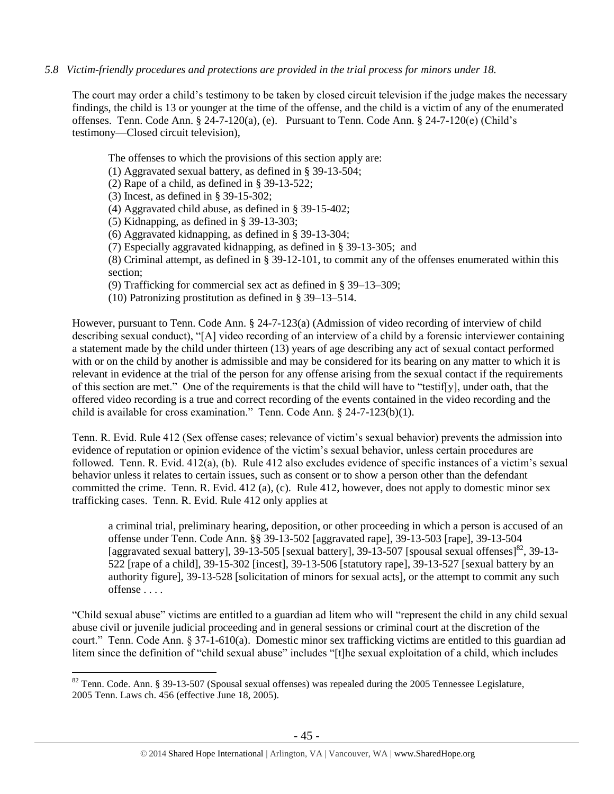## *5.8 Victim-friendly procedures and protections are provided in the trial process for minors under 18.*

The court may order a child's testimony to be taken by closed circuit television if the judge makes the necessary findings, the child is 13 or younger at the time of the offense, and the child is a victim of any of the enumerated offenses. Tenn. Code Ann. § 24-7-120(a), (e). Pursuant to Tenn. Code Ann. § 24-7-120(e) (Child's testimony—Closed circuit television),

The offenses to which the provisions of this section apply are:

(1) Aggravated sexual battery, as defined in § 39-13-504;

(2) Rape of a child, as defined in § 39-13-522;

(3) Incest, as defined in § 39-15-302;

 $\overline{a}$ 

(4) Aggravated child abuse, as defined in § 39-15-402;

(5) Kidnapping, as defined in § 39-13-303;

(6) Aggravated kidnapping, as defined in § 39-13-304;

(7) Especially aggravated kidnapping, as defined in § 39-13-305; and

(8) Criminal attempt, as defined in § 39-12-101, to commit any of the offenses enumerated within this section;

(9) Trafficking for commercial sex act as defined in § 39–13–309;

(10) Patronizing prostitution as defined in § 39–13–514.

However, pursuant to Tenn. Code Ann. § 24-7-123(a) (Admission of video recording of interview of child describing sexual conduct), "[A] video recording of an interview of a child by a forensic interviewer containing a statement made by the child under thirteen (13) years of age describing any act of sexual contact performed with or on the child by another is admissible and may be considered for its bearing on any matter to which it is relevant in evidence at the trial of the person for any offense arising from the sexual contact if the requirements of this section are met." One of the requirements is that the child will have to "testif[y], under oath, that the offered video recording is a true and correct recording of the events contained in the video recording and the child is available for cross examination." Tenn. Code Ann. § 24-7-123(b)(1).

Tenn. R. Evid. Rule 412 (Sex offense cases; relevance of victim's sexual behavior) prevents the admission into evidence of reputation or opinion evidence of the victim's sexual behavior, unless certain procedures are followed. Tenn. R. Evid. 412(a), (b). Rule 412 also excludes evidence of specific instances of a victim's sexual behavior unless it relates to certain issues, such as consent or to show a person other than the defendant committed the crime. Tenn. R. Evid. 412 (a), (c). Rule 412, however, does not apply to domestic minor sex trafficking cases. Tenn. R. Evid. Rule 412 only applies at

a criminal trial, preliminary hearing, deposition, or other proceeding in which a person is accused of an offense under Tenn. Code Ann. §§ 39-13-502 [aggravated rape], 39-13-503 [rape], 39-13-504 [aggravated sexual battery], 39-13-505 [sexual battery], 39-13-507 [spousal sexual offenses]<sup>82</sup>, 39-13-522 [rape of a child], 39-15-302 [incest], 39-13-506 [statutory rape], 39-13-527 [sexual battery by an authority figure], 39-13-528 [solicitation of minors for sexual acts], or the attempt to commit any such offense . . . .

"Child sexual abuse" victims are entitled to a guardian ad litem who will "represent the child in any child sexual abuse civil or juvenile judicial proceeding and in general sessions or criminal court at the discretion of the court." Tenn. Code Ann. § 37-1-610(a). Domestic minor sex trafficking victims are entitled to this guardian ad litem since the definition of "child sexual abuse" includes "[t]he sexual exploitation of a child, which includes

<sup>&</sup>lt;sup>82</sup> Tenn. Code. Ann. § 39-13-507 (Spousal sexual offenses) was repealed during the 2005 Tennessee Legislature, 2005 Tenn. Laws ch. 456 (effective June 18, 2005).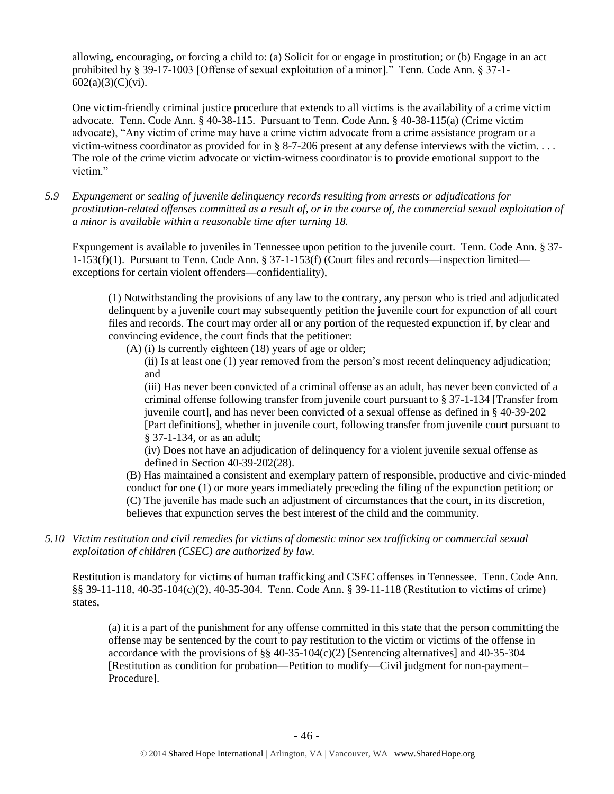allowing, encouraging, or forcing a child to: (a) Solicit for or engage in prostitution; or (b) Engage in an act prohibited by § 39-17-1003 [Offense of sexual exploitation of a minor]." Tenn. Code Ann. § 37-1- 602(a)(3)(C)(vi).

One victim-friendly criminal justice procedure that extends to all victims is the availability of a crime victim advocate. Tenn. Code Ann. § 40-38-115. Pursuant to Tenn. Code Ann. § 40-38-115(a) (Crime victim advocate), "Any victim of crime may have a crime victim advocate from a crime assistance program or a victim-witness coordinator as provided for in § 8-7-206 present at any defense interviews with the victim.... The role of the crime victim advocate or victim-witness coordinator is to provide emotional support to the victim."

*5.9 Expungement or sealing of juvenile delinquency records resulting from arrests or adjudications for prostitution-related offenses committed as a result of, or in the course of, the commercial sexual exploitation of a minor is available within a reasonable time after turning 18.*

Expungement is available to juveniles in Tennessee upon petition to the juvenile court. Tenn. Code Ann. § 37- 1-153(f)(1). Pursuant to Tenn. Code Ann. § 37-1-153(f) (Court files and records—inspection limited exceptions for certain violent offenders—confidentiality),

(1) Notwithstanding the provisions of any law to the contrary, any person who is tried and adjudicated delinquent by a juvenile court may subsequently petition the juvenile court for expunction of all court files and records. The court may order all or any portion of the requested expunction if, by clear and convincing evidence, the court finds that the petitioner:

(A) (i) Is currently eighteen (18) years of age or older;

(ii) Is at least one (1) year removed from the person's most recent delinquency adjudication; and

(iii) Has never been convicted of a criminal offense as an adult, has never been convicted of a criminal offense following transfer from juvenile court pursuant to § 37-1-134 [Transfer from juvenile court], and has never been convicted of a sexual offense as defined in § 40-39-202 [Part definitions], whether in juvenile court, following transfer from juvenile court pursuant to § 37-1-134, or as an adult;

(iv) Does not have an adjudication of delinquency for a violent juvenile sexual offense as defined in Section 40-39-202(28).

(B) Has maintained a consistent and exemplary pattern of responsible, productive and civic-minded conduct for one (1) or more years immediately preceding the filing of the expunction petition; or (C) The juvenile has made such an adjustment of circumstances that the court, in its discretion, believes that expunction serves the best interest of the child and the community.

*5.10 Victim restitution and civil remedies for victims of domestic minor sex trafficking or commercial sexual exploitation of children (CSEC) are authorized by law.* 

Restitution is mandatory for victims of human trafficking and CSEC offenses in Tennessee. Tenn. Code Ann. §§ 39-11-118, 40-35-104(c)(2), 40-35-304. Tenn. Code Ann. § 39-11-118 (Restitution to victims of crime) states,

(a) it is a part of the punishment for any offense committed in this state that the person committing the offense may be sentenced by the court to pay restitution to the victim or victims of the offense in accordance with the provisions of  $\S$ § 40-35-104(c)(2) [Sentencing alternatives] and 40-35-304 [Restitution as condition for probation—Petition to modify—Civil judgment for non-payment– Procedure].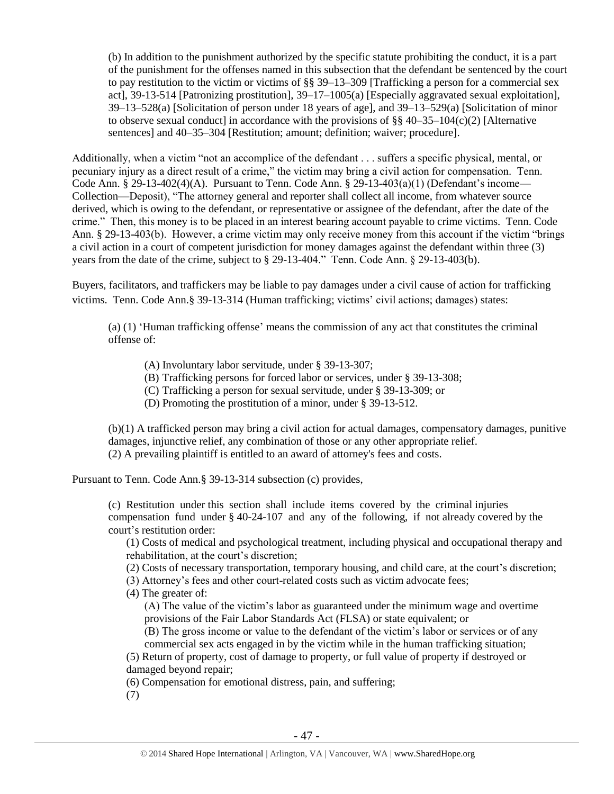(b) In addition to the punishment authorized by the specific statute prohibiting the conduct, it is a part of the punishment for the offenses named in this subsection that the defendant be sentenced by the court to pay restitution to the victim or victims of §§ 39–13–309 [Trafficking a person for a commercial sex act], 39-13-514 [Patronizing prostitution], 39–17–1005(a) [Especially aggravated sexual exploitation], 39–13–528(a) [Solicitation of person under 18 years of age], and 39–13–529(a) [Solicitation of minor to observe sexual conduct] in accordance with the provisions of  $\S$ § 40–35–104(c)(2) [Alternative sentences] and 40–35–304 [Restitution; amount; definition; waiver; procedure].

Additionally, when a victim "not an accomplice of the defendant . . . suffers a specific physical, mental, or pecuniary injury as a direct result of a crime," the victim may bring a civil action for compensation. Tenn. Code Ann. § 29-13-402(4)(A). Pursuant to Tenn. Code Ann. § 29-13-403(a)(1) (Defendant's income— Collection—Deposit), "The attorney general and reporter shall collect all income, from whatever source derived, which is owing to the defendant, or representative or assignee of the defendant, after the date of the crime." Then, this money is to be placed in an interest bearing account payable to crime victims. Tenn. Code Ann. § 29-13-403(b). However, a crime victim may only receive money from this account if the victim "brings a civil action in a court of competent jurisdiction for money damages against the defendant within three (3) years from the date of the crime, subject to § 29-13-404." Tenn. Code Ann. § 29-13-403(b).

Buyers, facilitators, and traffickers may be liable to pay damages under a civil cause of action for trafficking victims. Tenn. Code Ann.§ 39-13-314 (Human trafficking; victims' civil actions; damages) states:

(a) (1) 'Human trafficking offense' means the commission of any act that constitutes the criminal offense of:

(A) Involuntary labor servitude, under § 39-13-307;

(B) Trafficking persons for forced labor or services, under § 39-13-308;

(C) Trafficking a person for sexual servitude, under § 39-13-309; or

(D) Promoting the prostitution of a minor, under § 39-13-512.

(b)(1) A trafficked person may bring a civil action for actual damages, compensatory damages, punitive damages, injunctive relief, any combination of those or any other appropriate relief. (2) A prevailing plaintiff is entitled to an award of attorney's fees and costs.

Pursuant to Tenn. Code Ann.§ 39-13-314 subsection (c) provides,

(c) Restitution under this section shall include items covered by the criminal injuries compensation fund under § 40-24-107 and any of the following, if not already covered by the court's restitution order:

(1) Costs of medical and psychological treatment, including physical and occupational therapy and rehabilitation, at the court's discretion;

(2) Costs of necessary transportation, temporary housing, and child care, at the court's discretion;

(3) Attorney's fees and other court-related costs such as victim advocate fees;

(4) The greater of:

(A) The value of the victim's labor as guaranteed under the minimum wage and overtime provisions of the Fair Labor Standards Act (FLSA) or state equivalent; or

(B) The gross income or value to the defendant of the victim's labor or services or of any commercial sex acts engaged in by the victim while in the human trafficking situation;

(5) Return of property, cost of damage to property, or full value of property if destroyed or damaged beyond repair;

(6) Compensation for emotional distress, pain, and suffering;

(7)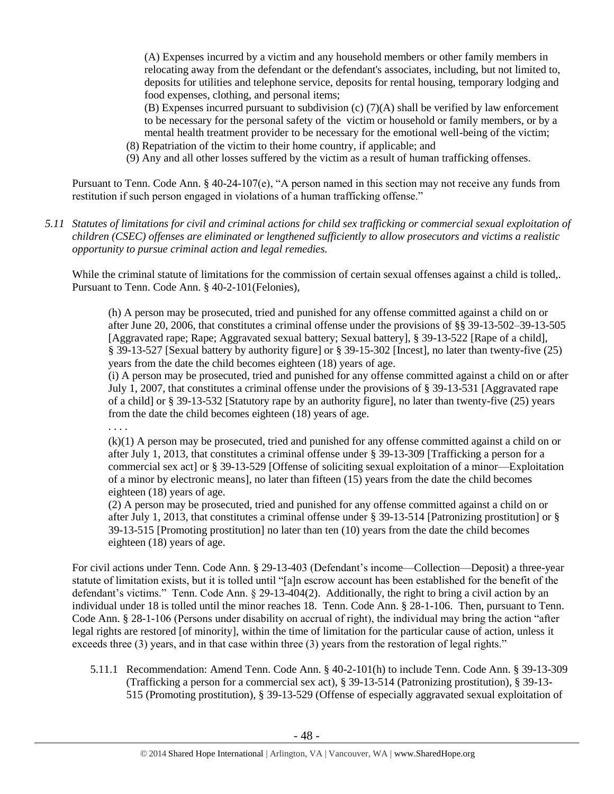(A) Expenses incurred by a victim and any household members or other family members in relocating away from the defendant or the defendant's associates, including, but not limited to, deposits for utilities and telephone service, deposits for rental housing, temporary lodging and food expenses, clothing, and personal items;

(B) Expenses incurred pursuant to subdivision (c) (7)(A) shall be verified by law enforcement to be necessary for the personal safety of the victim or household or family members, or by a mental health treatment provider to be necessary for the emotional well-being of the victim;

(8) Repatriation of the victim to their home country, if applicable; and

. . . .

(9) Any and all other losses suffered by the victim as a result of human trafficking offenses.

Pursuant to Tenn. Code Ann. § 40-24-107(e), "A person named in this section may not receive any funds from restitution if such person engaged in violations of a human trafficking offense."

*5.11 Statutes of limitations for civil and criminal actions for child sex trafficking or commercial sexual exploitation of children (CSEC) offenses are eliminated or lengthened sufficiently to allow prosecutors and victims a realistic opportunity to pursue criminal action and legal remedies.*

While the criminal statute of limitations for the commission of certain sexual offenses against a child is tolled,. Pursuant to Tenn. Code Ann. § 40-2-101(Felonies),

(h) A person may be prosecuted, tried and punished for any offense committed against a child on or after June 20, 2006, that constitutes a criminal offense under the provisions of §§ 39-13-502–39-13-505 [Aggravated rape; Rape; Aggravated sexual battery; Sexual battery], § 39-13-522 [Rape of a child], § 39-13-527 [Sexual battery by authority figure] or § 39-15-302 [Incest], no later than twenty-five (25) years from the date the child becomes eighteen (18) years of age.

(i) A person may be prosecuted, tried and punished for any offense committed against a child on or after July 1, 2007, that constitutes a criminal offense under the provisions of § 39-13-531 [Aggravated rape of a child] or § 39-13-532 [Statutory rape by an authority figure], no later than twenty-five (25) years from the date the child becomes eighteen (18) years of age.

(k)(1) A person may be prosecuted, tried and punished for any offense committed against a child on or after July 1, 2013, that constitutes a criminal offense under [§ 39-13-309](https://a.next.westlaw.com/Link/Document/FullText?findType=L&pubNum=1000039&cite=TNSTS39-13-309&originatingDoc=NB303EA80FD9C11E2B5E0FF4CCFAB5723&refType=LQ&originationContext=document&transitionType=DocumentItem&contextData=(sc.UserEnteredCitation)) [Trafficking a person for a commercial sex act] or [§ 39-13-529](https://a.next.westlaw.com/Link/Document/FullText?findType=L&pubNum=1000039&cite=TNSTS39-13-529&originatingDoc=NB303EA80FD9C11E2B5E0FF4CCFAB5723&refType=LQ&originationContext=document&transitionType=DocumentItem&contextData=(sc.UserEnteredCitation)) [Offense of soliciting sexual exploitation of a minor—Exploitation of a minor by electronic means], no later than fifteen (15) years from the date the child becomes eighteen (18) years of age.

(2) A person may be prosecuted, tried and punished for any offense committed against a child on or after July 1, 2013, that constitutes a criminal offense under [§ 39-13-514](https://a.next.westlaw.com/Link/Document/FullText?findType=L&pubNum=1000039&cite=TNSTS39-13-514&originatingDoc=NB303EA80FD9C11E2B5E0FF4CCFAB5723&refType=LQ&originationContext=document&transitionType=DocumentItem&contextData=(sc.History*oc.UserEnteredCitation)) [Patronizing prostitution] or [§](https://a.next.westlaw.com/Link/Document/FullText?findType=L&pubNum=1000039&cite=TNSTS39-13-515&originatingDoc=NB303EA80FD9C11E2B5E0FF4CCFAB5723&refType=LQ&originationContext=document&transitionType=DocumentItem&contextData=(sc.History*oc.UserEnteredCitation))  [39-13-515](https://a.next.westlaw.com/Link/Document/FullText?findType=L&pubNum=1000039&cite=TNSTS39-13-515&originatingDoc=NB303EA80FD9C11E2B5E0FF4CCFAB5723&refType=LQ&originationContext=document&transitionType=DocumentItem&contextData=(sc.History*oc.UserEnteredCitation)) [Promoting prostitution] no later than ten (10) years from the date the child becomes eighteen (18) years of age.

For civil actions under Tenn. Code Ann. § 29-13-403 (Defendant's income—Collection—Deposit) a three-year statute of limitation exists, but it is tolled until "[a]n escrow account has been established for the benefit of the defendant's victims." Tenn. Code Ann. § 29-13-404(2). Additionally, the right to bring a civil action by an individual under 18 is tolled until the minor reaches 18. Tenn. Code Ann. § 28-1-106. Then, pursuant to Tenn. Code Ann. § 28-1-106 (Persons under disability on accrual of right), the individual may bring the action "after legal rights are restored [of minority], within the time of limitation for the particular cause of action, unless it exceeds three (3) years, and in that case within three (3) years from the restoration of legal rights."

5.11.1 Recommendation: Amend Tenn. Code Ann. § 40-2-101(h) to include Tenn. Code Ann. § 39-13-309 (Trafficking a person for a commercial sex act), § 39-13-514 (Patronizing prostitution), § 39-13- 515 (Promoting prostitution), § 39-13-529 (Offense of especially aggravated sexual exploitation of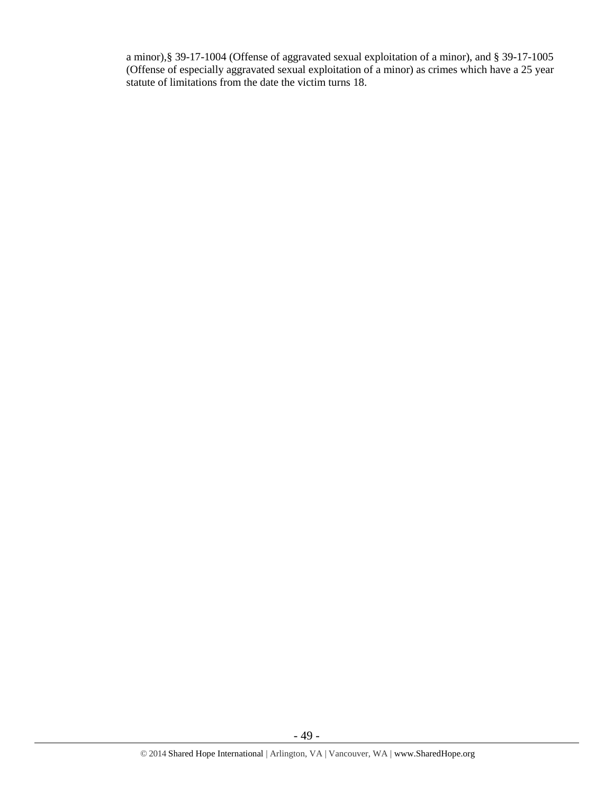a minor),§ 39-17-1004 (Offense of aggravated sexual exploitation of a minor), and § 39-17-1005 (Offense of especially aggravated sexual exploitation of a minor) as crimes which have a 25 year statute of limitations from the date the victim turns 18.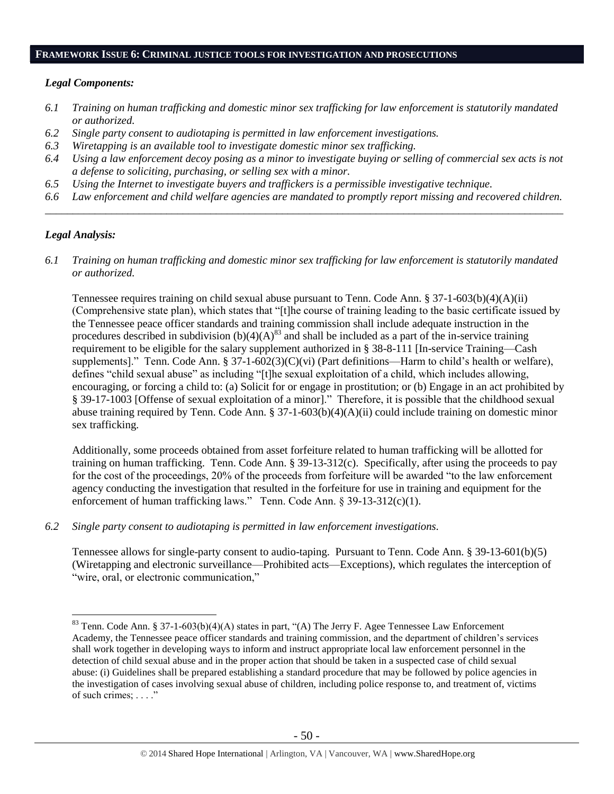#### **FRAMEWORK ISSUE 6: CRIMINAL JUSTICE TOOLS FOR INVESTIGATION AND PROSECUTIONS**

#### *Legal Components:*

- *6.1 Training on human trafficking and domestic minor sex trafficking for law enforcement is statutorily mandated or authorized.*
- *6.2 Single party consent to audiotaping is permitted in law enforcement investigations.*
- *6.3 Wiretapping is an available tool to investigate domestic minor sex trafficking.*
- *6.4 Using a law enforcement decoy posing as a minor to investigate buying or selling of commercial sex acts is not a defense to soliciting, purchasing, or selling sex with a minor.*
- *6.5 Using the Internet to investigate buyers and traffickers is a permissible investigative technique.*
- *6.6 Law enforcement and child welfare agencies are mandated to promptly report missing and recovered children. \_\_\_\_\_\_\_\_\_\_\_\_\_\_\_\_\_\_\_\_\_\_\_\_\_\_\_\_\_\_\_\_\_\_\_\_\_\_\_\_\_\_\_\_\_\_\_\_\_\_\_\_\_\_\_\_\_\_\_\_\_\_\_\_\_\_\_\_\_\_\_\_\_\_\_\_\_\_\_\_\_\_\_\_\_\_\_\_\_\_\_\_\_\_*

## *Legal Analysis:*

 $\overline{a}$ 

*6.1 Training on human trafficking and domestic minor sex trafficking for law enforcement is statutorily mandated or authorized.*

Tennessee requires training on child sexual abuse pursuant to Tenn. Code Ann. § 37-1-603(b)(4)(A)(ii) (Comprehensive state plan), which states that "[t]he course of training leading to the basic certificate issued by the Tennessee peace officer standards and training commission shall include adequate instruction in the procedures described in subdivision  $(b)(4)(A)^{83}$  and shall be included as a part of the in-service training requirement to be eligible for the salary supplement authorized in § 38-8-111 [In-service Training—Cash supplements]." Tenn. Code Ann. § 37-1-602(3)(C)(vi) (Part definitions—Harm to child's health or welfare), defines "child sexual abuse" as including "[t]he sexual exploitation of a child, which includes allowing, encouraging, or forcing a child to: (a) Solicit for or engage in prostitution; or (b) Engage in an act prohibited by § 39-17-1003 [Offense of sexual exploitation of a minor]." Therefore, it is possible that the childhood sexual abuse training required by Tenn. Code Ann. § 37-1-603(b)(4)(A)(ii) could include training on domestic minor sex trafficking.

Additionally, some proceeds obtained from asset forfeiture related to human trafficking will be allotted for training on human trafficking. Tenn. Code Ann. § 39-13-312(c). Specifically, after using the proceeds to pay for the cost of the proceedings, 20% of the proceeds from forfeiture will be awarded "to the law enforcement agency conducting the investigation that resulted in the forfeiture for use in training and equipment for the enforcement of human trafficking laws." Tenn. Code Ann. § 39-13-312(c)(1).

*6.2 Single party consent to audiotaping is permitted in law enforcement investigations.*

Tennessee allows for single-party consent to audio-taping. Pursuant to Tenn. Code Ann. § 39-13-601(b)(5) (Wiretapping and electronic surveillance—Prohibited acts—Exceptions), which regulates the interception of "wire, oral, or electronic communication,"

<sup>&</sup>lt;sup>83</sup> Tenn. Code Ann. § 37-1-603(b)(4)(A) states in part, "(A) The Jerry F. Agee Tennessee Law Enforcement Academy, the Tennessee peace officer standards and training commission, and the department of children's services shall work together in developing ways to inform and instruct appropriate local law enforcement personnel in the detection of child sexual abuse and in the proper action that should be taken in a suspected case of child sexual abuse: (i) Guidelines shall be prepared establishing a standard procedure that may be followed by police agencies in the investigation of cases involving sexual abuse of children, including police response to, and treatment of, victims of such crimes; . . . ."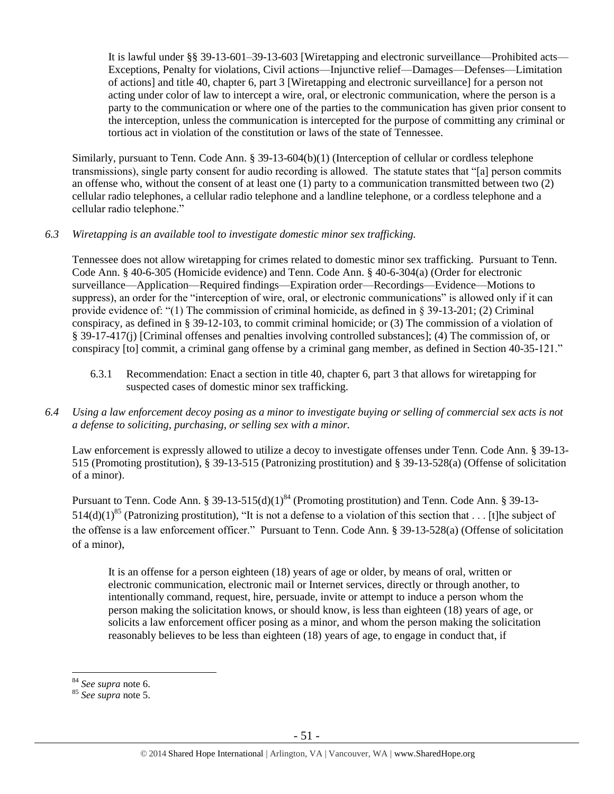It is lawful under §§ 39-13-601–39-13-603 [Wiretapping and electronic surveillance—Prohibited acts— Exceptions, Penalty for violations, Civil actions—Injunctive relief—Damages—Defenses—Limitation of actions] and title 40, chapter 6, part 3 [Wiretapping and electronic surveillance] for a person not acting under color of law to intercept a wire, oral, or electronic communication, where the person is a party to the communication or where one of the parties to the communication has given prior consent to the interception, unless the communication is intercepted for the purpose of committing any criminal or tortious act in violation of the constitution or laws of the state of Tennessee.

Similarly, pursuant to Tenn. Code Ann. § 39-13-604(b)(1) (Interception of cellular or cordless telephone transmissions), single party consent for audio recording is allowed. The statute states that "[a] person commits an offense who, without the consent of at least one (1) party to a communication transmitted between two (2) cellular radio telephones, a cellular radio telephone and a landline telephone, or a cordless telephone and a cellular radio telephone."

## *6.3 Wiretapping is an available tool to investigate domestic minor sex trafficking.*

Tennessee does not allow wiretapping for crimes related to domestic minor sex trafficking. Pursuant to Tenn. Code Ann. § 40-6-305 (Homicide evidence) and Tenn. Code Ann. § 40-6-304(a) (Order for electronic surveillance—Application—Required findings—Expiration order—Recordings—Evidence—Motions to suppress), an order for the "interception of wire, oral, or electronic communications" is allowed only if it can provide evidence of: "(1) The commission of criminal homicide, as defined in § 39-13-201; (2) Criminal conspiracy, as defined in § 39-12-103, to commit criminal homicide; or (3) The commission of a violation of § 39-17-417(j) [Criminal offenses and penalties involving controlled substances]; (4) The commission of, or conspiracy [to] commit, a criminal gang offense by a criminal gang member, as defined in Section 40-35-121."

- 6.3.1 Recommendation: Enact a section in title 40, chapter 6, part 3 that allows for wiretapping for suspected cases of domestic minor sex trafficking.
- *6.4 Using a law enforcement decoy posing as a minor to investigate buying or selling of commercial sex acts is not a defense to soliciting, purchasing, or selling sex with a minor.*

Law enforcement is expressly allowed to utilize a decoy to investigate offenses under Tenn. Code Ann. § 39-13- 515 (Promoting prostitution), § 39-13-515 (Patronizing prostitution) and § 39-13-528(a) (Offense of solicitation of a minor).

Pursuant to Tenn. Code Ann. § 39-13-515(d)(1)<sup>84</sup> (Promoting prostitution) and Tenn. Code Ann. § 39-13-514(d)(1)<sup>85</sup> (Patronizing prostitution), "It is not a defense to a violation of this section that . . . [t]he subject of the offense is a law enforcement officer." Pursuant to Tenn. Code Ann. § 39-13-528(a) (Offense of solicitation of a minor),

It is an offense for a person eighteen (18) years of age or older, by means of oral, written or electronic communication, electronic mail or Internet services, directly or through another, to intentionally command, request, hire, persuade, invite or attempt to induce a person whom the person making the solicitation knows, or should know, is less than eighteen (18) years of age, or solicits a law enforcement officer posing as a minor, and whom the person making the solicitation reasonably believes to be less than eighteen (18) years of age, to engage in conduct that, if

<sup>84</sup> *See supra* note [6.](#page-2-0)

<sup>85</sup> *See supra* note [5.](#page-2-1)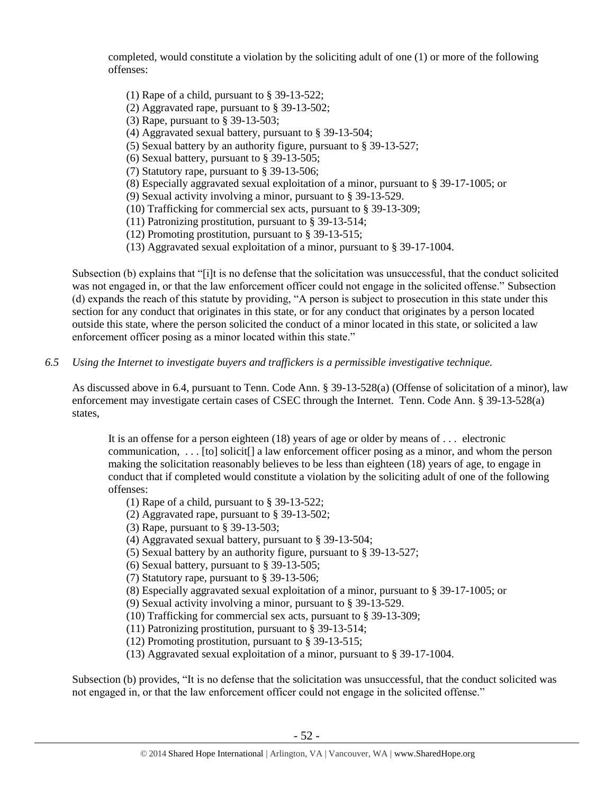completed, would constitute a violation by the soliciting adult of one (1) or more of the following offenses:

- (1) Rape of a child, pursuant to § 39-13-522;
- (2) Aggravated rape, pursuant to § 39-13-502;
- (3) Rape, pursuant to § 39-13-503;
- (4) Aggravated sexual battery, pursuant to § 39-13-504;
- (5) Sexual battery by an authority figure, pursuant to § 39-13-527;
- (6) Sexual battery, pursuant to § 39-13-505;
- (7) Statutory rape, pursuant to § 39-13-506;
- (8) Especially aggravated sexual exploitation of a minor, pursuant to § 39-17-1005; or
- (9) Sexual activity involving a minor, pursuant to § 39-13-529.
- (10) Trafficking for commercial sex acts, pursuant to § 39-13-309;
- (11) Patronizing prostitution, pursuant to § 39-13-514;
- (12) Promoting prostitution, pursuant to § 39-13-515;
- (13) Aggravated sexual exploitation of a minor, pursuant to § 39-17-1004.

Subsection (b) explains that "[i]t is no defense that the solicitation was unsuccessful, that the conduct solicited was not engaged in, or that the law enforcement officer could not engage in the solicited offense." Subsection (d) expands the reach of this statute by providing, "A person is subject to prosecution in this state under this section for any conduct that originates in this state, or for any conduct that originates by a person located outside this state, where the person solicited the conduct of a minor located in this state, or solicited a law enforcement officer posing as a minor located within this state."

*6.5 Using the Internet to investigate buyers and traffickers is a permissible investigative technique.*

As discussed above in 6.4, pursuant to Tenn. Code Ann. § 39-13-528(a) (Offense of solicitation of a minor), law enforcement may investigate certain cases of CSEC through the Internet. Tenn. Code Ann. § 39-13-528(a) states,

It is an offense for a person eighteen (18) years of age or older by means of . . . electronic communication,  $\dots$  [to] solicit] a law enforcement officer posing as a minor, and whom the person making the solicitation reasonably believes to be less than eighteen (18) years of age, to engage in conduct that if completed would constitute a violation by the soliciting adult of one of the following offenses:

- (1) Rape of a child, pursuant to § 39-13-522;
- (2) Aggravated rape, pursuant to § 39-13-502;
- (3) Rape, pursuant to § 39-13-503;
- (4) Aggravated sexual battery, pursuant to § 39-13-504;
- (5) Sexual battery by an authority figure, pursuant to § 39-13-527;
- (6) Sexual battery, pursuant to § 39-13-505;
- (7) Statutory rape, pursuant to § 39-13-506;
- (8) Especially aggravated sexual exploitation of a minor, pursuant to § 39-17-1005; or
- (9) Sexual activity involving a minor, pursuant to § 39-13-529.
- (10) Trafficking for commercial sex acts, pursuant to § 39-13-309;
- (11) Patronizing prostitution, pursuant to § 39-13-514;
- (12) Promoting prostitution, pursuant to § 39-13-515;
- (13) Aggravated sexual exploitation of a minor, pursuant to § 39-17-1004.

Subsection (b) provides, "It is no defense that the solicitation was unsuccessful, that the conduct solicited was not engaged in, or that the law enforcement officer could not engage in the solicited offense."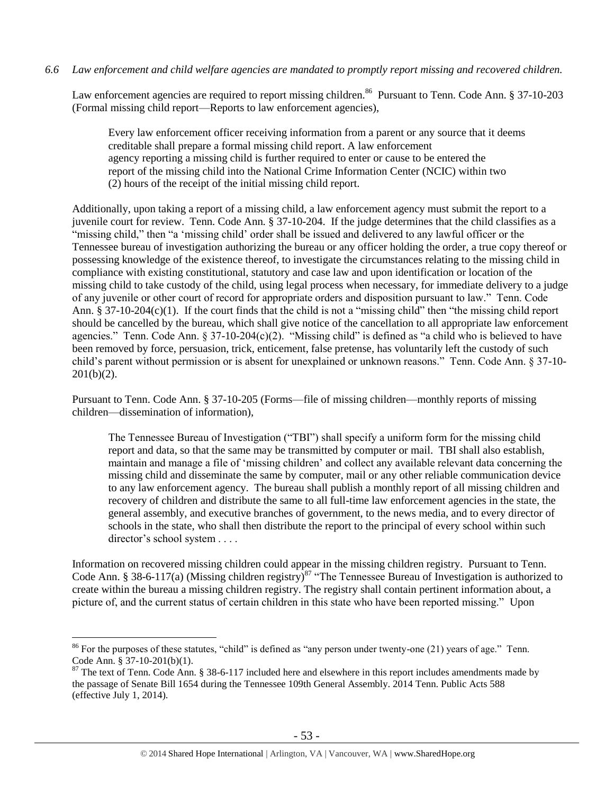## *6.6 Law enforcement and child welfare agencies are mandated to promptly report missing and recovered children.*

Law enforcement agencies are required to report missing children.<sup>86</sup> Pursuant to Tenn. Code Ann. § 37-10-203 (Formal missing child report—Reports to law enforcement agencies),

Every law enforcement officer receiving information from a parent or any source that it deems creditable shall prepare a formal missing child report. A law enforcement agency reporting a missing child is further required to enter or cause to be entered the report of the missing child into the National Crime Information Center (NCIC) within two (2) hours of the receipt of the initial missing child report.

Additionally, upon taking a report of a missing child, a law enforcement agency must submit the report to a juvenile court for review. Tenn. Code Ann. § 37-10-204. If the judge determines that the child classifies as a "missing child," then "a 'missing child' order shall be issued and delivered to any lawful officer or the Tennessee bureau of investigation authorizing the bureau or any officer holding the order, a true copy thereof or possessing knowledge of the existence thereof, to investigate the circumstances relating to the missing child in compliance with existing constitutional, statutory and case law and upon identification or location of the missing child to take custody of the child, using legal process when necessary, for immediate delivery to a judge of any juvenile or other court of record for appropriate orders and disposition pursuant to law." Tenn. Code Ann. § 37-10-204(c)(1). If the court finds that the child is not a "missing child" then "the missing child report should be cancelled by the bureau, which shall give notice of the cancellation to all appropriate law enforcement agencies." Tenn. Code Ann.  $\S 37-10-204(c)(2)$ . "Missing child" is defined as "a child who is believed to have been removed by force, persuasion, trick, enticement, false pretense, has voluntarily left the custody of such child's parent without permission or is absent for unexplained or unknown reasons." Tenn. Code Ann. § 37-10-  $201(b)(2)$ .

Pursuant to Tenn. Code Ann. § 37-10-205 (Forms—file of missing children—monthly reports of missing children—dissemination of information),

The Tennessee Bureau of Investigation ("TBI") shall specify a uniform form for the missing child report and data, so that the same may be transmitted by computer or mail. TBI shall also establish, maintain and manage a file of 'missing children' and collect any available relevant data concerning the missing child and disseminate the same by computer, mail or any other reliable communication device to any law enforcement agency. The bureau shall publish a monthly report of all missing children and recovery of children and distribute the same to all full-time law enforcement agencies in the state, the general assembly, and executive branches of government, to the news media, and to every director of schools in the state, who shall then distribute the report to the principal of every school within such director's school system . . . .

Information on recovered missing children could appear in the missing children registry. Pursuant to Tenn. Code Ann. § 38-6-117(a) (Missing children registry)<sup>87</sup> "The Tennessee Bureau of Investigation is authorized to create within the bureau a missing children registry. The registry shall contain pertinent information about, a picture of, and the current status of certain children in this state who have been reported missing." Upon

 $86$  For the purposes of these statutes, "child" is defined as "any person under twenty-one (21) years of age." Tenn. Code Ann. § 37-10-201(b)(1).

<sup>&</sup>lt;sup>87</sup> The text of Tenn. Code Ann. § 38-6-117 included here and elsewhere in this report includes amendments made by the passage of Senate Bill 1654 during the Tennessee 109th General Assembly. 2014 Tenn. Public Acts 588 (effective July 1, 2014).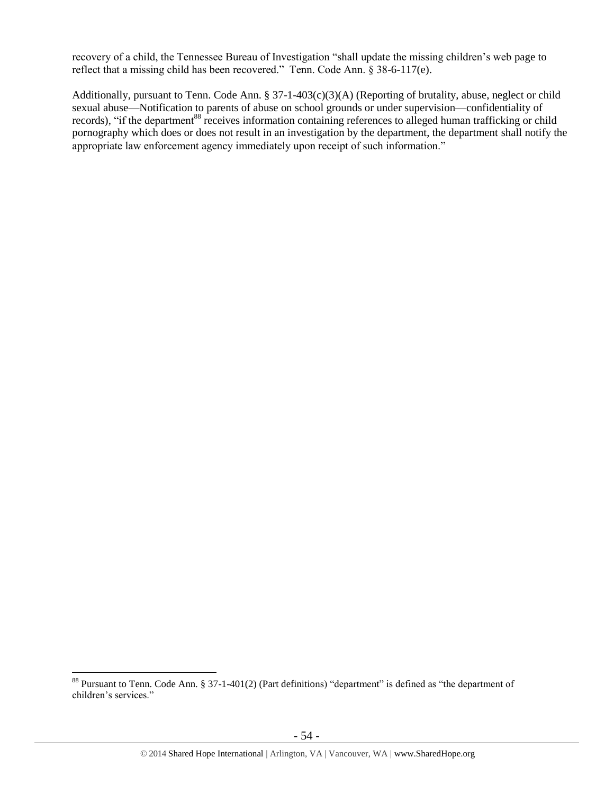recovery of a child, the Tennessee Bureau of Investigation "shall update the missing children's web page to reflect that a missing child has been recovered." Tenn. Code Ann. § 38-6-117(e).

Additionally, pursuant to Tenn. Code Ann. § 37-1-403(c)(3)(A) (Reporting of brutality, abuse, neglect or child sexual abuse—Notification to parents of abuse on school grounds or under supervision—confidentiality of records), "if the department<sup>88</sup> receives information containing references to alleged human trafficking or child pornography which does or does not result in an investigation by the department, the department shall notify the appropriate law enforcement agency immediately upon receipt of such information."

 $88$  Pursuant to Tenn. Code Ann. § 37-1-401(2) (Part definitions) "department" is defined as "the department of children's services."